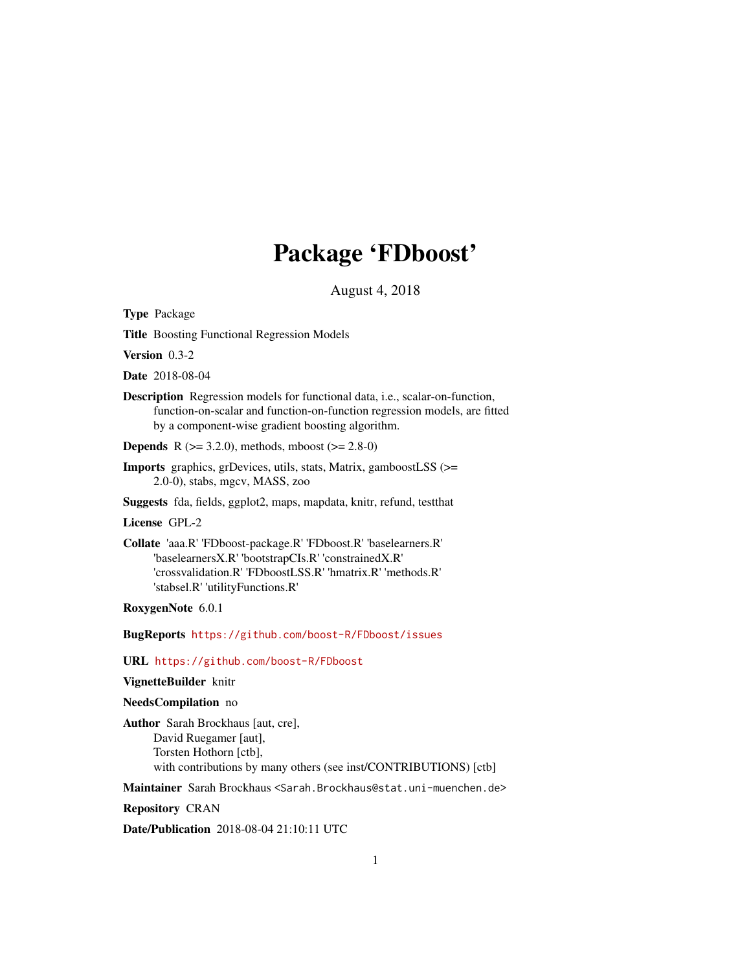# Package 'FDboost'

August 4, 2018

<span id="page-0-0"></span>Type Package

Title Boosting Functional Regression Models

Version 0.3-2

Date 2018-08-04

Description Regression models for functional data, i.e., scalar-on-function, function-on-scalar and function-on-function regression models, are fitted by a component-wise gradient boosting algorithm.

**Depends** R  $(>= 3.2.0)$ , methods, mboost  $(>= 2.8-0)$ 

Imports graphics, grDevices, utils, stats, Matrix, gamboostLSS (>= 2.0-0), stabs, mgcv, MASS, zoo

Suggests fda, fields, ggplot2, maps, mapdata, knitr, refund, testthat

#### License GPL-2

Collate 'aaa.R' 'FDboost-package.R' 'FDboost.R' 'baselearners.R' 'baselearnersX.R' 'bootstrapCIs.R' 'constrainedX.R' 'crossvalidation.R' 'FDboostLSS.R' 'hmatrix.R' 'methods.R' 'stabsel.R' 'utilityFunctions.R'

RoxygenNote 6.0.1

BugReports <https://github.com/boost-R/FDboost/issues>

# URL <https://github.com/boost-R/FDboost>

# VignetteBuilder knitr

#### NeedsCompilation no

Author Sarah Brockhaus [aut, cre], David Ruegamer [aut], Torsten Hothorn [ctb], with contributions by many others (see inst/CONTRIBUTIONS) [ctb]

Maintainer Sarah Brockhaus <Sarah.Brockhaus@stat.uni-muenchen.de>

Repository CRAN

Date/Publication 2018-08-04 21:10:11 UTC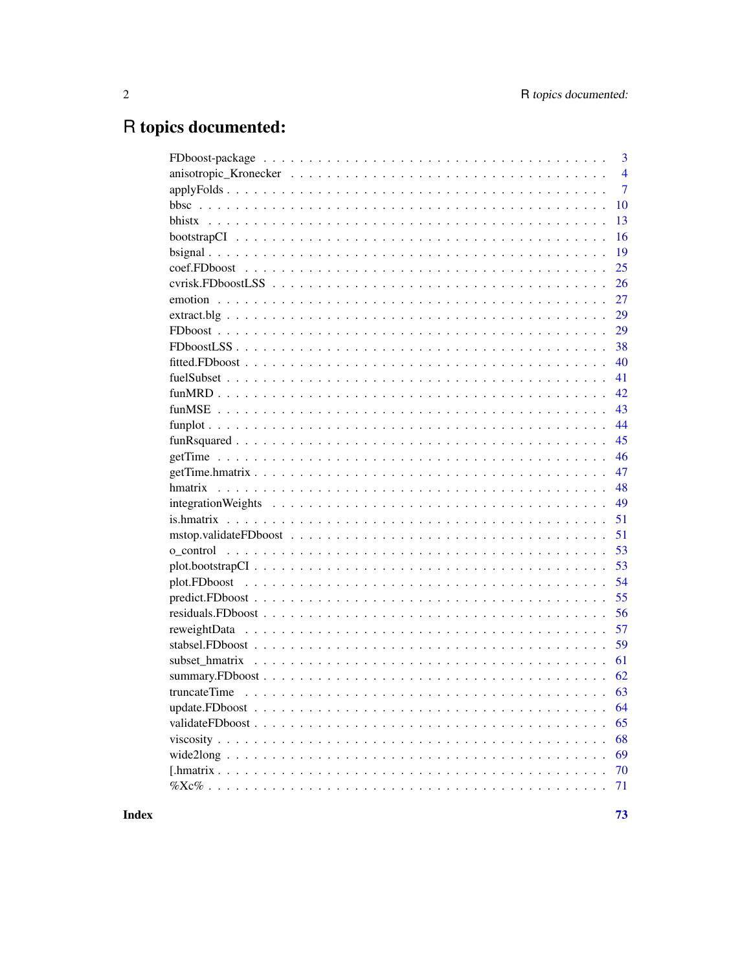# R topics documented:

| 3              |
|----------------|
| $\overline{4}$ |
| $\overline{7}$ |
| 10             |
| 13             |
| 16             |
| 19             |
| 25             |
| 26             |
| 27             |
| 29             |
| 29             |
| 38             |
| 40             |
| 41             |
| 42             |
| 43             |
| 44             |
| 45             |
| 46             |
| 47             |
| 48             |
| 49             |
| 51             |
| 51             |
| 53             |
| 53             |
| 54             |
| 55             |
| 56             |
| 57             |
| 59             |
| 61             |
| 62             |
|                |
| 64             |
| 65             |
| 68             |
| 69             |
| 70             |
| 71             |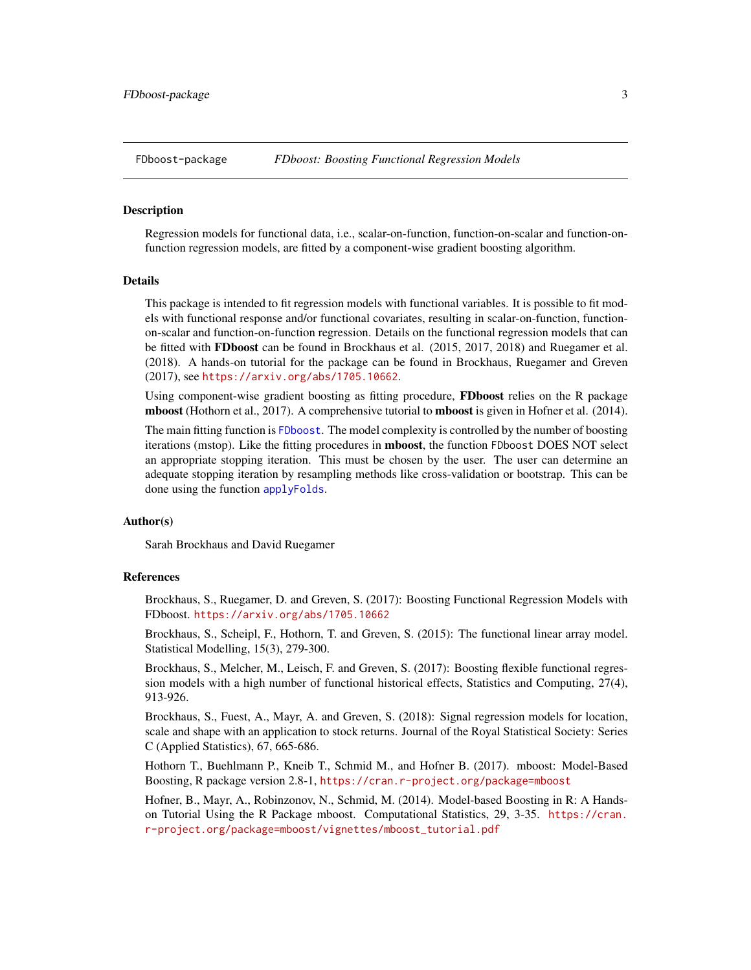#### <span id="page-2-0"></span>Description

Regression models for functional data, i.e., scalar-on-function, function-on-scalar and function-onfunction regression models, are fitted by a component-wise gradient boosting algorithm.

#### Details

This package is intended to fit regression models with functional variables. It is possible to fit models with functional response and/or functional covariates, resulting in scalar-on-function, functionon-scalar and function-on-function regression. Details on the functional regression models that can be fitted with FDboost can be found in Brockhaus et al. (2015, 2017, 2018) and Ruegamer et al. (2018). A hands-on tutorial for the package can be found in Brockhaus, Ruegamer and Greven (2017), see <https://arxiv.org/abs/1705.10662>.

Using component-wise gradient boosting as fitting procedure, FDboost relies on the R package mboost (Hothorn et al., 2017). A comprehensive tutorial to mboost is given in Hofner et al. (2014).

The main fitting function is [FDboost](#page-28-1). The model complexity is controlled by the number of boosting iterations (mstop). Like the fitting procedures in mboost, the function FDboost DOES NOT select an appropriate stopping iteration. This must be chosen by the user. The user can determine an adequate stopping iteration by resampling methods like cross-validation or bootstrap. This can be done using the function [applyFolds](#page-6-1).

#### Author(s)

Sarah Brockhaus and David Ruegamer

#### **References**

Brockhaus, S., Ruegamer, D. and Greven, S. (2017): Boosting Functional Regression Models with FDboost. <https://arxiv.org/abs/1705.10662>

Brockhaus, S., Scheipl, F., Hothorn, T. and Greven, S. (2015): The functional linear array model. Statistical Modelling, 15(3), 279-300.

Brockhaus, S., Melcher, M., Leisch, F. and Greven, S. (2017): Boosting flexible functional regression models with a high number of functional historical effects, Statistics and Computing, 27(4), 913-926.

Brockhaus, S., Fuest, A., Mayr, A. and Greven, S. (2018): Signal regression models for location, scale and shape with an application to stock returns. Journal of the Royal Statistical Society: Series C (Applied Statistics), 67, 665-686.

Hothorn T., Buehlmann P., Kneib T., Schmid M., and Hofner B. (2017). mboost: Model-Based Boosting, R package version 2.8-1, <https://cran.r-project.org/package=mboost>

Hofner, B., Mayr, A., Robinzonov, N., Schmid, M. (2014). Model-based Boosting in R: A Handson Tutorial Using the R Package mboost. Computational Statistics, 29, 3-35. [https://cran.](https://cran.r-project.org/package=mboost/vignettes/mboost_tutorial.pdf) [r-project.org/package=mboost/vignettes/mboost\\_tutorial.pdf](https://cran.r-project.org/package=mboost/vignettes/mboost_tutorial.pdf)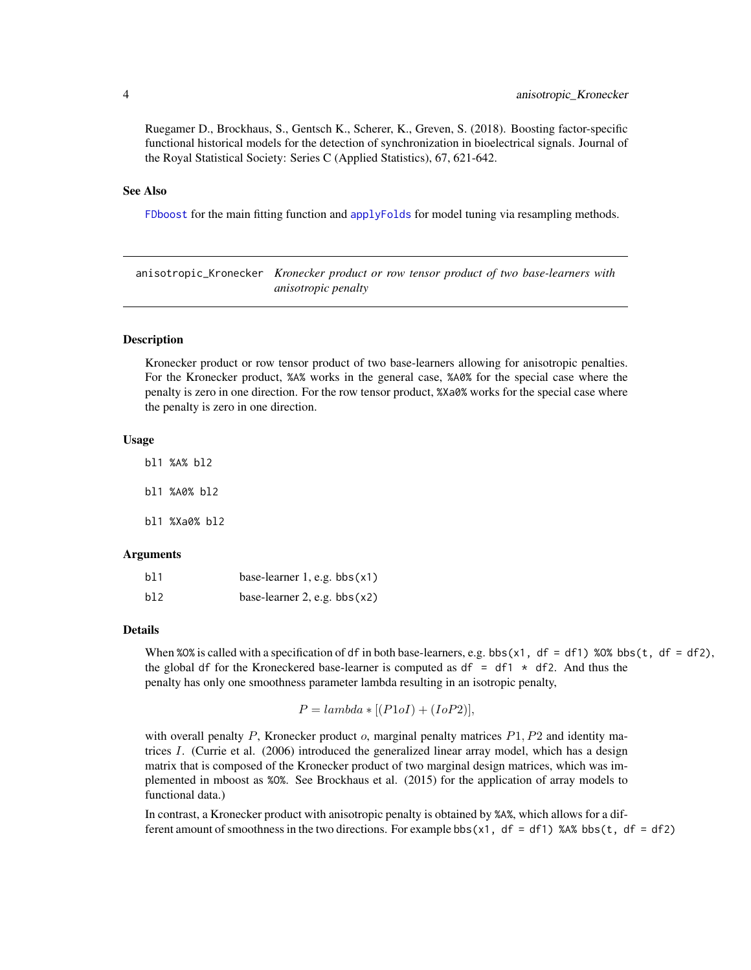<span id="page-3-0"></span>Ruegamer D., Brockhaus, S., Gentsch K., Scherer, K., Greven, S. (2018). Boosting factor-specific functional historical models for the detection of synchronization in bioelectrical signals. Journal of the Royal Statistical Society: Series C (Applied Statistics), 67, 621-642.

#### See Also

[FDboost](#page-28-1) for the main fitting function and [applyFolds](#page-6-1) for model tuning via resampling methods.

anisotropic\_Kronecker *Kronecker product or row tensor product of two base-learners with anisotropic penalty*

#### <span id="page-3-1"></span>Description

Kronecker product or row tensor product of two base-learners allowing for anisotropic penalties. For the Kronecker product, %A% works in the general case, %A0% for the special case where the penalty is zero in one direction. For the row tensor product, %Xa0% works for the special case where the penalty is zero in one direction.

#### Usage

bl1 %A% bl2 bl1 %A0% bl2 bl1 %Xa0% bl2

# Arguments

| b11 | base-learner $1$ , e.g. bbs $(x1)$ |  |
|-----|------------------------------------|--|
| b12 | base-learner 2, e.g. $bbs(x2)$     |  |

#### Details

When %0% is called with a specification of df in both base-learners, e.g. bbs(x1, df = df1) %0% bbs(t, df = df2), the global df for the Kroneckered base-learner is computed as df = df1  $\star$  df2. And thus the penalty has only one smoothness parameter lambda resulting in an isotropic penalty,

$$
P = lambda * [(P1oI) + (IoP2)],
$$

with overall penalty P, Kronecker product  $o$ , marginal penalty matrices  $P1, P2$  and identity matrices  $I$ . (Currie et al. (2006) introduced the generalized linear array model, which has a design matrix that is composed of the Kronecker product of two marginal design matrices, which was implemented in mboost as %O%. See Brockhaus et al. (2015) for the application of array models to functional data.)

In contrast, a Kronecker product with anisotropic penalty is obtained by %A%, which allows for a different amount of smoothness in the two directions. For example bbs( $x1$ , df = df1) %A% bbs( $t$ , df = df2)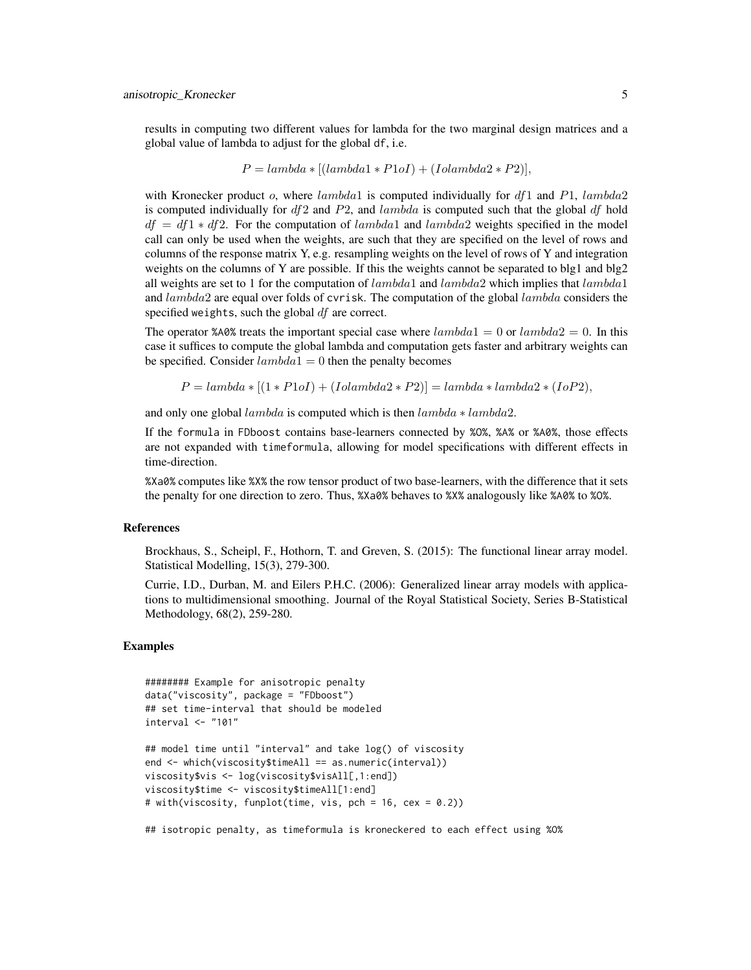results in computing two different values for lambda for the two marginal design matrices and a global value of lambda to adjust for the global df, i.e.

$$
P = lambda * [(lambda1 * P1oI) + (Iolambda2 * P2)],
$$

with Kronecker product  $o$ , where lambda1 is computed individually for  $df1$  and  $P1$ , lambda2 is computed individually for  $df2$  and  $P2$ , and lambda is computed such that the global df hold  $df = df1 * df2$ . For the computation of lambda1 and lambda2 weights specified in the model call can only be used when the weights, are such that they are specified on the level of rows and columns of the response matrix Y, e.g. resampling weights on the level of rows of Y and integration weights on the columns of Y are possible. If this the weights cannot be separated to blg1 and blg2 all weights are set to 1 for the computation of  $lambda1$  and  $lambda2$  which implies that  $lambda1$ and  $lambda2$  are equal over folds of cvrisk. The computation of the global  $lambda$  considers the specified weights, such the global  $df$  are correct.

The operator %A0% treats the important special case where  $lambda1 = 0$  or  $lambda2 = 0$ . In this case it suffices to compute the global lambda and computation gets faster and arbitrary weights can be specified. Consider  $lambda1 = 0$  then the penalty becomes

$$
P = lambda * [(1 * P1oI) + (Iolambda2 * P2)] = lambda * lambda2 * (IoP2),
$$

and only one global  $lambda$  is computed which is then  $lambda * lambda$ .

If the formula in FDboost contains base-learners connected by %O%, %A% or %A0%, those effects are not expanded with timeformula, allowing for model specifications with different effects in time-direction.

%Xa0% computes like %X% the row tensor product of two base-learners, with the difference that it sets the penalty for one direction to zero. Thus, %Xa0% behaves to %X% analogously like %A0% to %O%.

#### References

Brockhaus, S., Scheipl, F., Hothorn, T. and Greven, S. (2015): The functional linear array model. Statistical Modelling, 15(3), 279-300.

Currie, I.D., Durban, M. and Eilers P.H.C. (2006): Generalized linear array models with applications to multidimensional smoothing. Journal of the Royal Statistical Society, Series B-Statistical Methodology, 68(2), 259-280.

#### Examples

```
######## Example for anisotropic penalty
data("viscosity", package = "FDboost")
## set time-interval that should be modeled
interval <- "101"
## model time until "interval" and take log() of viscosity
end <- which(viscosity$timeAll == as.numeric(interval))
viscosity$vis <- log(viscosity$visAll[,1:end])
viscosity$time <- viscosity$timeAll[1:end]
# with(viscosity, funplot(time, vis, pch = 16, cex = 0.2))
```
## isotropic penalty, as timeformula is kroneckered to each effect using %O%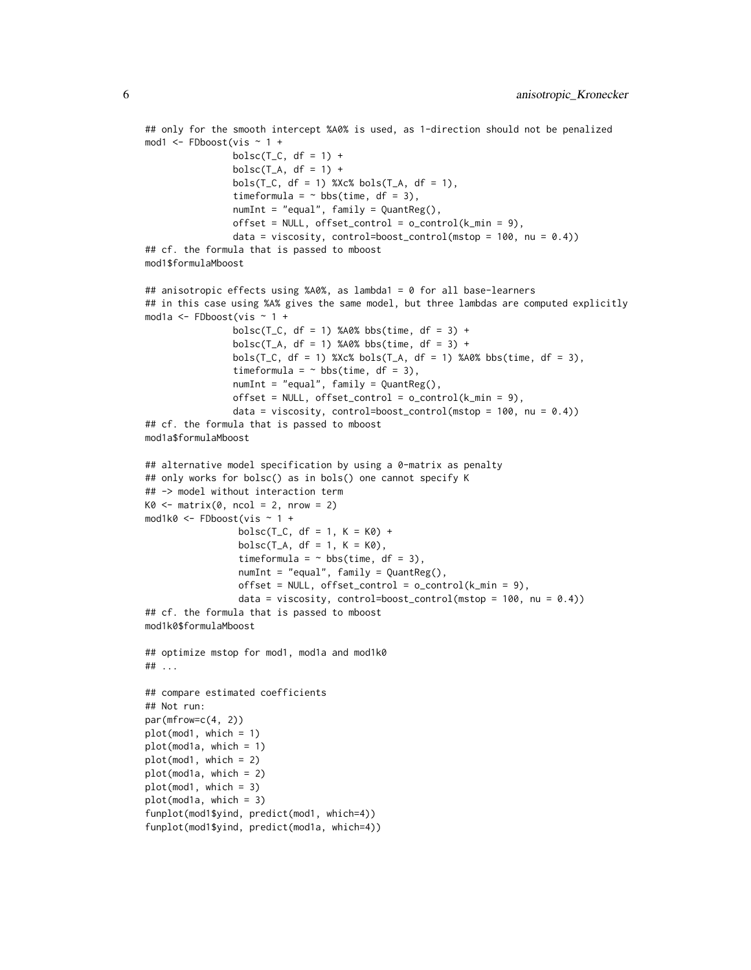```
## only for the smooth intercept %A0% is used, as 1-direction should not be penalized
mod1 <- FDboost(vis ~ 1 +
                bolsc(T_C, df = 1) +bolsc(T_A, df = 1) +
                bols(T_C, df = 1) %Xc% bols(T_A, df = 1),
                timeformula = \sim bbs(time, df = 3),
                numInt = "equal", family = QuantReg(),
                offset = NULL, offset\_control = o\_control(k\_min = 9),
                data = viscosity, control=boost_control(mstop = 100, nu = (0.4))
## cf. the formula that is passed to mboost
mod1$formulaMboost
## anisotropic effects using %A0%, as lambda1 = 0 for all base-learners
## in this case using %A% gives the same model, but three lambdas are computed explicitly
mod1a <- FDboost(vis ~ 1 +
                bolsc(T_C, df = 1) %A0% bbs(time, df = 3) +
                bolsc(T_A, df = 1) %A0% bbs(time, df = 3) +
                bols(T_C, df = 1) %Xc% bols(T_A, df = 1) %A0% bbs(time, df = 3),
                timeformula = \sim bbs(time, df = 3),
                numInt = "equal", family = QuantReg(),
                offset = NULL, offset\_control = o\_control(k\_min = 9),
                data = viscosity, control=boost_control(mstop = 100, nu = (0.4))
## cf. the formula that is passed to mboost
mod1a$formulaMboost
## alternative model specification by using a 0-matrix as penalty
## only works for bolsc() as in bols() one cannot specify K
## -> model without interaction term
K0 \leq - matrix(0, ncol = 2, nrow = 2)
mod1k0 <- FDboost(vis ~ 1 +
                 bolsc(T_C, df = 1, K = K0) +bolsc(T_A, df = 1, K = K0),timeformula = \sim bbs(time, df = 3),
                 numInt = "equal", family = QuantReg(),offset = NULL, offset\_control = o\_control(k\_min = 9),data = viscosity, control=boost_control(mstop = 100, nu = (0.4))
## cf. the formula that is passed to mboost
mod1k0$formulaMboost
## optimize mstop for mod1, mod1a and mod1k0
## ...
## compare estimated coefficients
## Not run:
par(mfrow=c(4, 2))plot(mod1, which = 1)
plot(mod1a, which = 1)
plot(mod1, which = 2)
plot(mod1a, which = 2)
plot(mod1, which = 3)
plot(mod1a, which = 3)
funplot(mod1$yind, predict(mod1, which=4))
funplot(mod1$yind, predict(mod1a, which=4))
```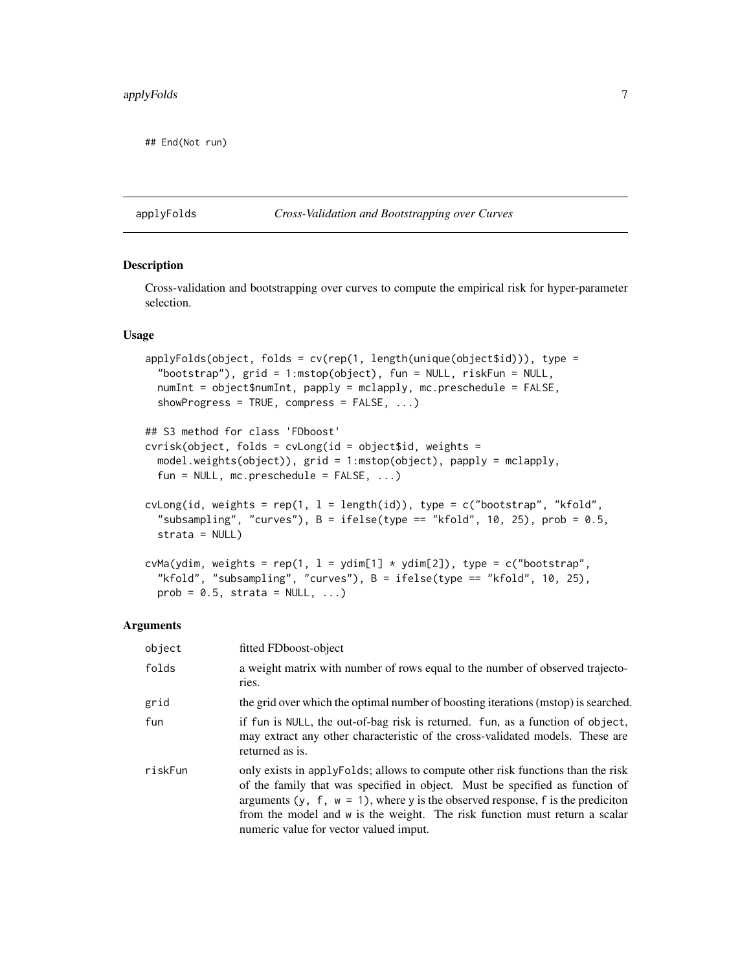<span id="page-6-0"></span>## End(Not run)

#### <span id="page-6-1"></span>applyFolds *Cross-Validation and Bootstrapping over Curves*

#### <span id="page-6-2"></span>Description

Cross-validation and bootstrapping over curves to compute the empirical risk for hyper-parameter selection.

#### Usage

```
applyFolds(object, folds = cv(rep(1, length(unique(object$id))), type =
  "bootstrap"), grid = 1:mstop(object), fun = NULL, riskFun = NULL,
 numInt = object$numInt, papply = mclapply, mc.preschedule = FALSE,
 showProgress = TRUE, compress = FALSE, ...)
## S3 method for class 'FDboost'
cvrisk(object, folds = cvLong(id = object$id, weights =model.weights(object)), grid = 1:mstop(object), papply = mclapply,
 fun = NULL, mc.preschedule = FALSE, ...)
cvlong(id, weights = rep(1, 1 = length(id)), type = c("bootstrap", "kfold","subsampling", "curves"), B = ifelse(type == "kfold", 10, 25), prob = 0.5,
 strata = NULL)
cvMa(ydim, weights = rep(1, l = ydim[1] * ydim[2]), type = c("bootstrap",
 "kfold", "subsampling", "curves"), B = ifelse(type == "kfold", 10, 25),
 prob = 0.5, strata = NULL, ...)
```
#### Arguments

| object  | fitted FDboost-object                                                                                                                                                                                                                                                                                                                                                         |
|---------|-------------------------------------------------------------------------------------------------------------------------------------------------------------------------------------------------------------------------------------------------------------------------------------------------------------------------------------------------------------------------------|
| folds   | a weight matrix with number of rows equal to the number of observed trajecto-<br>ries.                                                                                                                                                                                                                                                                                        |
| grid    | the grid over which the optimal number of boosting iterations (mstop) is searched.                                                                                                                                                                                                                                                                                            |
| fun     | if fun is NULL, the out-of-bag risk is returned. fun, as a function of object,<br>may extract any other characteristic of the cross-validated models. These are<br>returned as is.                                                                                                                                                                                            |
| riskFun | only exists in apply Folds; allows to compute other risk functions than the risk<br>of the family that was specified in object. Must be specified as function of<br>arguments (y, f, $w = 1$ ), where y is the observed response, f is the prediction<br>from the model and w is the weight. The risk function must return a scalar<br>numeric value for vector valued imput. |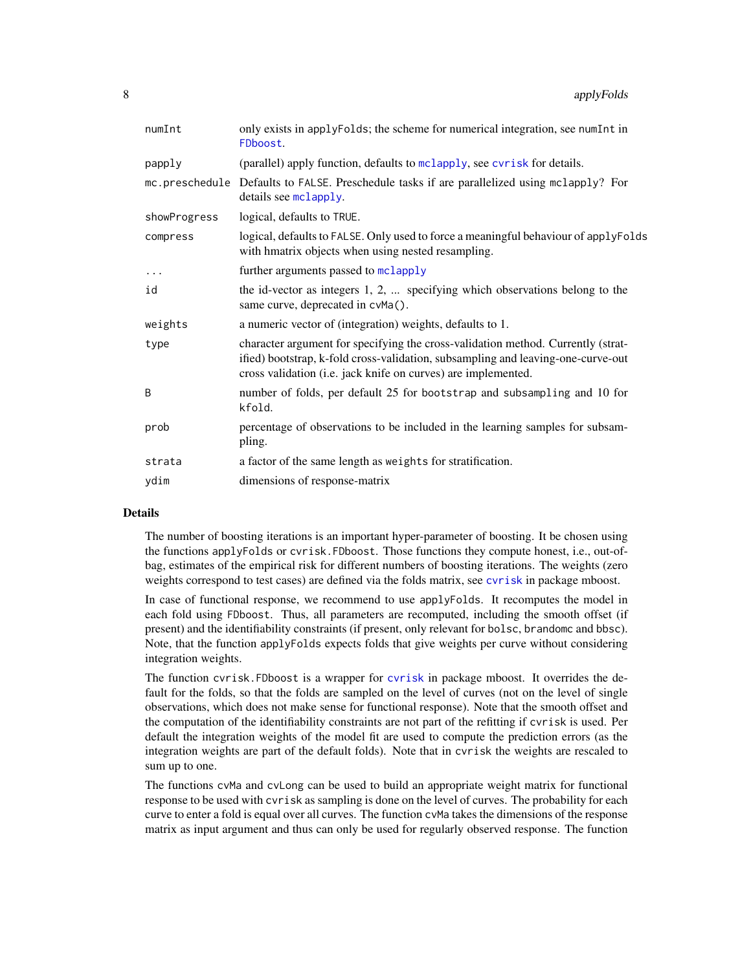| only exists in applyFolds; the scheme for numerical integration, see numInt in<br>FDboost.                                                                                                                                            |
|---------------------------------------------------------------------------------------------------------------------------------------------------------------------------------------------------------------------------------------|
| (parallel) apply function, defaults to mclapply, see cvrisk for details.                                                                                                                                                              |
| mc.preschedule Defaults to FALSE. Preschedule tasks if are parallelized using mclapply? For<br>details see mclapply.                                                                                                                  |
| logical, defaults to TRUE.                                                                                                                                                                                                            |
| logical, defaults to FALSE. Only used to force a meaningful behaviour of applyFolds<br>with hmatrix objects when using nested resampling.                                                                                             |
| further arguments passed to mclapply                                                                                                                                                                                                  |
| the id-vector as integers 1, 2,  specifying which observations belong to the<br>same curve, deprecated in cvMa().                                                                                                                     |
| a numeric vector of (integration) weights, defaults to 1.                                                                                                                                                                             |
| character argument for specifying the cross-validation method. Currently (strat-<br>ified) bootstrap, k-fold cross-validation, subsampling and leaving-one-curve-out<br>cross validation (i.e. jack knife on curves) are implemented. |
| number of folds, per default 25 for bootstrap and subsampling and 10 for<br>kfold.                                                                                                                                                    |
| percentage of observations to be included in the learning samples for subsam-<br>pling.                                                                                                                                               |
| a factor of the same length as weights for stratification.                                                                                                                                                                            |
| dimensions of response-matrix                                                                                                                                                                                                         |
|                                                                                                                                                                                                                                       |

## Details

The number of boosting iterations is an important hyper-parameter of boosting. It be chosen using the functions applyFolds or cvrisk.FDboost. Those functions they compute honest, i.e., out-ofbag, estimates of the empirical risk for different numbers of boosting iterations. The weights (zero weights correspond to test cases) are defined via the folds matrix, see [cvrisk](#page-0-0) in package mboost.

In case of functional response, we recommend to use applyFolds. It recomputes the model in each fold using FDboost. Thus, all parameters are recomputed, including the smooth offset (if present) and the identifiability constraints (if present, only relevant for bolsc, brandomc and bbsc). Note, that the function applyFolds expects folds that give weights per curve without considering integration weights.

The function cvrisk.FDboost is a wrapper for [cvrisk](#page-0-0) in package mboost. It overrides the default for the folds, so that the folds are sampled on the level of curves (not on the level of single observations, which does not make sense for functional response). Note that the smooth offset and the computation of the identifiability constraints are not part of the refitting if cvrisk is used. Per default the integration weights of the model fit are used to compute the prediction errors (as the integration weights are part of the default folds). Note that in cvrisk the weights are rescaled to sum up to one.

The functions cvMa and cvLong can be used to build an appropriate weight matrix for functional response to be used with cvrisk as sampling is done on the level of curves. The probability for each curve to enter a fold is equal over all curves. The function cvMa takes the dimensions of the response matrix as input argument and thus can only be used for regularly observed response. The function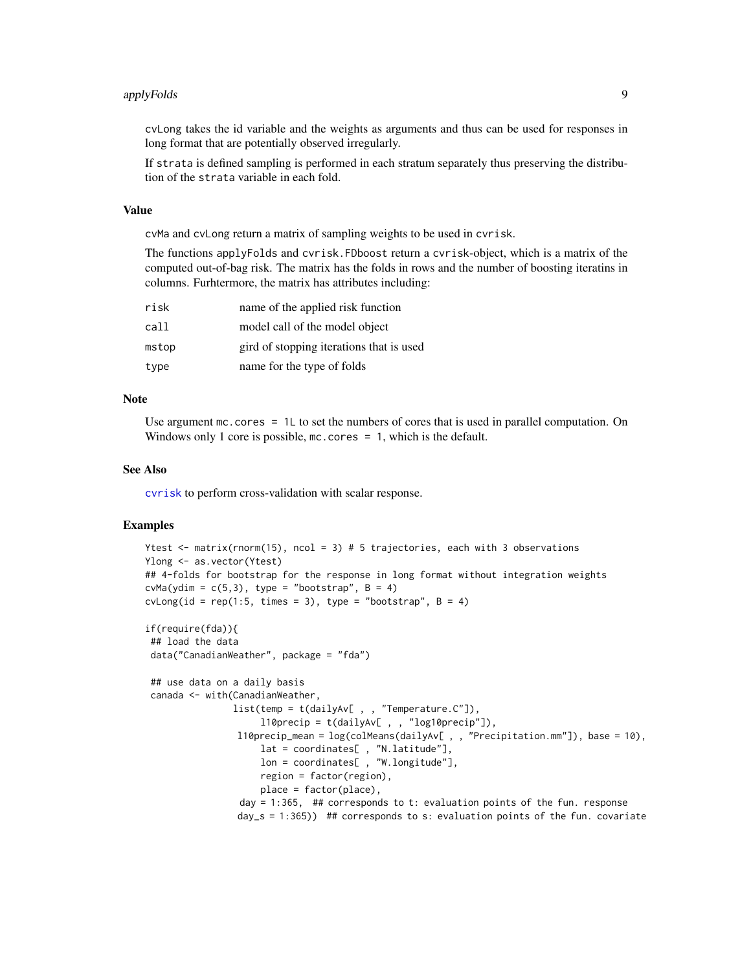#### applyFolds **9**

cvLong takes the id variable and the weights as arguments and thus can be used for responses in long format that are potentially observed irregularly.

If strata is defined sampling is performed in each stratum separately thus preserving the distribution of the strata variable in each fold.

# Value

cvMa and cvLong return a matrix of sampling weights to be used in cvrisk.

The functions applyFolds and cvrisk.FDboost return a cvrisk-object, which is a matrix of the computed out-of-bag risk. The matrix has the folds in rows and the number of boosting iteratins in columns. Furhtermore, the matrix has attributes including:

| risk  | name of the applied risk function        |
|-------|------------------------------------------|
| call  | model call of the model object           |
| mstop | gird of stopping iterations that is used |
| type  | name for the type of folds               |

# Note

Use argument  $mc \cdot cores = 1L$  to set the numbers of cores that is used in parallel computation. On Windows only 1 core is possible, mc.cores = 1, which is the default.

#### See Also

[cvrisk](#page-0-0) to perform cross-validation with scalar response.

#### Examples

```
Ytest \leq matrix(rnorm(15), ncol = 3) # 5 trajectories, each with 3 observations
Ylong <- as.vector(Ytest)
## 4-folds for bootstrap for the response in long format without integration weights
cvMa(ydim = c(5,3)), type = "bootstrap", B = 4)
cvlong(id = rep(1:5, times = 3), type = "bootstrap", B = 4)if(require(fda)){
## load the data
data("CanadianWeather", package = "fda")
 ## use data on a daily basis
 canada <- with(CanadianWeather,
                list(temp = t(dailyAv[ , , "Temperature.C"]),
                     l10precip = t(dailyAv[ , , "log10precip"]),
                 l10precip_mean = log(colMeans(dailyAv[ , , "Precipitation.mm"]), base = 10),
                     lat = coordinates[ , "N.latitude"],
                     lon = coordinates[ , "W.longitude"],
                     region = factor(region),
                     place = factor(place),
                 day = 1:365, ## corresponds to t: evaluation points of the fun. response
```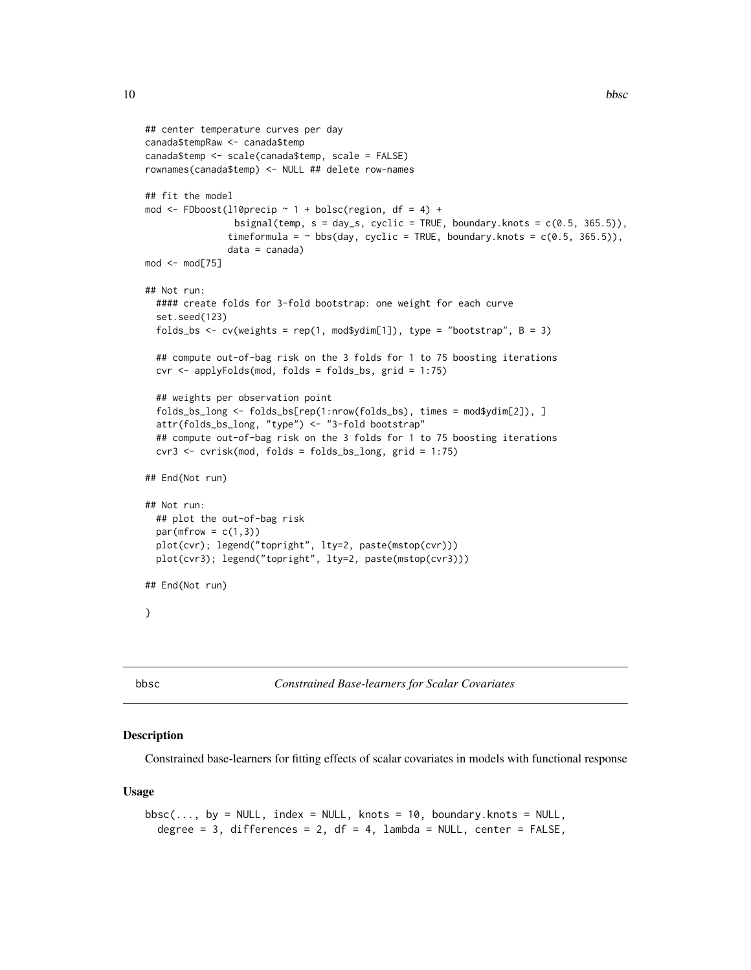```
## center temperature curves per day
canada$tempRaw <- canada$temp
canada$temp <- scale(canada$temp, scale = FALSE)
rownames(canada$temp) <- NULL ## delete row-names
## fit the model
mod <- FDboost(l10precip \sim 1 + bolsc(region, df = 4) +
                bsignal(temp, s = day_s, cyclic = TRUE, boundary.knots = c(0.5, 365.5)),
               timeformula = \sim bbs(day, cyclic = TRUE, boundary.knots = c(0.5, 365.5)),
               data = canada)
mod < - mod[75]
## Not run:
 #### create folds for 3-fold bootstrap: one weight for each curve
 set.seed(123)
 folds_bs <- cv(weights = rep(1, mod$ydim[1]), type = "bootstrap", B = 3)
 ## compute out-of-bag risk on the 3 folds for 1 to 75 boosting iterations
 cvr <- applyFolds(mod, folds = folds_bs, grid = 1:75)
 ## weights per observation point
 folds_bs_long <- folds_bs[rep(1:nrow(folds_bs), times = mod$ydim[2]), ]
 attr(folds_bs_long, "type") <- "3-fold bootstrap"
 ## compute out-of-bag risk on the 3 folds for 1 to 75 boosting iterations
 cvr3 <- cvrisk(mod, folds = folds_bs_long, grid = 1:75)
## End(Not run)
## Not run:
 ## plot the out-of-bag risk
 par(mfrow = c(1,3))plot(cvr); legend("topright", lty=2, paste(mstop(cvr)))
 plot(cvr3); legend("topright", lty=2, paste(mstop(cvr3)))
## End(Not run)
}
```
<span id="page-9-2"></span>

bbsc *Constrained Base-learners for Scalar Covariates*

#### <span id="page-9-1"></span>Description

Constrained base-learners for fitting effects of scalar covariates in models with functional response

#### Usage

```
bbsc(..., by = NULL, index = NULL, knots = 10, boundary.knots = NULL,degree = 3, differences = 2, df = 4, lambda = NULL, center = FALSE,
```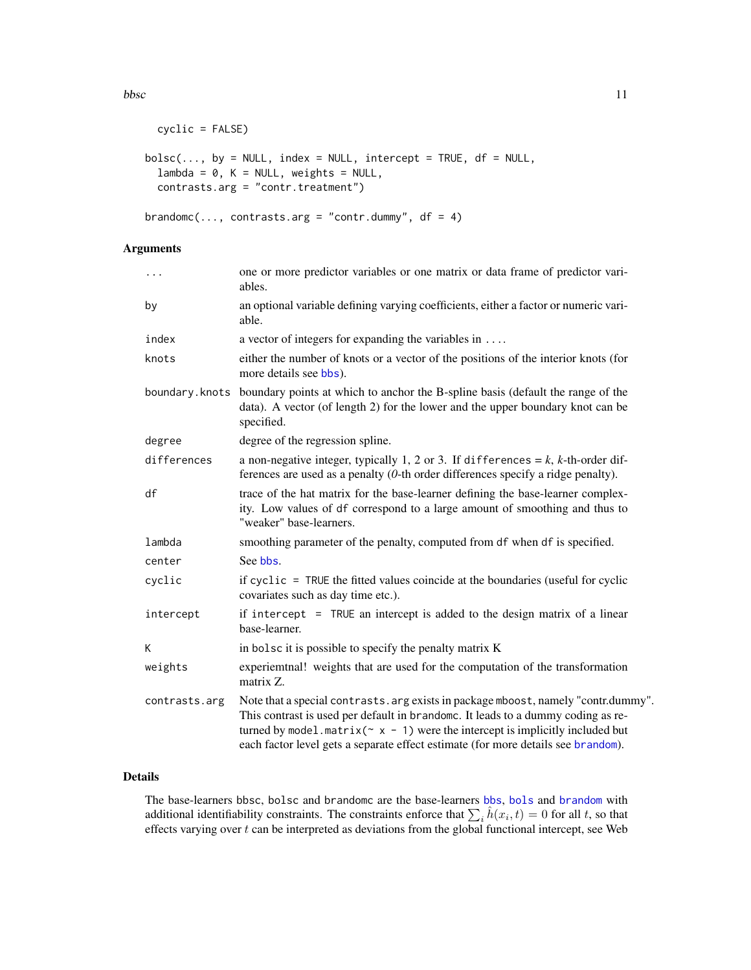bbsc 11

```
cyclic = FALSE)
bolsc(..., by = NULL, index = NULL, intercept = TRUE, df = NULL,lambda = 0, K = NULL, weights = NULL,
 contrasts.arg = "contr.treatment")
brandomc(..., contrasts.arg = "contr.dummy", df = 4)
```
# Arguments

| $\ldots$       | one or more predictor variables or one matrix or data frame of predictor vari-<br>ables.                                                                                                                                                                                                                                                             |
|----------------|------------------------------------------------------------------------------------------------------------------------------------------------------------------------------------------------------------------------------------------------------------------------------------------------------------------------------------------------------|
| by             | an optional variable defining varying coefficients, either a factor or numeric vari-<br>able.                                                                                                                                                                                                                                                        |
| index          | a vector of integers for expanding the variables in $\dots$                                                                                                                                                                                                                                                                                          |
| knots          | either the number of knots or a vector of the positions of the interior knots (for<br>more details see bbs).                                                                                                                                                                                                                                         |
| boundary.knots | boundary points at which to anchor the B-spline basis (default the range of the<br>data). A vector (of length 2) for the lower and the upper boundary knot can be<br>specified.                                                                                                                                                                      |
| degree         | degree of the regression spline.                                                                                                                                                                                                                                                                                                                     |
| differences    | a non-negative integer, typically 1, 2 or 3. If differences = $k$ , $k$ -th-order dif-<br>ferences are used as a penalty $(0$ -th order differences specify a ridge penalty).                                                                                                                                                                        |
| df             | trace of the hat matrix for the base-learner defining the base-learner complex-<br>ity. Low values of df correspond to a large amount of smoothing and thus to<br>"weaker" base-learners.                                                                                                                                                            |
| lambda         | smoothing parameter of the penalty, computed from df when df is specified.                                                                                                                                                                                                                                                                           |
| center         | See bbs.                                                                                                                                                                                                                                                                                                                                             |
| cyclic         | if cyclic = TRUE the fitted values coincide at the boundaries (useful for cyclic<br>covariates such as day time etc.).                                                                                                                                                                                                                               |
| intercept      | if intercept $=$ TRUE an intercept is added to the design matrix of a linear<br>base-learner.                                                                                                                                                                                                                                                        |
| Κ              | in bolsc it is possible to specify the penalty matrix K                                                                                                                                                                                                                                                                                              |
| weights        | experiemtnal! weights that are used for the computation of the transformation<br>matrix Z.                                                                                                                                                                                                                                                           |
| contrasts.arg  | Note that a special contrasts. arg exists in package mboost, namely "contr.dummy".<br>This contrast is used per default in brandomc. It leads to a dummy coding as re-<br>turned by model. matrix( $\sim x - 1$ ) were the intercept is implicitly included but<br>each factor level gets a separate effect estimate (for more details see brandom). |

# Details

The base-learners bbsc, bolsc and brandomc are the base-learners [bbs](#page-0-0), [bols](#page-0-0) and [brandom](#page-0-0) with additional identifiability constraints. The constraints enforce that  $\sum_i \hat{h}(x_i, t) = 0$  for all t, so that effects varying over  $t$  can be interpreted as deviations from the global functional intercept, see Web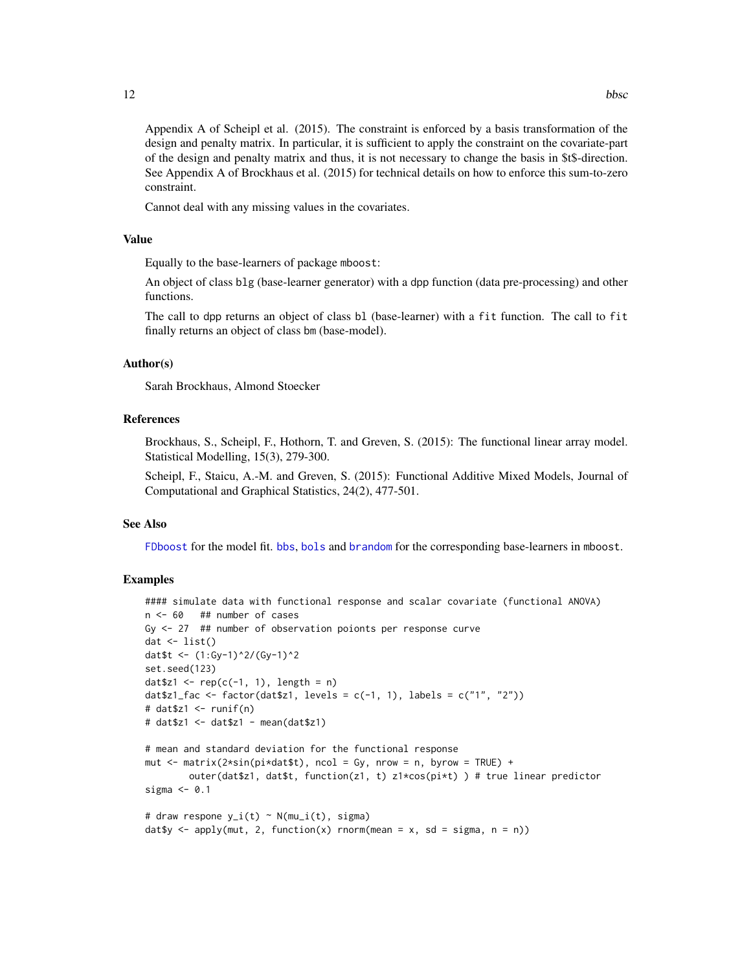Appendix A of Scheipl et al. (2015). The constraint is enforced by a basis transformation of the design and penalty matrix. In particular, it is sufficient to apply the constraint on the covariate-part of the design and penalty matrix and thus, it is not necessary to change the basis in \$t\$-direction. See Appendix A of Brockhaus et al. (2015) for technical details on how to enforce this sum-to-zero constraint.

Cannot deal with any missing values in the covariates.

### Value

Equally to the base-learners of package mboost:

An object of class blg (base-learner generator) with a dpp function (data pre-processing) and other functions.

The call to dpp returns an object of class bl (base-learner) with a fit function. The call to fit finally returns an object of class bm (base-model).

#### Author(s)

Sarah Brockhaus, Almond Stoecker

#### References

Brockhaus, S., Scheipl, F., Hothorn, T. and Greven, S. (2015): The functional linear array model. Statistical Modelling, 15(3), 279-300.

Scheipl, F., Staicu, A.-M. and Greven, S. (2015): Functional Additive Mixed Models, Journal of Computational and Graphical Statistics, 24(2), 477-501.

#### See Also

[FDboost](#page-28-1) for the model fit. [bbs](#page-0-0), [bols](#page-0-0) and [brandom](#page-0-0) for the corresponding base-learners in mboost.

#### Examples

```
#### simulate data with functional response and scalar covariate (functional ANOVA)
n <- 60 ## number of cases
Gy <- 27 ## number of observation poionts per response curve
dat \leftarrow list()
dat$t <- (1:Gy-1)^2/(Gy-1)^2
set.seed(123)
datz1 \leftarrow \text{rep}(c(-1, 1), \text{length} = n)dat$z1_fac <- factor(dat$z1, levels = c(-1, 1), labels = c("1", "2"))
# dat$z1 < - runif(n)# dat$z1 <- dat$z1 - mean(dat$z1)
# mean and standard deviation for the functional response
mut \le matrix(2*sin(pi*dat$t), ncol = Gy, nrow = n, byrow = TRUE) +
        outer(dat$z1, dat$t, function(z1, t) z1*cos(pi*t) ) # true linear predictor
sigma <-0.1# draw respone y_i(t) \sim N(mu_i(t), \text{sigma})dat$y <- apply(mut, 2, function(x) rnorm(mean = x, sd = sigma, n = n))
```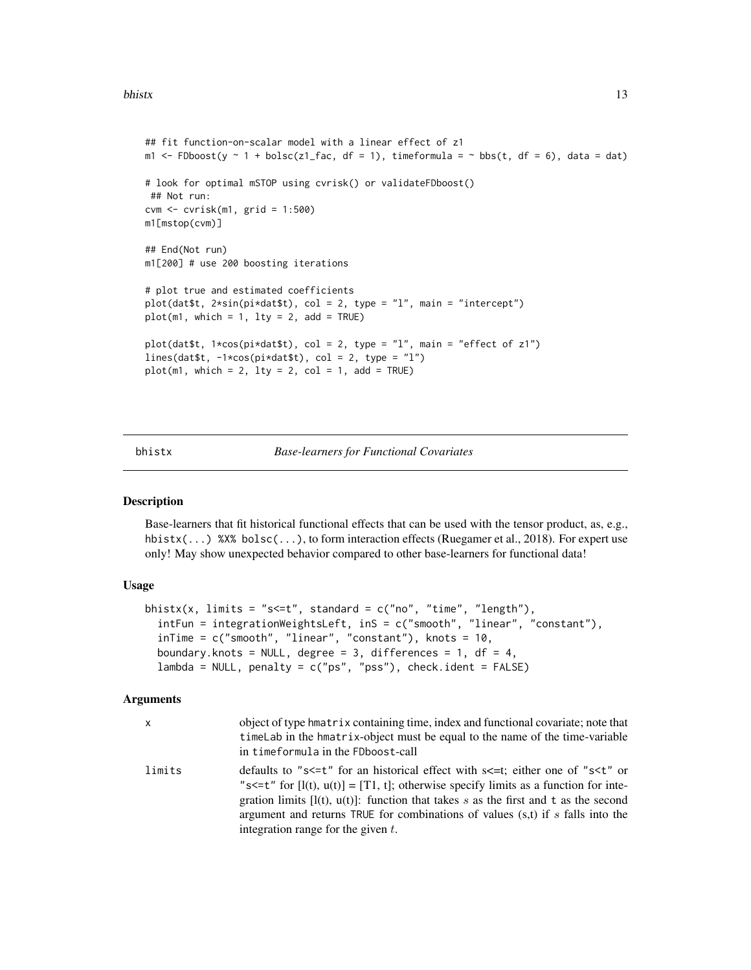#### <span id="page-12-0"></span>bhistx and the contract of the contract of the contract of the contract of the contract of the contract of the contract of the contract of the contract of the contract of the contract of the contract of the contract of the

```
## fit function-on-scalar model with a linear effect of z1
m1 <- FDboost(y \sim 1 + bolsc(z1_fac, df = 1), timeformula = \sim bbs(t, df = 6), data = dat)
# look for optimal mSTOP using cvrisk() or validateFDboost()
 ## Not run:
cvm <- cvrisk(m1, grid = 1:500)
m1[mstop(cvm)]
## End(Not run)
m1[200] # use 200 boosting iterations
# plot true and estimated coefficients
plot(data$t, 2 * sin(pixdata$t), col = 2, type = "l", main = "intercept")
plot(m1, which = 1, lty = 2, add = TRUE)plot(dat$t, 1*cos(pi*dat$t), col = 2, type = "l", main = "effect of z1")
lines(dat$t, -1*cos(pi*dat$t), col = 2, type = "l")
plot(m1, which = 2, lty = 2, col = 1, add = TRUE)
```
<span id="page-12-1"></span>

#### bhistx *Base-learners for Functional Covariates*

#### Description

Base-learners that fit historical functional effects that can be used with the tensor product, as, e.g., hbistx(...) %X% bolsc(...), to form interaction effects (Ruegamer et al., 2018). For expert use only! May show unexpected behavior compared to other base-learners for functional data!

#### Usage

```
bhistx(x, limits = "s<=t", standard = c("no", "time", "length"),intFun = integrationWeightsLeft, inS = c("smooth", "linear", "constant"),
  inTime = c("smooth", "linear", "constant"), knots = 10,
  boundary.knots = NULL, degree = 3, differences = 1, df = 4,
  lambda = NULL, penalty = c("ps", "pss"), check.ident = FALSE)
```
#### Arguments

| X      | object of type hmatrix containing time, index and functional covariate; note that<br>timeLab in the hmatrix-object must be equal to the name of the time-variable<br>in timeformula in the FDboost-call                                                                                                                                                                                                                                   |
|--------|-------------------------------------------------------------------------------------------------------------------------------------------------------------------------------------------------------------------------------------------------------------------------------------------------------------------------------------------------------------------------------------------------------------------------------------------|
| limits | defaults to "s<=t" for an historical effect with s<=t; either one of "s <t" or<br="">"s&lt;=t" for <math>[i(t), u(t)] = [T1, t]</math>; otherwise specify limits as a function for inte-<br/>gration limits <math>[I(t), u(t)]</math>: function that takes s as the first and t as the second<br/>argument and returns TRUE for combinations of values (s,t) if s falls into the<br/>integration range for the given <math>t</math>.</t"> |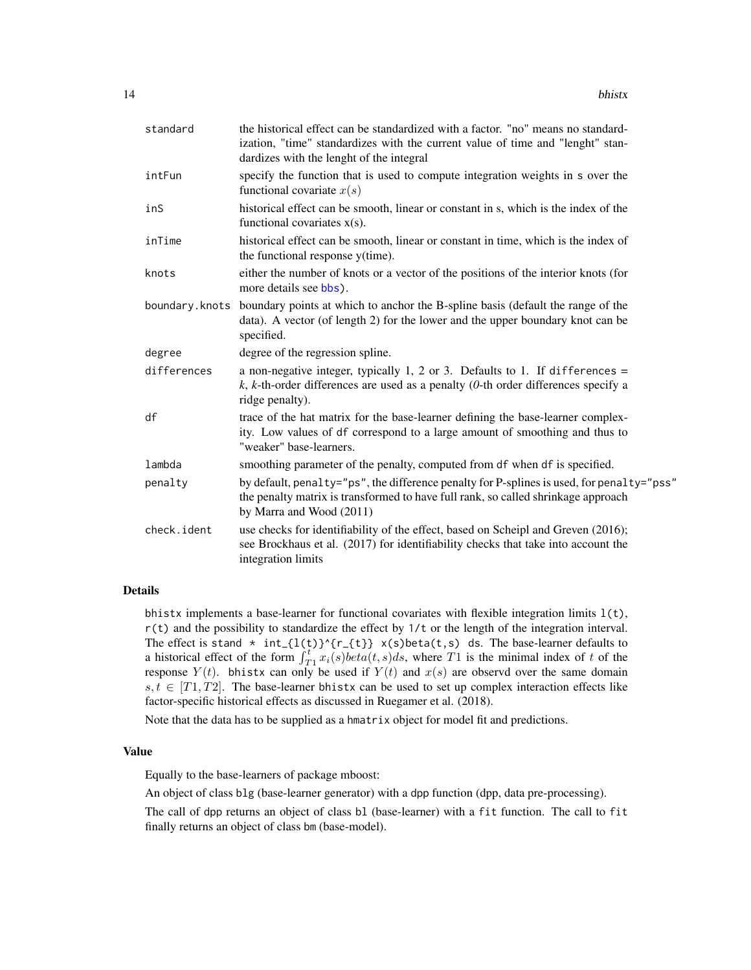| standard    | the historical effect can be standardized with a factor. "no" means no standard-<br>ization, "time" standardizes with the current value of time and "lenght" stan-<br>dardizes with the lenght of the integral |
|-------------|----------------------------------------------------------------------------------------------------------------------------------------------------------------------------------------------------------------|
| intFun      | specify the function that is used to compute integration weights in s over the<br>functional covariate $x(s)$                                                                                                  |
| inS         | historical effect can be smooth, linear or constant in s, which is the index of the<br>functional covariates $x(s)$ .                                                                                          |
| inTime      | historical effect can be smooth, linear or constant in time, which is the index of<br>the functional response y(time).                                                                                         |
| knots       | either the number of knots or a vector of the positions of the interior knots (for<br>more details see bbs).                                                                                                   |
|             | boundary. knots boundary points at which to anchor the B-spline basis (default the range of the<br>data). A vector (of length 2) for the lower and the upper boundary knot can be<br>specified.                |
| degree      | degree of the regression spline.                                                                                                                                                                               |
| differences | a non-negative integer, typically 1, 2 or 3. Defaults to 1. If differences $=$<br>k, k-th-order differences are used as a penalty (0-th order differences specify a<br>ridge penalty).                         |
| df          | trace of the hat matrix for the base-learner defining the base-learner complex-<br>ity. Low values of df correspond to a large amount of smoothing and thus to<br>"weaker" base-learners.                      |
| lambda      | smoothing parameter of the penalty, computed from df when df is specified.                                                                                                                                     |
| penalty     | by default, penalty="ps", the difference penalty for P-splines is used, for penalty="pss"<br>the penalty matrix is transformed to have full rank, so called shrinkage approach<br>by Marra and Wood (2011)     |
| check.ident | use checks for identifiability of the effect, based on Scheipl and Greven (2016);<br>see Brockhaus et al. (2017) for identifiability checks that take into account the<br>integration limits                   |

#### Details

bhistx implements a base-learner for functional covariates with flexible integration limits  $l(t)$ ,  $r(t)$  and the possibility to standardize the effect by  $1/t$  or the length of the integration interval. The effect is stand  $* int_{1}(l(t))^{(r_{t}+1)} x(s)$  beta(t,s) ds. The base-learner defaults to a historical effect of the form  $\int_{T_1}^{t} x_i(s) \cdot beta(t, s) ds$ , where T1 is the minimal index of t of the response  $Y(t)$ . bhistx can only be used if  $Y(t)$  and  $x(s)$  are observd over the same domain  $s, t \in [T1, T2]$ . The base-learner bhistx can be used to set up complex interaction effects like factor-specific historical effects as discussed in Ruegamer et al. (2018).

Note that the data has to be supplied as a hmatrix object for model fit and predictions.

# Value

Equally to the base-learners of package mboost:

An object of class blg (base-learner generator) with a dpp function (dpp, data pre-processing).

The call of dpp returns an object of class bl (base-learner) with a fit function. The call to fit finally returns an object of class bm (base-model).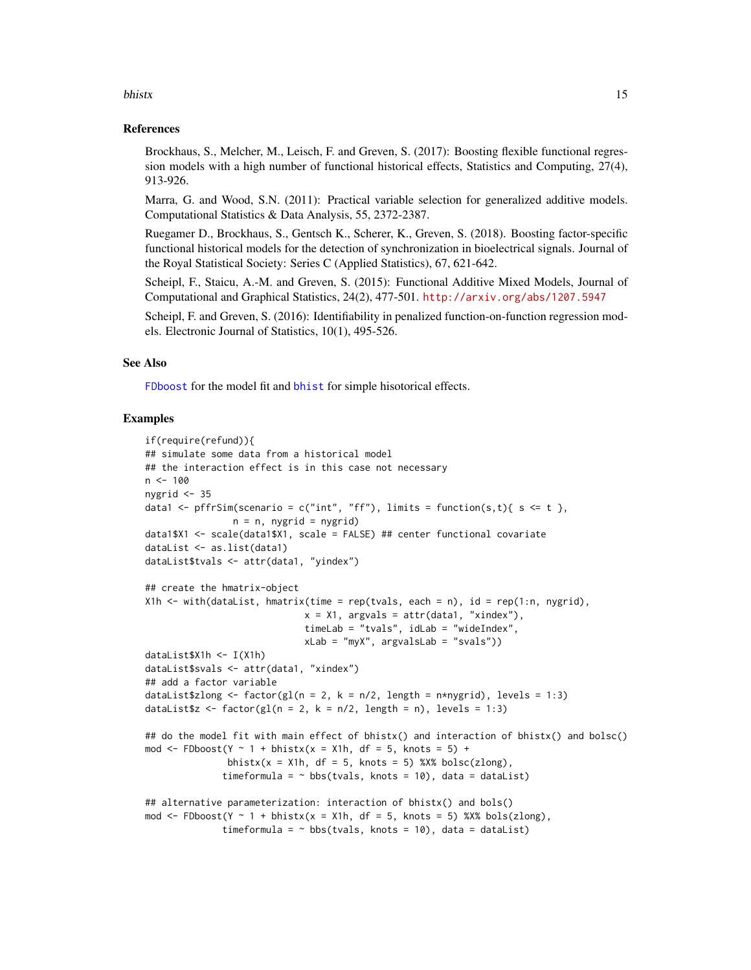#### bhistx and the contract of the contract of the contract of the contract of the contract of the contract of the contract of the contract of the contract of the contract of the contract of the contract of the contract of the

#### References

Brockhaus, S., Melcher, M., Leisch, F. and Greven, S. (2017): Boosting flexible functional regression models with a high number of functional historical effects, Statistics and Computing, 27(4), 913-926.

Marra, G. and Wood, S.N. (2011): Practical variable selection for generalized additive models. Computational Statistics & Data Analysis, 55, 2372-2387.

Ruegamer D., Brockhaus, S., Gentsch K., Scherer, K., Greven, S. (2018). Boosting factor-specific functional historical models for the detection of synchronization in bioelectrical signals. Journal of the Royal Statistical Society: Series C (Applied Statistics), 67, 621-642.

Scheipl, F., Staicu, A.-M. and Greven, S. (2015): Functional Additive Mixed Models, Journal of Computational and Graphical Statistics, 24(2), 477-501. <http://arxiv.org/abs/1207.5947>

Scheipl, F. and Greven, S. (2016): Identifiability in penalized function-on-function regression models. Electronic Journal of Statistics, 10(1), 495-526.

#### See Also

[FDboost](#page-28-1) for the model fit and [bhist](#page-18-1) for simple hisotorical effects.

#### Examples

```
if(require(refund)){
## simulate some data from a historical model
## the interaction effect is in this case not necessary
n < -100nygrid <- 35
data1 <- pffrSim(scenario = c("int", "ff"), limits = function(s,t){ s <= t },
                n = n, nygrid = nygrid)
data1$X1 <- scale(data1$X1, scale = FALSE) ## center functional covariate
dataList <- as.list(data1)
dataList$tvals <- attr(data1, "yindex")
## create the hmatrix-object
X1h \le with(dataList, hmatrix(time = rep(tvals, each = n), id = rep(1:n, nygrid),
                             x = X1, argvals = attr(data1, "xindex"),
                             timeLab = "tvals", idLab = "wideIndex",
                             xLab = "myX", argvalslab = "svals")dataList$X1h <- I(X1h)
dataList$svals <- attr(data1, "xindex")
## add a factor variable
dataList$zlong <- factor(gl(n = 2, k = n/2, length = n*nygrid), levels = 1:3)
dataList$z <- factor(gl(n = 2, k = n/2, length = n), levels = 1:3)
## do the model fit with main effect of bhistx() and interaction of bhistx() and bolsc()
mod \le FDboost(Y \sim 1 + bhistx(x = X1h, df = 5, knots = 5) +
               bhistx(x = X1h, df = 5, knots = 5) %X% bolsc(zlong),
              timeformula = \sim bbs(tvals, knots = 10), data = dataList)
## alternative parameterization: interaction of bhistx() and bols()
mod \leq FDboost(Y \sim 1 + bhistx(x = X1h, df = 5, knots = 5) %X% bols(zlong),
              timeformula = \sim bbs(tvals, knots = 10), data = dataList)
```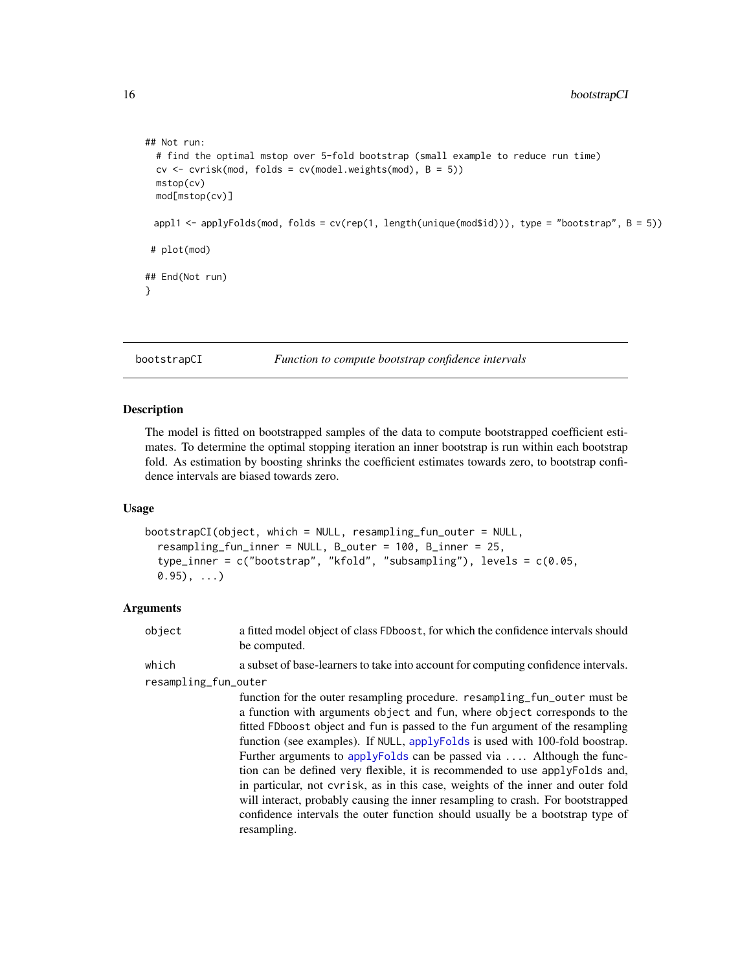```
## Not run:
 # find the optimal mstop over 5-fold bootstrap (small example to reduce run time)
 cv \leq cv cvrisk(mod, folds = cv(model.weights(mod), B = 5))
 mstop(cv)
 mod[mstop(cv)]
 appl1 <- applyFolds(mod, folds = cv(rep(1, length(unique(mod$id))), type = "bootstrap", B = 5))
# plot(mod)
## End(Not run)
}
```

```
bootstrapCI Function to compute bootstrap confidence intervals
```
#### Description

The model is fitted on bootstrapped samples of the data to compute bootstrapped coefficient estimates. To determine the optimal stopping iteration an inner bootstrap is run within each bootstrap fold. As estimation by boosting shrinks the coefficient estimates towards zero, to bootstrap confidence intervals are biased towards zero.

#### Usage

```
bootstrapCI(object, which = NULL, resampling_fun_outer = NULL,
  resampling_fun_inner = NULL, B_outer = 100, B_inner = 25,
  type_inner = c("bootstrap", "kfold", "subsampling"), levels = c(0.05,
  (0.95), \ldots)
```
# Arguments

object a fitted model object of class FDboost, for which the confidence intervals should be computed.

which a subset of base-learners to take into account for computing confidence intervals. resampling\_fun\_outer

> function for the outer resampling procedure. resampling\_fun\_outer must be a function with arguments object and fun, where object corresponds to the fitted FDboost object and fun is passed to the fun argument of the resampling function (see examples). If NULL, [applyFolds](#page-6-1) is used with 100-fold boostrap. Further arguments to [applyFolds](#page-6-1) can be passed via .... Although the function can be defined very flexible, it is recommended to use applyFolds and, in particular, not cvrisk, as in this case, weights of the inner and outer fold will interact, probably causing the inner resampling to crash. For bootstrapped confidence intervals the outer function should usually be a bootstrap type of resampling.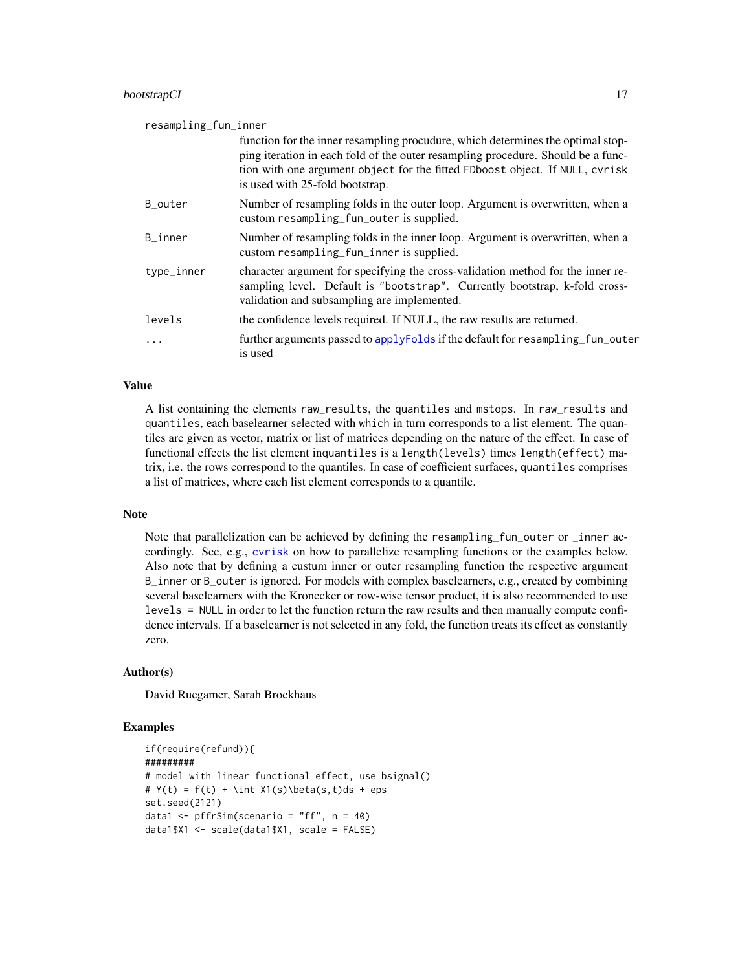#### bootstrapCI 17

# resampling\_fun\_inner function for the inner resampling procudure, which determines the optimal stopping iteration in each fold of the outer resampling procedure. Should be a function with one argument object for the fitted FDboost object. If NULL, cvrisk is used with 25-fold bootstrap. B\_outer Number of resampling folds in the outer loop. Argument is overwritten, when a custom resampling\_fun\_outer is supplied. B\_inner Number of resampling folds in the inner loop. Argument is overwritten, when a custom resampling\_fun\_inner is supplied. type\_inner character argument for specifying the cross-validation method for the inner resampling level. Default is "bootstrap". Currently bootstrap, k-fold crossvalidation and subsampling are implemented. levels the confidence levels required. If NULL, the raw results are returned. ... further arguments passed to [applyFolds](#page-6-1) if the default for resampling\_fun\_outer is used

# Value

A list containing the elements raw\_results, the quantiles and mstops. In raw\_results and quantiles, each baselearner selected with which in turn corresponds to a list element. The quantiles are given as vector, matrix or list of matrices depending on the nature of the effect. In case of functional effects the list element inquantiles is a length(levels) times length(effect) matrix, i.e. the rows correspond to the quantiles. In case of coefficient surfaces, quantiles comprises a list of matrices, where each list element corresponds to a quantile.

# Note

Note that parallelization can be achieved by defining the resampling\_fun\_outer or \_inner accordingly. See, e.g., [cvrisk](#page-0-0) on how to parallelize resampling functions or the examples below. Also note that by defining a custum inner or outer resampling function the respective argument B\_inner or B\_outer is ignored. For models with complex baselearners, e.g., created by combining several baselearners with the Kronecker or row-wise tensor product, it is also recommended to use levels = NULL in order to let the function return the raw results and then manually compute confidence intervals. If a baselearner is not selected in any fold, the function treats its effect as constantly zero.

# Author(s)

David Ruegamer, Sarah Brockhaus

# Examples

```
if(require(refund)){
#########
# model with linear functional effect, use bsignal()
# Y(t) = f(t) + \int X1(s)\beta(s,t)ds + epsset.seed(2121)
data1 \leq pffrSim(scenario = "ff", n = 40)
data1$X1 <- scale(data1$X1, scale = FALSE)
```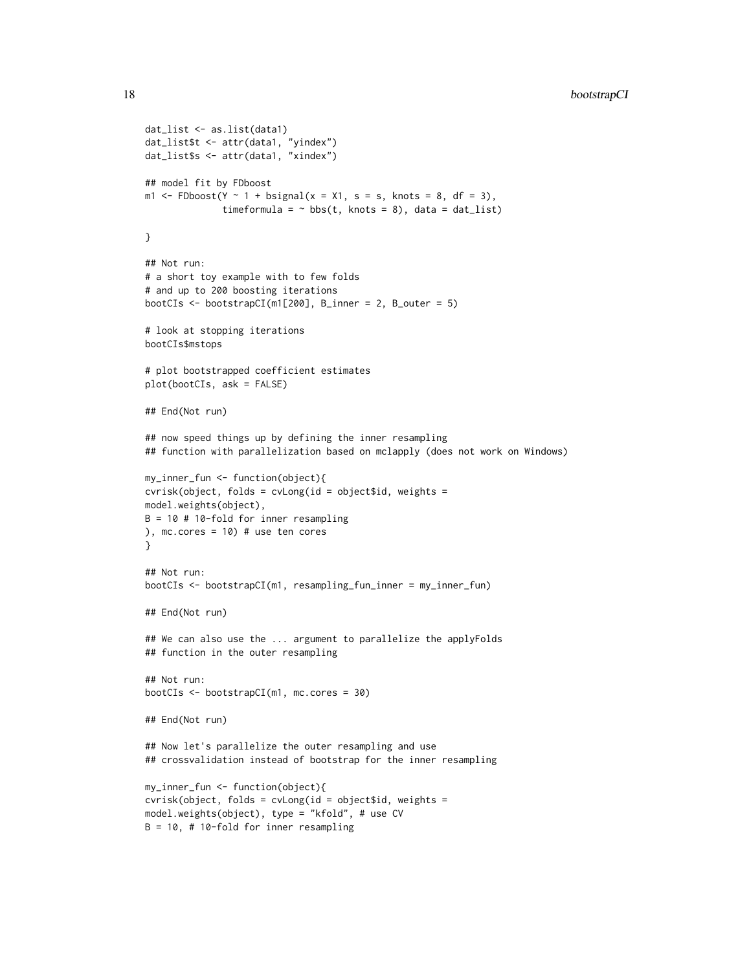```
dat_list <- as.list(data1)
dat_list$t <- attr(data1, "yindex")
dat_list$s <- attr(data1, "xindex")
## model fit by FDboost
m1 <- FDboost(Y \sim 1 + bsignal(x = X1, s = s, knots = 8, df = 3),
              timeformula = \sim bbs(t, knots = 8), data = dat_list)
}
## Not run:
# a short toy example with to few folds
# and up to 200 boosting iterations
bootCIs \leq bootstrapCI(m1[200], B_inner = 2, B_outer = 5)
# look at stopping iterations
bootCIs$mstops
# plot bootstrapped coefficient estimates
plot(bootCIs, ask = FALSE)
## End(Not run)
## now speed things up by defining the inner resampling
## function with parallelization based on mclapply (does not work on Windows)
my_inner_fun <- function(object){
cvrisk(object, folds = cvLong(id = object$id, weights =
model.weights(object),
B = 10 # 10-fold for inner resampling
), mc.cores = 10) # use ten cores
}
## Not run:
bootCIs <- bootstrapCI(m1, resampling_fun_inner = my_inner_fun)
## End(Not run)
## We can also use the ... argument to parallelize the applyFolds
## function in the outer resampling
## Not run:
bootCIs <- bootstrapCI(m1, mc.cores = 30)
## End(Not run)
## Now let's parallelize the outer resampling and use
## crossvalidation instead of bootstrap for the inner resampling
my_inner_fun <- function(object){
cvrisk(object, folds = cvLong(id = object$id, weights =
model.weights(object), type = "kfold", # use CV
B = 10, # 10-fold for inner resampling
```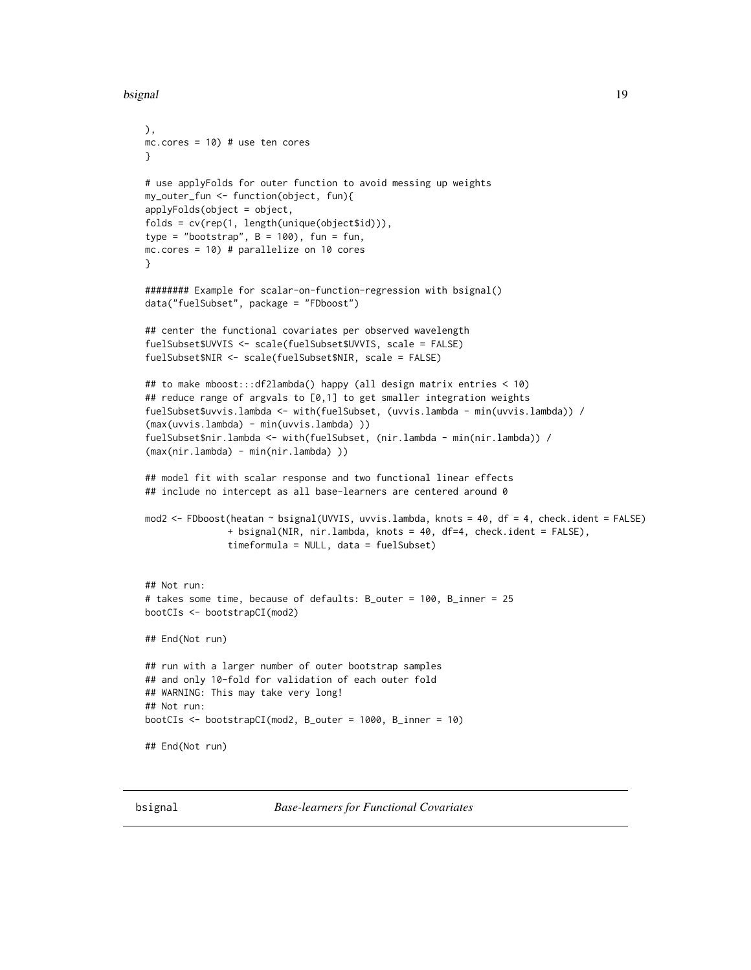```
bsignal the contract of the contract of the contract of the contract of the contract of the contract of the contract of the contract of the contract of the contract of the contract of the contract of the contract of the co
```

```
),
mc.cores = 10) # use ten cores
}
# use applyFolds for outer function to avoid messing up weights
my_outer_fun <- function(object, fun){
applyFolds(object = object,
folds = cv(rep(1, length(unique(object$id))),
type = "bootstrap", B = 100), fun = fun,
mc.cores = 10) # parallelize on 10 cores
}
######## Example for scalar-on-function-regression with bsignal()
data("fuelSubset", package = "FDboost")
## center the functional covariates per observed wavelength
fuelSubset$UVVIS <- scale(fuelSubset$UVVIS, scale = FALSE)
fuelSubset$NIR <- scale(fuelSubset$NIR, scale = FALSE)
## to make mboost:::df2lambda() happy (all design matrix entries < 10)
## reduce range of argvals to [0,1] to get smaller integration weights
fuelSubset$uvvis.lambda <- with(fuelSubset, (uvvis.lambda - min(uvvis.lambda)) /
(max(uvvis.lambda) - min(uvvis.lambda) ))
fuelSubset$nir.lambda <- with(fuelSubset, (nir.lambda - min(nir.lambda)) /
(max(nir.lambda) - min(nir.lambda) ))
## model fit with scalar response and two functional linear effects
## include no intercept as all base-learners are centered around 0
mod2 <- FDboost(heatan ~ bsignal(UVVIS, uvvis.lambda, knots = 40, df = 4, check.ident = FALSE)
               + bsignal(NIR, nir.lambda, knots = 40, df=4, check.ident = FALSE),
               timeformula = NULL, data = fuelSubset)
## Not run:
# takes some time, because of defaults: B_outer = 100, B_inner = 25
bootCIs <- bootstrapCI(mod2)
## End(Not run)
## run with a larger number of outer bootstrap samples
## and only 10-fold for validation of each outer fold
## WARNING: This may take very long!
## Not run:
bootCIs <- bootstrapCI(mod2, B_outer = 1000, B_inner = 10)
## End(Not run)
```
<span id="page-18-2"></span><span id="page-18-1"></span>bsignal *Base-learners for Functional Covariates*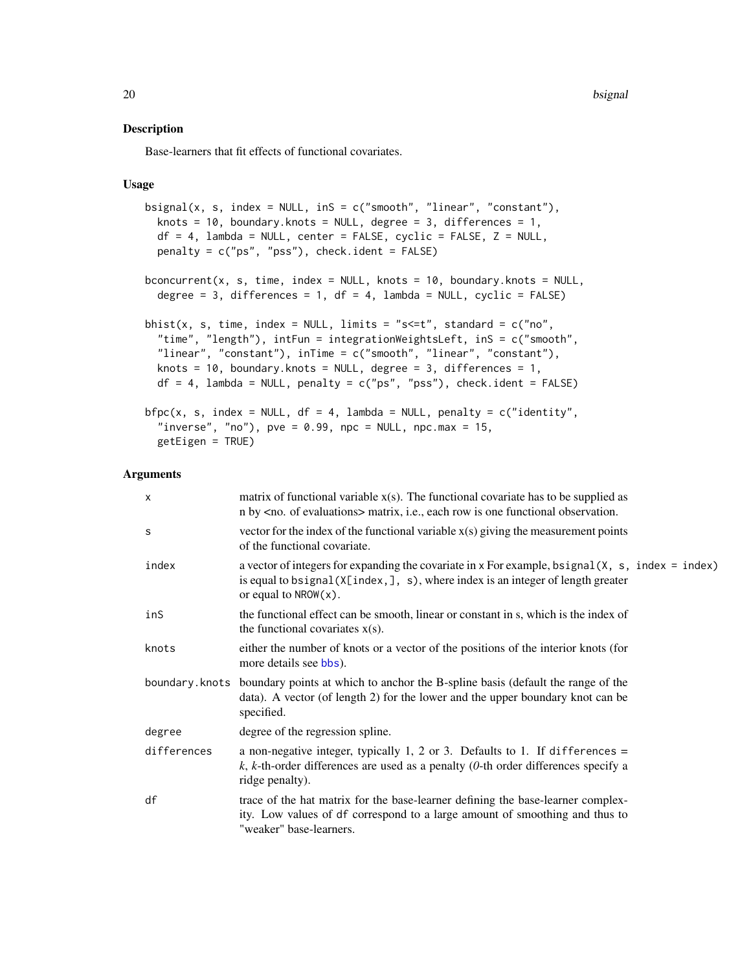#### Description

Base-learners that fit effects of functional covariates.

# Usage

```
bsignal(x, s, index = NULL, inS = c("smooth", "linear", "constant"),knots = 10, boundary.knots = NULL, degree = 3, differences = 1,
 df = 4, lambda = NULL, center = FALSE, cyclic = FALSE, Z = NULL,
 penalty = c("ps", "pss"), check.ident = FALSE)
bconcurrent(x, s, time, index = NULL, knots = 10, boundary.knots = NULL,
  degree = 3, differences = 1, df = 4, lambda = NULL, cyclic = FALSE)
bhist(x, s, time, index = NULL, limits = "s <= t", standard = c("no","time", "length"), intFun = integrationWeightsLeft, inS = c("smooth",
  "linear", "constant"), inTime = c("smooth", "linear", "constant"),
 knots = 10, boundary. knots = NULL, degree = 3, differences = 1,
 df = 4, lambda = NULL, penalty = c("ps", "pss"), check.ident = FALSE)
bfpc(x, s, index = NULL, df = 4, lambda = NULL, penalty = c("identity",
  "inverse", "no"), pve = 0.99, npc = NULL, npc.max = 15,
  getEigen = TRUE)
```
# Arguments

| $\mathsf{x}$ | matrix of functional variable $x(s)$ . The functional covariate has to be supplied as<br>n by <no. evaluations="" of=""> matrix, i.e., each row is one functional observation.</no.>                                  |
|--------------|-----------------------------------------------------------------------------------------------------------------------------------------------------------------------------------------------------------------------|
| S            | vector for the index of the functional variable $x(s)$ giving the measurement points<br>of the functional covariate.                                                                                                  |
| index        | a vector of integers for expanding the covariate in $x$ For example, bsignal $(x, s, index = index)$<br>is equal to bsignal $(X[index,], s)$ , where index is an integer of length greater<br>or equal to $NROW(x)$ . |
| inS          | the functional effect can be smooth, linear or constant in s, which is the index of<br>the functional covariates $x(s)$ .                                                                                             |
| knots        | either the number of knots or a vector of the positions of the interior knots (for<br>more details see bbs).                                                                                                          |
|              | boundary. knots boundary points at which to anchor the B-spline basis (default the range of the<br>data). A vector (of length 2) for the lower and the upper boundary knot can be<br>specified.                       |
| degree       | degree of the regression spline.                                                                                                                                                                                      |
| differences  | a non-negative integer, typically 1, 2 or 3. Defaults to 1. If differences =<br>k, k-th-order differences are used as a penalty (0-th order differences specify a<br>ridge penalty).                                  |
| df           | trace of the hat matrix for the base-learner defining the base-learner complex-<br>ity. Low values of df correspond to a large amount of smoothing and thus to<br>"weaker" base-learners.                             |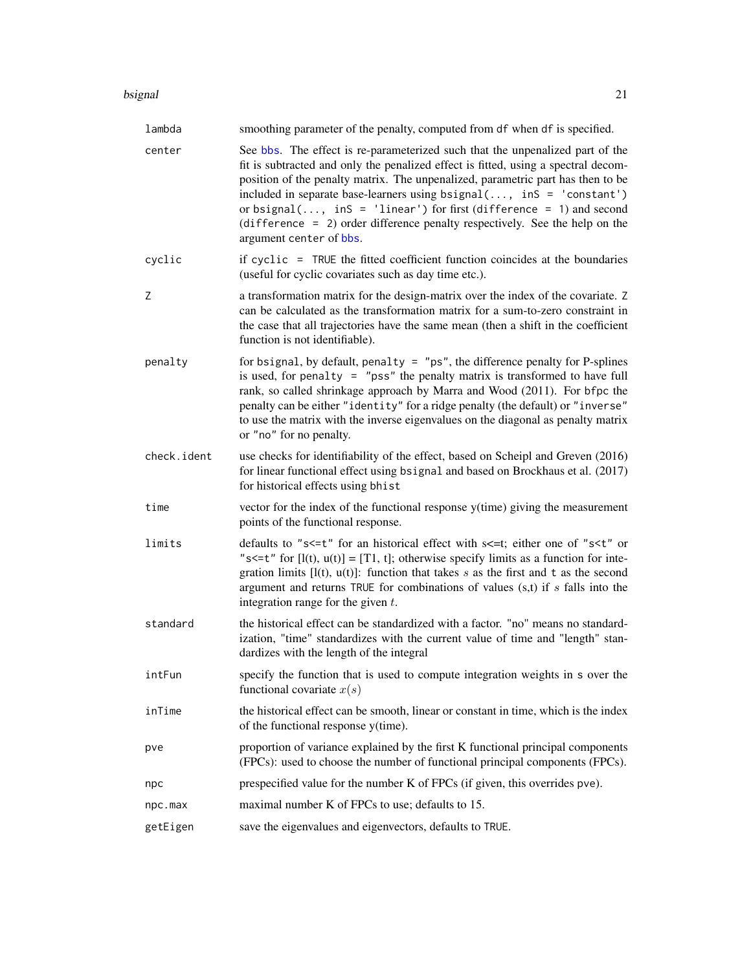#### bsignal 21 and 22 and 22 and 22 and 23 and 23 and 23 and 23 and 23 and 23 and 24 and 25 and 26 and 27 and 27 and 27 and 27 and 27 and 27 and 27 and 27 and 27 and 27 and 27 and 27 and 27 and 27 and 27 and 27 and 27 and 27 a

| lambda      | smoothing parameter of the penalty, computed from df when df is specified.                                                                                                                                                                                                                                                                                                                                                                                                                                       |
|-------------|------------------------------------------------------------------------------------------------------------------------------------------------------------------------------------------------------------------------------------------------------------------------------------------------------------------------------------------------------------------------------------------------------------------------------------------------------------------------------------------------------------------|
| center      | See bbs. The effect is re-parameterized such that the unpenalized part of the<br>fit is subtracted and only the penalized effect is fitted, using a spectral decom-<br>position of the penalty matrix. The unpenalized, parametric part has then to be<br>included in separate base-learners using bsignal(, inS = 'constant')<br>or bsignal(, inS = 'linear') for first (difference = 1) and second<br>$(difference = 2)$ order difference penalty respectively. See the help on the<br>argument center of bbs. |
| cyclic      | if cyclic = TRUE the fitted coefficient function coincides at the boundaries<br>(useful for cyclic covariates such as day time etc.).                                                                                                                                                                                                                                                                                                                                                                            |
| Ζ           | a transformation matrix for the design-matrix over the index of the covariate. Z<br>can be calculated as the transformation matrix for a sum-to-zero constraint in<br>the case that all trajectories have the same mean (then a shift in the coefficient<br>function is not identifiable).                                                                                                                                                                                                                       |
| penalty     | for bsignal, by default, penalty = $"ps"$ , the difference penalty for P-splines<br>is used, for penalty $=$ "pss" the penalty matrix is transformed to have full<br>rank, so called shrinkage approach by Marra and Wood (2011). For bfpc the<br>penalty can be either "identity" for a ridge penalty (the default) or "inverse"<br>to use the matrix with the inverse eigenvalues on the diagonal as penalty matrix<br>or "no" for no penalty.                                                                 |
| check.ident | use checks for identifiability of the effect, based on Scheipl and Greven (2016)<br>for linear functional effect using bsignal and based on Brockhaus et al. (2017)<br>for historical effects using bhist                                                                                                                                                                                                                                                                                                        |
| time        | vector for the index of the functional response y(time) giving the measurement<br>points of the functional response.                                                                                                                                                                                                                                                                                                                                                                                             |
| limits      | defaults to "s<=t" for an historical effect with s<=t; either one of "s <t" or<br="">"s &lt;= t" for <math>[l(t), u(t)] = [T1, t]</math>; otherwise specify limits as a function for inte-<br/>gration limits <math>[I(t), u(t)]</math>: function that takes s as the first and t as the second<br/>argument and returns TRUE for combinations of values <math>(s,t)</math> if s falls into the<br/>integration range for the given <math>t</math>.</t">                                                         |
| standard    | the historical effect can be standardized with a factor. "no" means no standard-<br>ization, "time" standardizes with the current value of time and "length" stan-<br>dardizes with the length of the integral                                                                                                                                                                                                                                                                                                   |
| intFun      | specify the function that is used to compute integration weights in s over the<br>functional covariate $x(s)$                                                                                                                                                                                                                                                                                                                                                                                                    |
| inTime      | the historical effect can be smooth, linear or constant in time, which is the index<br>of the functional response y(time).                                                                                                                                                                                                                                                                                                                                                                                       |
| pve         | proportion of variance explained by the first K functional principal components<br>(FPCs): used to choose the number of functional principal components (FPCs).                                                                                                                                                                                                                                                                                                                                                  |
| npc         | prespecified value for the number K of FPCs (if given, this overrides pve).                                                                                                                                                                                                                                                                                                                                                                                                                                      |
| npc.max     | maximal number K of FPCs to use; defaults to 15.                                                                                                                                                                                                                                                                                                                                                                                                                                                                 |
| getEigen    | save the eigenvalues and eigenvectors, defaults to TRUE.                                                                                                                                                                                                                                                                                                                                                                                                                                                         |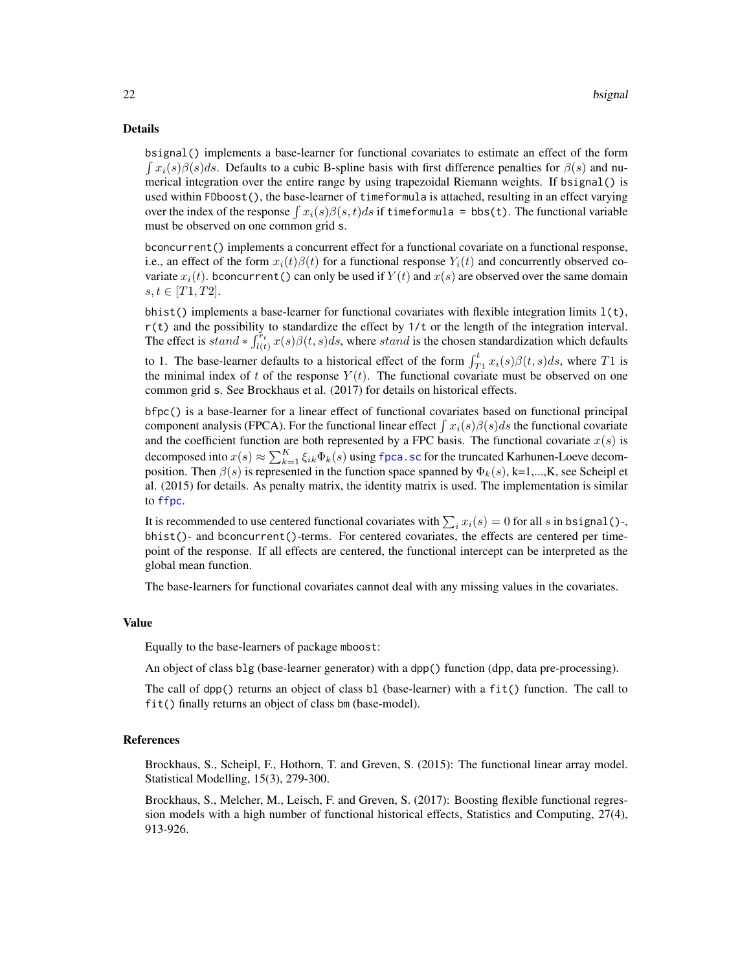#### Details

bsignal() implements a base-learner for functional covariates to estimate an effect of the form  $\int x_i(s)\beta(s)ds$ . Defaults to a cubic B-spline basis with first difference penalties for  $\beta(s)$  and numerical integration over the entire range by using trapezoidal Riemann weights. If bsignal() is used within FDboost(), the base-learner of timeformula is attached, resulting in an effect varying over the index of the response  $\int x_i(s)\beta(s,t)ds$  if timeformula = bbs(t). The functional variable must be observed on one common grid s.

bconcurrent() implements a concurrent effect for a functional covariate on a functional response, i.e., an effect of the form  $x_i(t)\beta(t)$  for a functional response  $Y_i(t)$  and concurrently observed covariate  $x_i(t)$ . bconcurrent() can only be used if  $Y(t)$  and  $x(s)$  are observed over the same domain  $s, t \in [T1, T2].$ 

bhist() implements a base-learner for functional covariates with flexible integration limits  $l(t)$ , r(t) and the possibility to standardize the effect by 1/t or the length of the integration interval. The effect is  $stand * \int_{l(t)}^{r_t} x(s)\beta(t, s)ds$ , where stand is the chosen standardization which defaults to 1. The base-learner defaults to a historical effect of the form  $\int_{T_1}^t x_i(s)\beta(t,s)ds$ , where T1 is the minimal index of t of the response  $Y(t)$ . The functional covariate must be observed on one common grid s. See Brockhaus et al. (2017) for details on historical effects.

bfpc() is a base-learner for a linear effect of functional covariates based on functional principal component analysis (FPCA). For the functional linear effect  $\int x_i(s)\beta(s)ds$  the functional covariate and the coefficient function are both represented by a FPC basis. The functional covariate  $x(s)$  is decomposed into  $x(s) \approx \sum_{k=1}^{K} \xi_{ik} \Phi_k(s)$  using fpca. sc for the truncated Karhunen-Loeve decomposition. Then  $\beta(s)$  is represented in the function space spanned by  $\Phi_k(s)$ , k=1,...,K, see Scheipl et al. (2015) for details. As penalty matrix, the identity matrix is used. The implementation is similar to [ffpc](#page-0-0).

It is recommended to use centered functional covariates with  $\sum_i x_i(s) = 0$  for all s in bsignal()-, bhist()- and bconcurrent()-terms. For centered covariates, the effects are centered per timepoint of the response. If all effects are centered, the functional intercept can be interpreted as the global mean function.

The base-learners for functional covariates cannot deal with any missing values in the covariates.

#### Value

Equally to the base-learners of package mboost:

An object of class blg (base-learner generator) with a dpp() function (dpp, data pre-processing).

The call of dpp() returns an object of class bl (base-learner) with a fit() function. The call to fit() finally returns an object of class bm (base-model).

#### References

Brockhaus, S., Scheipl, F., Hothorn, T. and Greven, S. (2015): The functional linear array model. Statistical Modelling, 15(3), 279-300.

Brockhaus, S., Melcher, M., Leisch, F. and Greven, S. (2017): Boosting flexible functional regression models with a high number of functional historical effects, Statistics and Computing, 27(4), 913-926.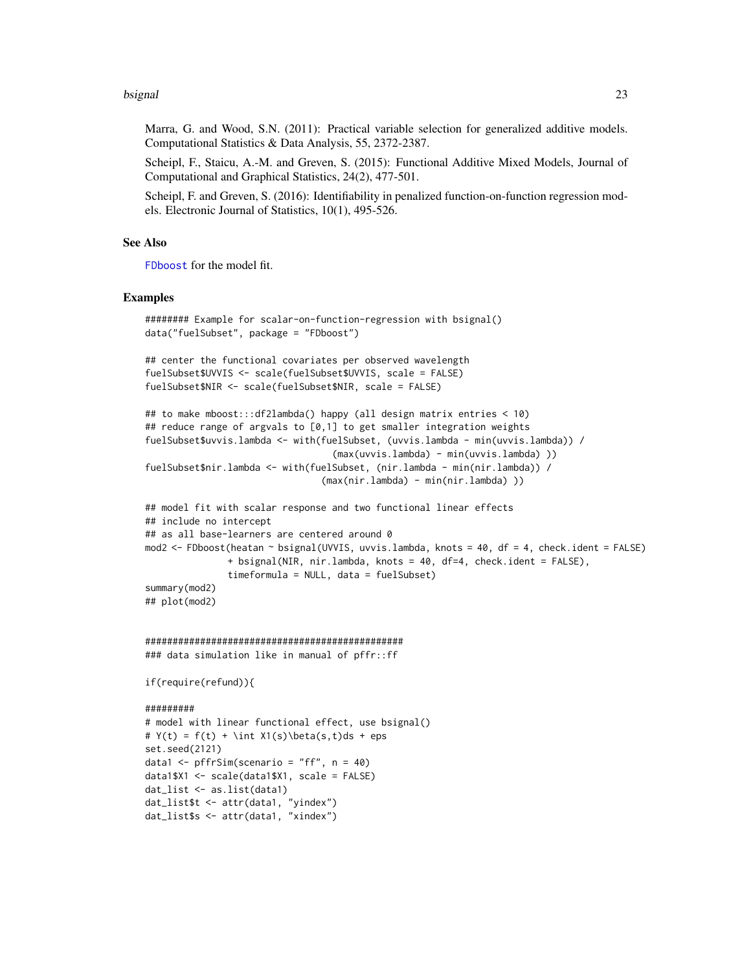#### bsignal 23

Marra, G. and Wood, S.N. (2011): Practical variable selection for generalized additive models. Computational Statistics & Data Analysis, 55, 2372-2387.

Scheipl, F., Staicu, A.-M. and Greven, S. (2015): Functional Additive Mixed Models, Journal of Computational and Graphical Statistics, 24(2), 477-501.

Scheipl, F. and Greven, S. (2016): Identifiability in penalized function-on-function regression models. Electronic Journal of Statistics, 10(1), 495-526.

#### See Also

[FDboost](#page-28-1) for the model fit.

#### Examples

```
######## Example for scalar-on-function-regression with bsignal()
data("fuelSubset", package = "FDboost")
## center the functional covariates per observed wavelength
fuelSubset$UVVIS <- scale(fuelSubset$UVVIS, scale = FALSE)
```

```
fuelSubset$NIR <- scale(fuelSubset$NIR, scale = FALSE)
```

```
## to make mboost:::df2lambda() happy (all design matrix entries < 10)
## reduce range of argvals to [0,1] to get smaller integration weights
fuelSubset$uvvis.lambda <- with(fuelSubset, (uvvis.lambda - min(uvvis.lambda)) /
                                  (max(uvvis.lambda) - min(uvvis.lambda) ))
fuelSubset$nir.lambda <- with(fuelSubset, (nir.lambda - min(nir.lambda)) /
                                (max(nir.lambda) - min(nir.lambda) ))
```

```
## model fit with scalar response and two functional linear effects
## include no intercept
## as all base-learners are centered around 0
mod2 <- FDboost(heatan ~ bsignal(UVVIS, uvvis.lambda, knots = 40, df = 4, check.ident = FALSE)
               + bsignal(NIR, nir.lambda, knots = 40, df=4, check.ident = FALSE),
               timeformula = NULL, data = fuelSubset)
summary(mod2)
## plot(mod2)
```

```
###############################################
### data simulation like in manual of pffr::ff
```

```
if(require(refund)){
```
#########

```
# model with linear functional effect, use bsignal()
# Y(t) = f(t) + \int X1(s)\beta(s,t)ds + epsset.seed(2121)
data1 <- pffrSim(scenario = "ff", n = 40)
data1$X1 <- scale(data1$X1, scale = FALSE)
dat_list <- as.list(data1)
dat_list$t <- attr(data1, "yindex")
dat_list$s <- attr(data1, "xindex")
```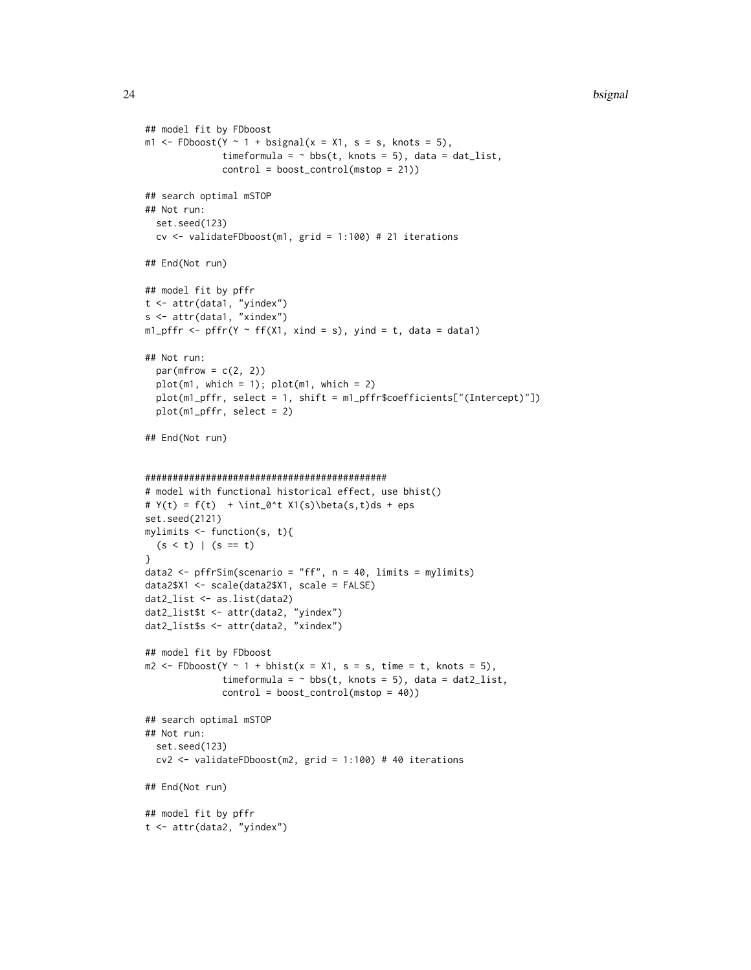```
## model fit by FDboost
m1 <- FDboost(Y ~ 1 + bsignal(x = X1, s = s, knots = 5),
              timeformula = \sim bbs(t, knots = 5), data = dat_list,
              control = boost_countrol(mstop = 21))## search optimal mSTOP
## Not run:
  set.seed(123)
  cv <- validateFDboost(m1, grid = 1:100) # 21 iterations
## End(Not run)
## model fit by pffr
t <- attr(data1, "yindex")
s <- attr(data1, "xindex")
ml_pffr <- pffr(Y ~ ff(X1, xind = s), yind = t, data = data1)
## Not run:
  par(mfrow = c(2, 2))plot(m1, which = 1); plot(m1, which = 2)plot(m1_pffr, select = 1, shift = m1_pffr$coefficients["(Intercept)"])
  plot(m1_pffr, select = 2)
## End(Not run)
############################################
# model with functional historical effect, use bhist()
# Y(t) = f(t) + \int_0^t X1(s)\beta(s,t)ds + epsset.seed(2121)
mylimits <- function(s, t){
  (s < t) | (s == t)}
data2 <- pffrSim(scenario = "ff", n = 40, limits = mylimits)
data2$X1 <- scale(data2$X1, scale = FALSE)
dat2_list <- as.list(data2)
dat2_list$t <- attr(data2, "yindex")
dat2_list$s <- attr(data2, "xindex")
## model fit by FDboost
m2 \leq FDboost(Y \sim 1 + \text{bhist}(x = X1, s = s, time = t, knots = 5),timeformula = \sim bbs(t, knots = 5), data = dat2_list,
              control = boost_control(mstop = 40))
## search optimal mSTOP
## Not run:
  set.seed(123)
  cv2 <- validateFDboost(m2, grid = 1:100) # 40 iterations
## End(Not run)
## model fit by pffr
t <- attr(data2, "yindex")
```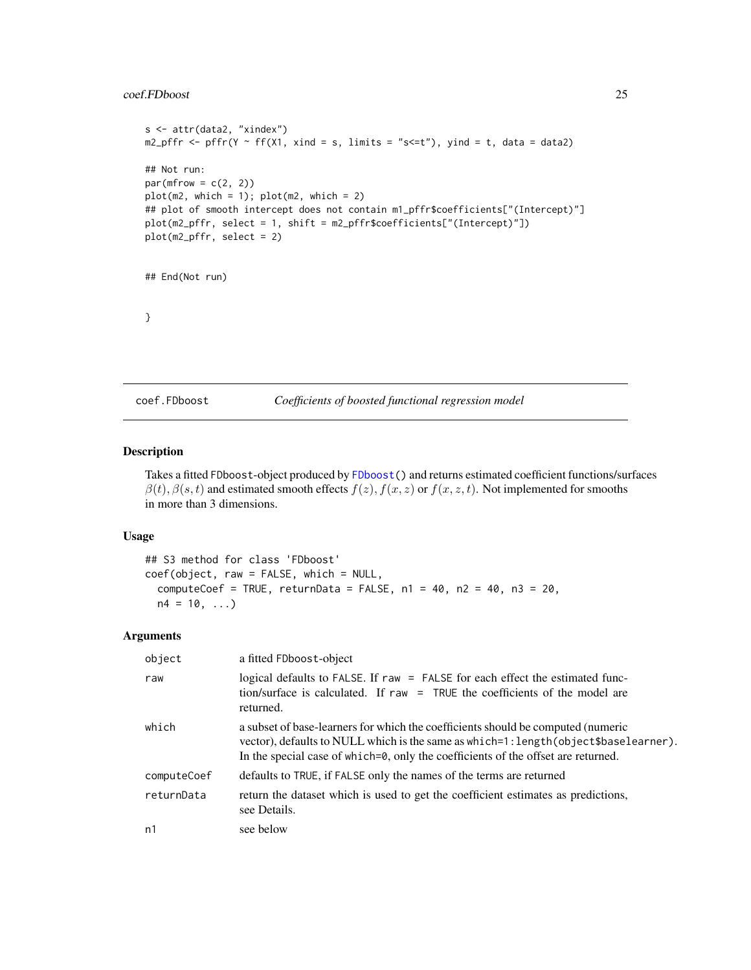# <span id="page-24-0"></span>coef.FDboost 25

```
s <- attr(data2, "xindex")
m2_pffr <- pffr(Y ~ ff(X1, xind = s, limits = "s<=t"), yind = t, data = data2)
## Not run:
par(mfrow = c(2, 2))plot(m2, which = 1); plot(m2, which = 2)## plot of smooth intercept does not contain m1_pffr$coefficients["(Intercept)"]
plot(m2_pffr, select = 1, shift = m2_pffr$coefficients["(Intercept)"])
plot(m2_pffr, select = 2)
## End(Not run)
}
```
<span id="page-24-1"></span>coef.FDboost *Coefficients of boosted functional regression model*

# Description

Takes a fitted FDboost-object produced by [FDboost\(](#page-28-1)) and returns estimated coefficient functions/surfaces  $\beta(t)$ ,  $\beta(s,t)$  and estimated smooth effects  $f(z)$ ,  $f(x, z)$  or  $f(x, z, t)$ . Not implemented for smooths in more than 3 dimensions.

#### Usage

```
## S3 method for class 'FDboost'
coef(object, raw = FALSE, which = NULL,
  computeCoef = TRUE, returnData = FALSE, n1 = 40, n2 = 40, n3 = 20,
 n4 = 10, ...
```
#### Arguments

| object      | a fitted FDboost-object                                                                                                                                                                                                                                         |
|-------------|-----------------------------------------------------------------------------------------------------------------------------------------------------------------------------------------------------------------------------------------------------------------|
| raw         | logical defaults to FALSE. If raw = FALSE for each effect the estimated func-<br>tion/surface is calculated. If $raw = TRUE$ the coefficients of the model are<br>returned.                                                                                     |
| which       | a subset of base-learners for which the coefficients should be computed (numeric<br>vector), defaults to NULL which is the same as which=1: length (object \$baselearner).<br>In the special case of which=0, only the coefficients of the offset are returned. |
| computeCoef | defaults to TRUE, if FALSE only the names of the terms are returned                                                                                                                                                                                             |
| returnData  | return the dataset which is used to get the coefficient estimates as predictions,<br>see Details.                                                                                                                                                               |
| n1          | see below                                                                                                                                                                                                                                                       |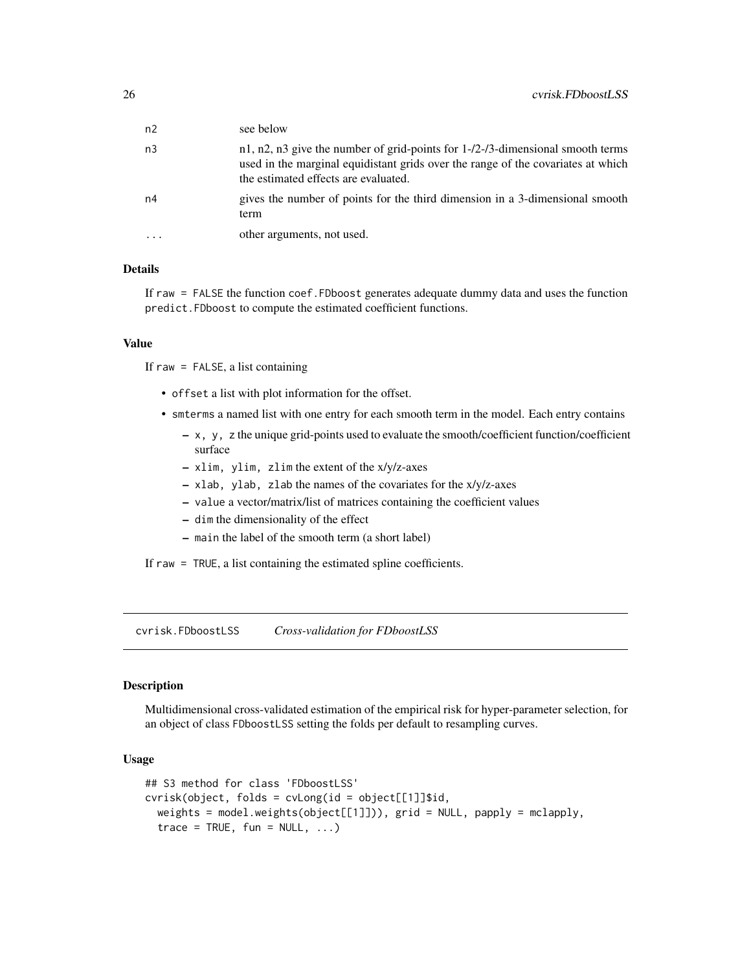<span id="page-25-0"></span>

| n <sub>2</sub> | see below                                                                                                                                                                                                                   |
|----------------|-----------------------------------------------------------------------------------------------------------------------------------------------------------------------------------------------------------------------------|
| n <sub>3</sub> | $n1$ , $n2$ , $n3$ give the number of grid-points for $1-\frac{2}{3}$ -dimensional smooth terms<br>used in the marginal equidistant grids over the range of the covariates at which<br>the estimated effects are evaluated. |
| n4             | gives the number of points for the third dimension in a 3-dimensional smooth<br>term                                                                                                                                        |
|                | other arguments, not used.                                                                                                                                                                                                  |

# Details

If raw = FALSE the function coef.FDboost generates adequate dummy data and uses the function predict.FDboost to compute the estimated coefficient functions.

#### Value

If raw = FALSE, a list containing

- offset a list with plot information for the offset.
- smterms a named list with one entry for each smooth term in the model. Each entry contains
	- x, y, z the unique grid-points used to evaluate the smooth/coefficient function/coefficient surface
	- xlim, ylim, zlim the extent of the x/y/z-axes
	- xlab, ylab, zlab the names of the covariates for the x/y/z-axes
	- value a vector/matrix/list of matrices containing the coefficient values
	- dim the dimensionality of the effect
	- main the label of the smooth term (a short label)
- If raw = TRUE, a list containing the estimated spline coefficients.

cvrisk.FDboostLSS *Cross-validation for FDboostLSS*

# Description

Multidimensional cross-validated estimation of the empirical risk for hyper-parameter selection, for an object of class FDboostLSS setting the folds per default to resampling curves.

#### Usage

```
## S3 method for class 'FDboostLSS'
cvrisk(object, folds = cvLong(id = object[[1]]$id,weights = model.weights(object[[1]])), grid = NULL, papply = mclapply,
  trace = TRUE, fun = NULL, ...)
```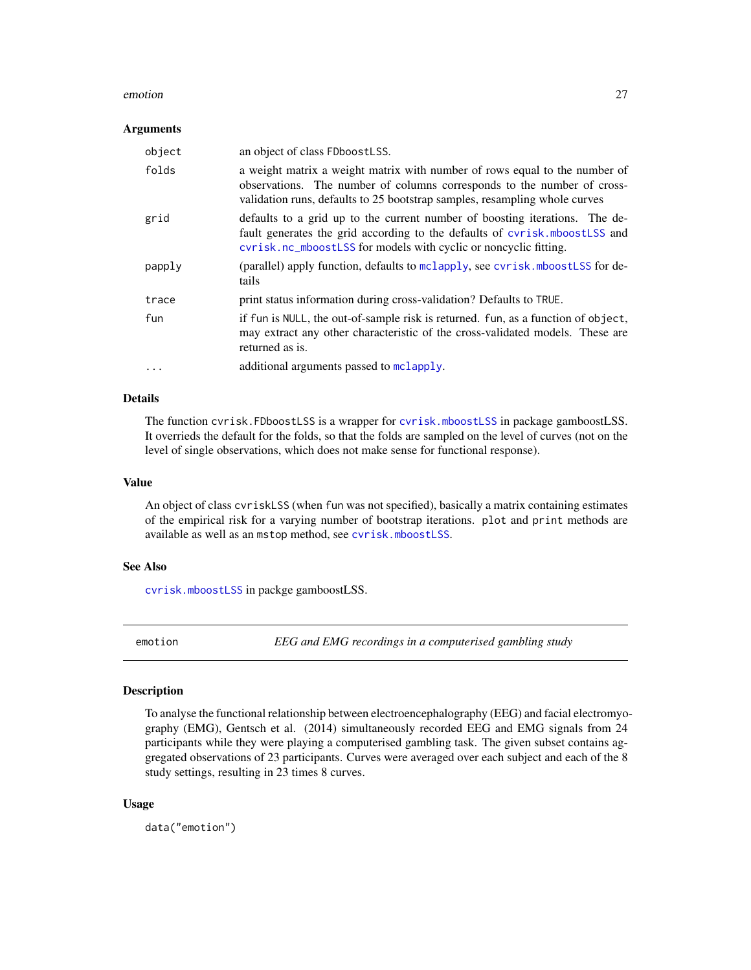#### <span id="page-26-0"></span>emotion 27

#### **Arguments**

| object   | an object of class FDboostLSS.                                                                                                                                                                                                      |
|----------|-------------------------------------------------------------------------------------------------------------------------------------------------------------------------------------------------------------------------------------|
| folds    | a weight matrix a weight matrix with number of rows equal to the number of<br>observations. The number of columns corresponds to the number of cross-<br>validation runs, defaults to 25 bootstrap samples, resampling whole curves |
| grid     | defaults to a grid up to the current number of boosting iterations. The de-<br>fault generates the grid according to the defaults of cvrisk.mboostLSS and<br>cvrisk.nc_mboostLSS for models with cyclic or noncyclic fitting.       |
| papply   | (parallel) apply function, defaults to mclapply, see cyrisk.mboostLSS for de-<br>tails                                                                                                                                              |
| trace    | print status information during cross-validation? Defaults to TRUE.                                                                                                                                                                 |
| fun      | if fun is NULL, the out-of-sample risk is returned. fun, as a function of object,<br>may extract any other characteristic of the cross-validated models. These are<br>returned as is.                                               |
| $\cdots$ | additional arguments passed to mclapply.                                                                                                                                                                                            |

# Details

The function cvrisk.FDboostLSS is a wrapper for [cvrisk.mboostLSS](#page-0-0) in package gamboostLSS. It overrieds the default for the folds, so that the folds are sampled on the level of curves (not on the level of single observations, which does not make sense for functional response).

#### Value

An object of class cvriskLSS (when fun was not specified), basically a matrix containing estimates of the empirical risk for a varying number of bootstrap iterations. plot and print methods are available as well as an mstop method, see [cvrisk.mboostLSS](#page-0-0).

# See Also

[cvrisk.mboostLSS](#page-0-0) in packge gamboostLSS.

emotion *EEG and EMG recordings in a computerised gambling study*

#### Description

To analyse the functional relationship between electroencephalography (EEG) and facial electromyography (EMG), Gentsch et al. (2014) simultaneously recorded EEG and EMG signals from 24 participants while they were playing a computerised gambling task. The given subset contains aggregated observations of 23 participants. Curves were averaged over each subject and each of the 8 study settings, resulting in 23 times 8 curves.

#### Usage

data("emotion")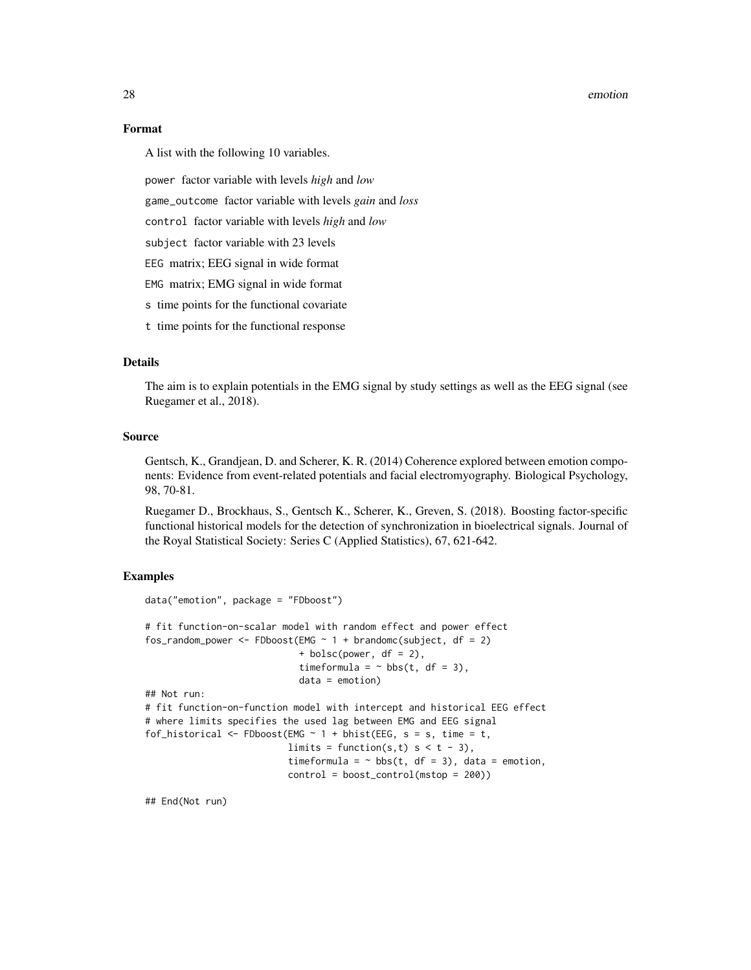#### 28 emotion and the contract of the contract of the contract of the contract of the contract of the contract of the contract of the contract of the contract of the contract of the contract of the contract of the contract of

#### Format

A list with the following 10 variables.

power factor variable with levels *high* and *low*

game\_outcome factor variable with levels *gain* and *loss*

control factor variable with levels *high* and *low*

subject factor variable with 23 levels

EEG matrix; EEG signal in wide format

EMG matrix; EMG signal in wide format

s time points for the functional covariate

t time points for the functional response

#### Details

The aim is to explain potentials in the EMG signal by study settings as well as the EEG signal (see Ruegamer et al., 2018).

# Source

Gentsch, K., Grandjean, D. and Scherer, K. R. (2014) Coherence explored between emotion components: Evidence from event-related potentials and facial electromyography. Biological Psychology, 98, 70-81.

Ruegamer D., Brockhaus, S., Gentsch K., Scherer, K., Greven, S. (2018). Boosting factor-specific functional historical models for the detection of synchronization in bioelectrical signals. Journal of the Royal Statistical Society: Series C (Applied Statistics), 67, 621-642.

#### Examples

```
data("emotion", package = "FDboost")
# fit function-on-scalar model with random effect and power effect
fos_random_power <- FDboost(EMG \sim 1 + brandomc(subject, df = 2)
                            + bolsc(power, df = 2),
                            timeformula = \sim bbs(t, df = 3),
                            data = emotion)
## Not run:
# fit function-on-function model with intercept and historical EEG effect
# where limits specifies the used lag between EMG and EEG signal
fof_historical <- FDboost(EMG \sim 1 + bhist(EEG, s = s, time = t,
                          limits = function(s, t) s < t - 3,
                          timeformula = \sim bbs(t, df = 3), data = emotion,
                          control = boost_control(mstop = 200))
```
## End(Not run)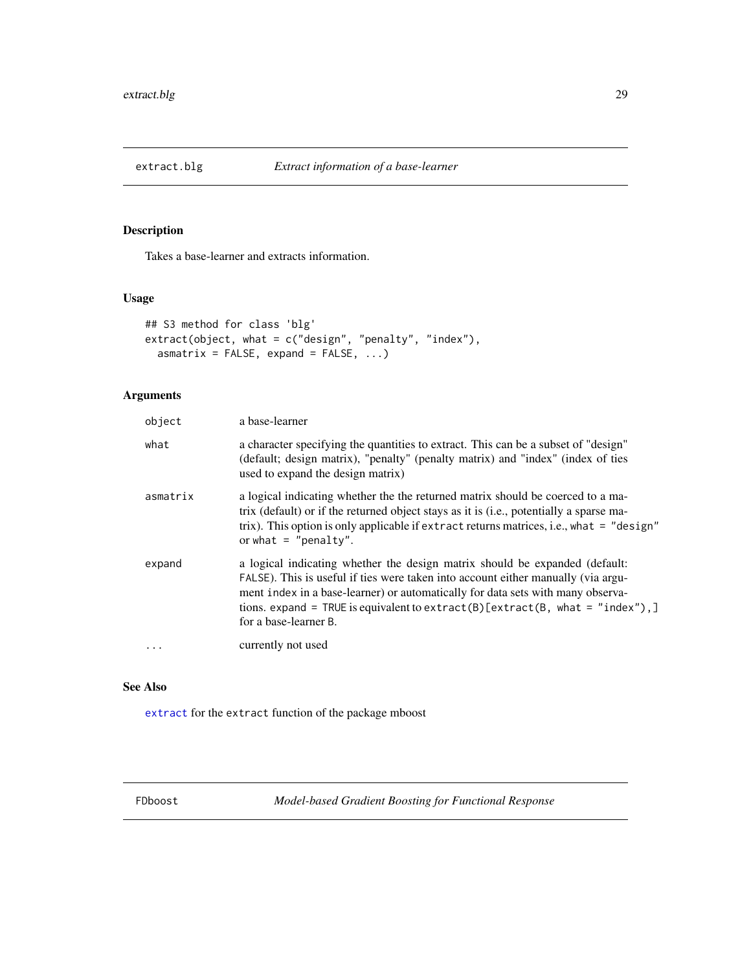<span id="page-28-0"></span>

# Description

Takes a base-learner and extracts information.

# Usage

```
## S3 method for class 'blg'
extract(object, what = c("design", "penalty", "index"),
  asmatrix = FALSE, expand = FALSE, ...)
```
# Arguments

| object   | a base-learner                                                                                                                                                                                                                                                                                                                                                |
|----------|---------------------------------------------------------------------------------------------------------------------------------------------------------------------------------------------------------------------------------------------------------------------------------------------------------------------------------------------------------------|
| what     | a character specifying the quantities to extract. This can be a subset of "design"<br>(default; design matrix), "penalty" (penalty matrix) and "index" (index of ties<br>used to expand the design matrix)                                                                                                                                                    |
| asmatrix | a logical indicating whether the the returned matrix should be coerced to a ma-<br>trix (default) or if the returned object stays as it is (i.e., potentially a sparse ma-<br>trix). This option is only applicable if extract returns matrices, i.e., what = "design"<br>or what $=$ "penalty".                                                              |
| expand   | a logical indicating whether the design matrix should be expanded (default:<br>FALSE). This is useful if ties were taken into account either manually (via argu-<br>ment index in a base-learner) or automatically for data sets with many observa-<br>tions. expand = TRUE is equivalent to extract(B)[extract(B, what = "index"),]<br>for a base-learner B. |
|          | currently not used                                                                                                                                                                                                                                                                                                                                            |

# See Also

[extract](#page-0-0) for the extract function of the package mboost

<span id="page-28-1"></span>FDboost *Model-based Gradient Boosting for Functional Response*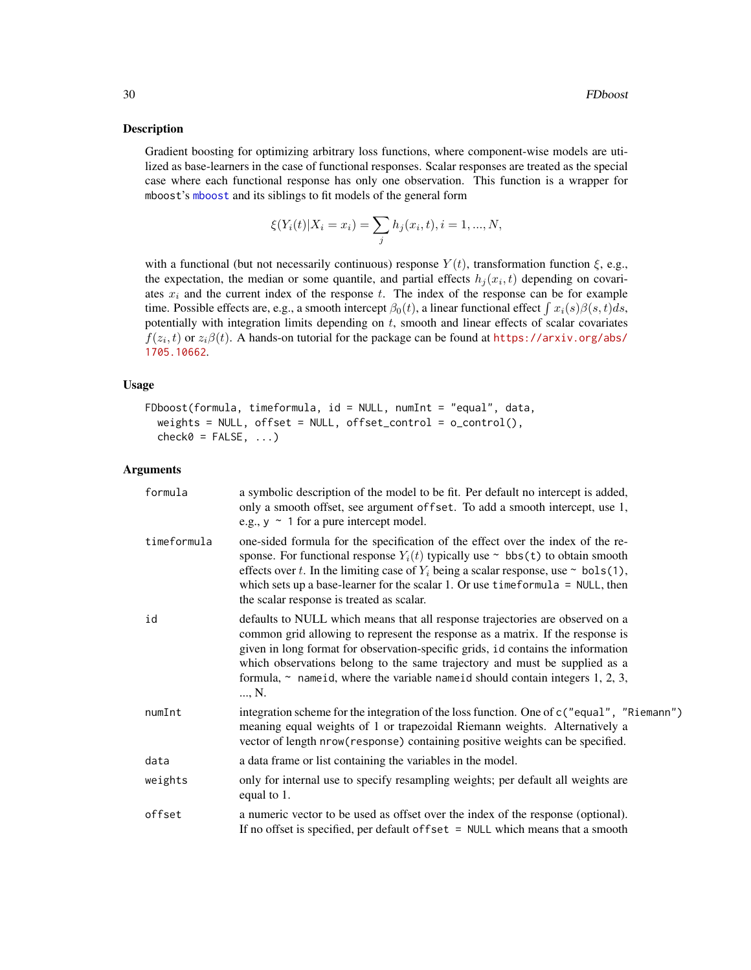#### Description

Gradient boosting for optimizing arbitrary loss functions, where component-wise models are utilized as base-learners in the case of functional responses. Scalar responses are treated as the special case where each functional response has only one observation. This function is a wrapper for mboost's [mboost](#page-0-0) and its siblings to fit models of the general form

$$
\xi(Y_i(t)|X_i = x_i) = \sum_j h_j(x_i, t), i = 1, ..., N,
$$

with a functional (but not necessarily continuous) response  $Y(t)$ , transformation function  $\xi$ , e.g., the expectation, the median or some quantile, and partial effects  $h_j(x_i, t)$  depending on covariates  $x_i$  and the current index of the response t. The index of the response can be for example time. Possible effects are, e.g., a smooth intercept  $\beta_0(t)$ , a linear functional effect  $\int x_i(s)\beta(s,t)ds$ , potentially with integration limits depending on  $t$ , smooth and linear effects of scalar covariates  $f(z_i, t)$  or  $z_i\beta(t)$ . A hands-on tutorial for the package can be found at [https://arxiv.org/abs/](https://arxiv.org/abs/1705.10662) [1705.10662](https://arxiv.org/abs/1705.10662).

# Usage

```
FDboost(formula, timeformula, id = NULL, numInt = "equal", data,
 weights = NULL, offset = NULL, offset_control = o_{control}),
  check0 = FALSE, ...)
```
# Arguments

| formula     | a symbolic description of the model to be fit. Per default no intercept is added,<br>only a smooth offset, see argument offset. To add a smooth intercept, use 1,<br>e.g., $y \sim 1$ for a pure intercept model.                                                                                                                                                                                                                 |
|-------------|-----------------------------------------------------------------------------------------------------------------------------------------------------------------------------------------------------------------------------------------------------------------------------------------------------------------------------------------------------------------------------------------------------------------------------------|
| timeformula | one-sided formula for the specification of the effect over the index of the re-<br>sponse. For functional response $Y_i(t)$ typically use $\sim$ bbs(t) to obtain smooth<br>effects over t. In the limiting case of $Y_i$ being a scalar response, use $\sim$ bols(1),<br>which sets up a base-learner for the scalar 1. Or use time formula = $NULL$ , then<br>the scalar response is treated as scalar.                         |
| id          | defaults to NULL which means that all response trajectories are observed on a<br>common grid allowing to represent the response as a matrix. If the response is<br>given in long format for observation-specific grids, id contains the information<br>which observations belong to the same trajectory and must be supplied as a<br>formula, $\sim$ name id, where the variable name id should contain integers 1, 2, 3,<br>, N. |
| numInt      | integration scheme for the integration of the loss function. One of c ("equal", "Riemann")<br>meaning equal weights of 1 or trapezoidal Riemann weights. Alternatively a<br>vector of length nrow(response) containing positive weights can be specified.                                                                                                                                                                         |
| data        | a data frame or list containing the variables in the model.                                                                                                                                                                                                                                                                                                                                                                       |
| weights     | only for internal use to specify resampling weights; per default all weights are<br>equal to 1.                                                                                                                                                                                                                                                                                                                                   |
| offset      | a numeric vector to be used as offset over the index of the response (optional).<br>If no offset is specified, per default of fset $=$ NULL which means that a smooth                                                                                                                                                                                                                                                             |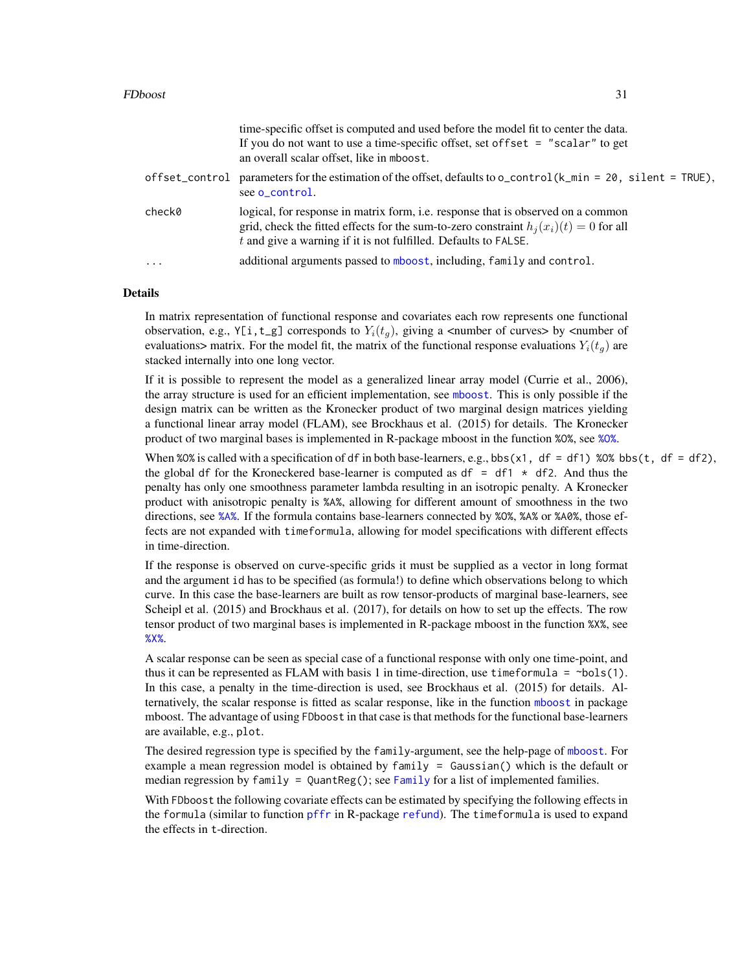#### FDboost 31

| offset_control<br>see o_control.<br>check0<br>logical, for response in matrix form, <i>i.e.</i> response that is observed on a common<br>grid, check the fitted effects for the sum-to-zero constraint $h_i(x_i)(t) = 0$ for all<br>$t$ and give a warning if it is not fulfilled. Defaults to FALSE.<br>additional arguments passed to mboost, including, family and control.<br>$\ddotsc$ | time-specific offset is computed and used before the model fit to center the data.<br>If you do not want to use a time-specific offset, set of fset $=$ "scalar" to get<br>an overall scalar offset, like in mboost. |
|---------------------------------------------------------------------------------------------------------------------------------------------------------------------------------------------------------------------------------------------------------------------------------------------------------------------------------------------------------------------------------------------|----------------------------------------------------------------------------------------------------------------------------------------------------------------------------------------------------------------------|
|                                                                                                                                                                                                                                                                                                                                                                                             | parameters for the estimation of the offset, defaults to $o_{\text{control}}(k_{\text{min}} = 20, \text{ silent} = \text{TRUE}),$                                                                                    |
|                                                                                                                                                                                                                                                                                                                                                                                             |                                                                                                                                                                                                                      |
|                                                                                                                                                                                                                                                                                                                                                                                             |                                                                                                                                                                                                                      |

#### Details

In matrix representation of functional response and covariates each row represents one functional observation, e.g., Y[i,t\_g] corresponds to  $Y_i(t_q)$ , giving a <number of curves> by <number of evaluations> matrix. For the model fit, the matrix of the functional response evaluations  $Y_i(t_q)$  are stacked internally into one long vector.

If it is possible to represent the model as a generalized linear array model (Currie et al., 2006), the array structure is used for an efficient implementation, see [mboost](#page-0-0). This is only possible if the design matrix can be written as the Kronecker product of two marginal design matrices yielding a functional linear array model (FLAM), see Brockhaus et al. (2015) for details. The Kronecker product of two marginal bases is implemented in R-package mboost in the function %O%, see [%O%](#page-0-0).

When %0% is called with a specification of df in both base-learners, e.g., bbs(x1, df = df1) %0% bbs(t, df = df2), the global df for the Kroneckered base-learner is computed as  $df = df1 \times df2$ . And thus the penalty has only one smoothness parameter lambda resulting in an isotropic penalty. A Kronecker product with anisotropic penalty is %A%, allowing for different amount of smoothness in the two directions, see [%A%](#page-3-1). If the formula contains base-learners connected by %O%, %A% or %A0%, those effects are not expanded with timeformula, allowing for model specifications with different effects in time-direction.

If the response is observed on curve-specific grids it must be supplied as a vector in long format and the argument id has to be specified (as formula!) to define which observations belong to which curve. In this case the base-learners are built as row tensor-products of marginal base-learners, see Scheipl et al. (2015) and Brockhaus et al. (2017), for details on how to set up the effects. The row tensor product of two marginal bases is implemented in R-package mboost in the function %X%, see [%X%](#page-0-0).

A scalar response can be seen as special case of a functional response with only one time-point, and thus it can be represented as FLAM with basis 1 in time-direction, use timeformula =  $\sim$ bols(1). In this case, a penalty in the time-direction is used, see Brockhaus et al. (2015) for details. Alternatively, the scalar response is fitted as scalar response, like in the function [mboost](#page-0-0) in package mboost. The advantage of using FDboost in that case is that methods for the functional base-learners are available, e.g., plot.

The desired regression type is specified by the family-argument, see the help-page of [mboost](#page-0-0). For example a mean regression model is obtained by family = Gaussian() which is the default or median regression by family = QuantReg(); see [Family](#page-0-0) for a list of implemented families.

With FDboost the following covariate effects can be estimated by specifying the following effects in the formula (similar to function [pffr](#page-0-0) in R-package [refund](#page-0-0)). The timeformula is used to expand the effects in t-direction.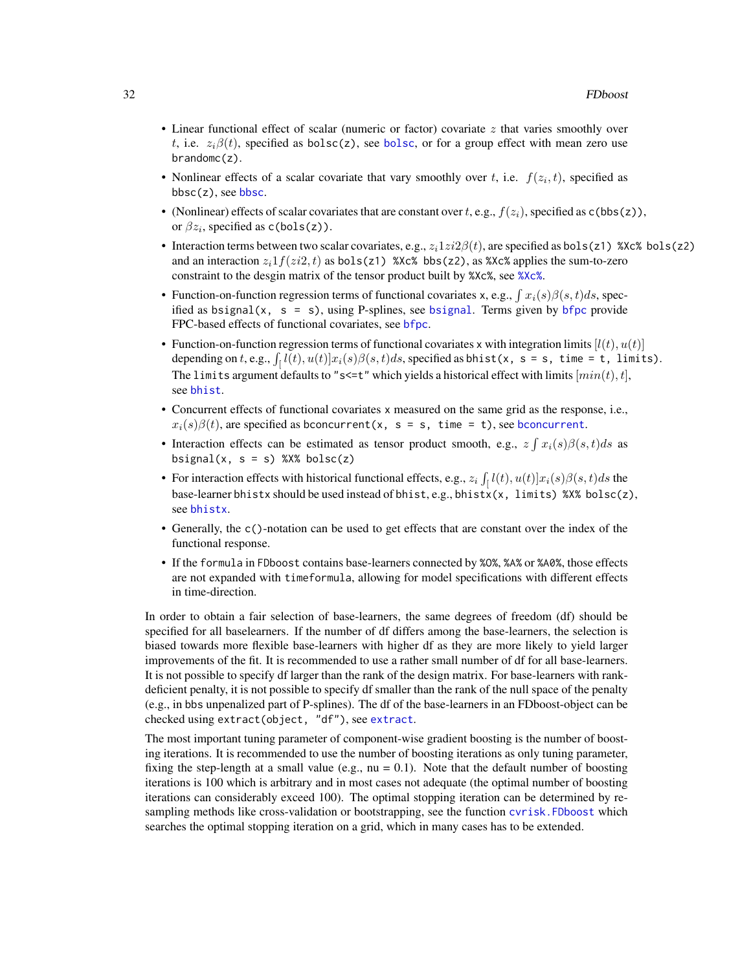- Linear functional effect of scalar (numeric or factor) covariate  $z$  that varies smoothly over t, i.e.  $z_i\beta(t)$ , specified as [bolsc](#page-9-1)(z), see bolsc, or for a group effect with mean zero use brandomc(z).
- Nonlinear effects of a scalar covariate that vary smoothly over t, i.e.  $f(z_i, t)$ , specified as  $bbsc(z)$  $bbsc(z)$ , see bbsc.
- (Nonlinear) effects of scalar covariates that are constant over t, e.g.,  $f(z_i)$ , specified as c(bbs(z)), or  $\beta z_i$ , specified as c(bols(z)).
- Interaction terms between two scalar covariates, e.g.,  $z_i1zi2\beta(t)$ , are specified as bols(z1) %Xc% bols(z2) and an interaction  $z_i1f(zi2, t)$  as bols(z1) %Xc% bbs(z2), as %Xc% applies the sum-to-zero constraint to the desgin matrix of the tensor product built by %Xc%, see [%Xc%](#page-70-1).
- Function-on-function regression terms of functional covariates x, e.g.,  $\int x_i(s)\beta(s,t)ds$ , specified as [bsignal](#page-18-2)(x,  $s = s$ ), using P-splines, see bsignal. Terms given by [bfpc](#page-18-1) provide FPC-based effects of functional covariates, see [bfpc](#page-18-1).
- Function-on-function regression terms of functional covariates x with integration limits  $[l(t), u(t)]$ depending on t, e.g.,  $\int_{\mathfrak{l}} l(t), u(t)]x_i(s)\beta(s, t)ds$ , specified as bhist(x, s = s, time = t, limits). The limits argument defaults to "s<=t" which yields a historical effect with limits  $[min(t), t]$ , see [bhist](#page-18-1).
- Concurrent effects of functional covariates x measured on the same grid as the response, i.e.,  $x_i(s)\beta(t)$ , are specified as [bconcurrent](#page-18-1)(x, s = s, time = t), see bconcurrent.
- Interaction effects can be estimated as tensor product smooth, e.g.,  $z \int x_i(s) \beta(s,t) ds$  as bsignal(x,  $s = s$ ) %X% bolsc(z)
- For interaction effects with historical functional effects, e.g.,  $z_i \int_{l} l(t), u(t) dx x(s) \beta(s, t) ds$  the base-learner bhistx should be used instead of bhist, e.g., bhistx(x, limits) %X% bolsc(z), see [bhistx](#page-12-1).
- Generally, the c()-notation can be used to get effects that are constant over the index of the functional response.
- If the formula in FDboost contains base-learners connected by %O%, %A% or %A0%, those effects are not expanded with timeformula, allowing for model specifications with different effects in time-direction.

In order to obtain a fair selection of base-learners, the same degrees of freedom (df) should be specified for all baselearners. If the number of df differs among the base-learners, the selection is biased towards more flexible base-learners with higher df as they are more likely to yield larger improvements of the fit. It is recommended to use a rather small number of df for all base-learners. It is not possible to specify df larger than the rank of the design matrix. For base-learners with rankdeficient penalty, it is not possible to specify df smaller than the rank of the null space of the penalty (e.g., in bbs unpenalized part of P-splines). The df of the base-learners in an FDboost-object can be checked using extract(object, "df"), see [extract](#page-0-0).

The most important tuning parameter of component-wise gradient boosting is the number of boosting iterations. It is recommended to use the number of boosting iterations as only tuning parameter, fixing the step-length at a small value (e.g.,  $nu = 0.1$ ). Note that the default number of boosting iterations is 100 which is arbitrary and in most cases not adequate (the optimal number of boosting iterations can considerably exceed 100). The optimal stopping iteration can be determined by resampling methods like cross-validation or bootstrapping, see the function cyrisk. FDboost which searches the optimal stopping iteration on a grid, which in many cases has to be extended.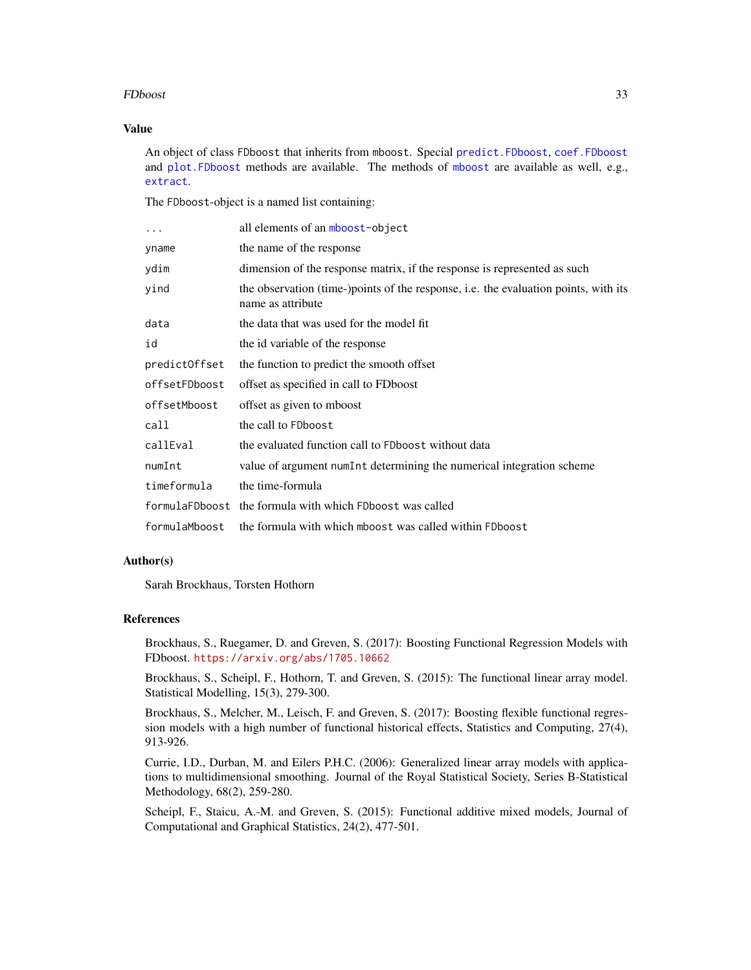#### FDboost 33

# Value

An object of class FDboost that inherits from mboost. Special [predict.FDboost](#page-54-1), [coef.FDboost](#page-24-1) and [plot.FDboost](#page-53-1) methods are available. The methods of [mboost](#page-0-0) are available as well, e.g., [extract](#page-0-0).

The FDboost-object is a named list containing:

| $\ddots$      | all elements of an mboost-object                                                                         |
|---------------|----------------------------------------------------------------------------------------------------------|
| yname         | the name of the response                                                                                 |
| ydim          | dimension of the response matrix, if the response is represented as such                                 |
| yind          | the observation (time-)points of the response, i.e. the evaluation points, with its<br>name as attribute |
| data          | the data that was used for the model fit                                                                 |
| id            | the id variable of the response                                                                          |
| predictOffset | the function to predict the smooth offset                                                                |
| offsetFDboost | offset as specified in call to FDboost                                                                   |
| offsetMboost  | offset as given to mboost                                                                                |
| call          | the call to FDboost                                                                                      |
| callEval      | the evaluated function call to FDboost without data                                                      |
| numInt        | value of argument numInt determining the numerical integration scheme                                    |
| timeformula   | the time-formula                                                                                         |
|               | formulaFDboost the formula with which FDboost was called                                                 |
| formulaMboost | the formula with which mboost was called within FDboost                                                  |

#### Author(s)

Sarah Brockhaus, Torsten Hothorn

#### References

Brockhaus, S., Ruegamer, D. and Greven, S. (2017): Boosting Functional Regression Models with FDboost. <https://arxiv.org/abs/1705.10662>

Brockhaus, S., Scheipl, F., Hothorn, T. and Greven, S. (2015): The functional linear array model. Statistical Modelling, 15(3), 279-300.

Brockhaus, S., Melcher, M., Leisch, F. and Greven, S. (2017): Boosting flexible functional regression models with a high number of functional historical effects, Statistics and Computing, 27(4), 913-926.

Currie, I.D., Durban, M. and Eilers P.H.C. (2006): Generalized linear array models with applications to multidimensional smoothing. Journal of the Royal Statistical Society, Series B-Statistical Methodology, 68(2), 259-280.

Scheipl, F., Staicu, A.-M. and Greven, S. (2015): Functional additive mixed models, Journal of Computational and Graphical Statistics, 24(2), 477-501.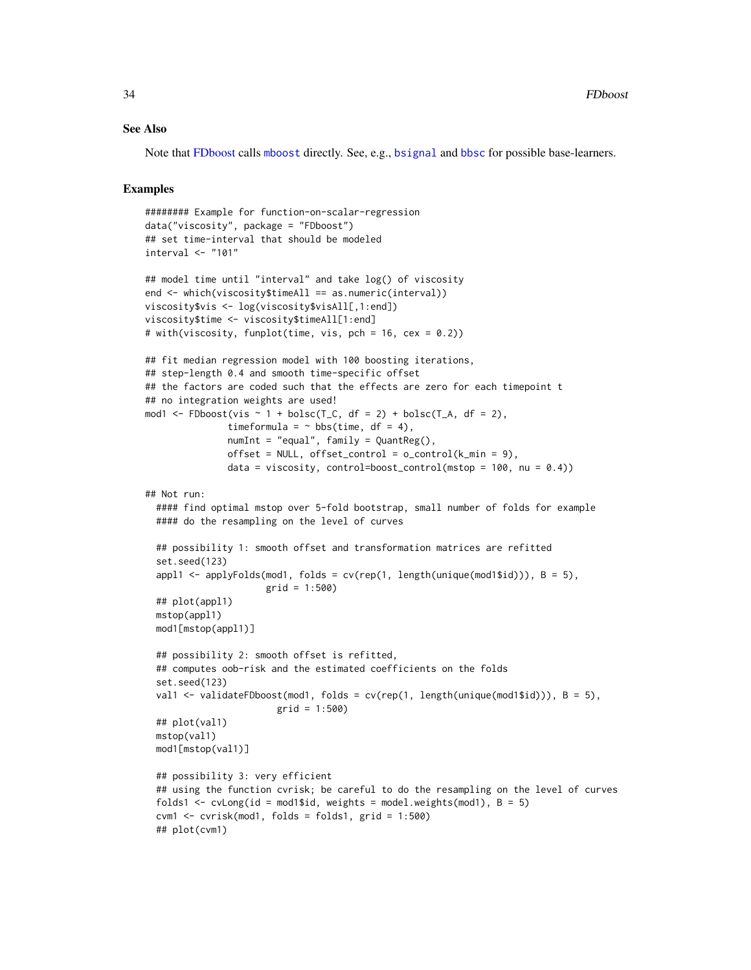#### See Also

Note that [FDboost](#page-28-1) calls [mboost](#page-0-0) directly. See, e.g., [bsignal](#page-18-2) and [bbsc](#page-9-2) for possible base-learners.

#### Examples

```
######## Example for function-on-scalar-regression
data("viscosity", package = "FDboost")
## set time-interval that should be modeled
interval <- "101"
## model time until "interval" and take log() of viscosity
end <- which(viscosity$timeAll == as.numeric(interval))
viscosity$vis <- log(viscosity$visAll[,1:end])
viscosity$time <- viscosity$timeAll[1:end]
# with(viscosity, funplot(time, vis, pch = 16, cex = 0.2))
## fit median regression model with 100 boosting iterations,
## step-length 0.4 and smooth time-specific offset
## the factors are coded such that the effects are zero for each timepoint t
## no integration weights are used!
mod1 <- FDboost(vis \sim 1 + bolsc(T_C, df = 2) + bolsc(T_A, df = 2),
              timeformula = \sim bbs(time, df = 4),
              numInt = "equal", family = QuantReg(),
              offset = NULL, offset\_control = o\_control(k\_min = 9),
              data = viscosity, control=boost_control(mstop = 100, nu = 0.4))
## Not run:
 #### find optimal mstop over 5-fold bootstrap, small number of folds for example
 #### do the resampling on the level of curves
 ## possibility 1: smooth offset and transformation matrices are refitted
 set.seed(123)
 appl1 \leq applyFolds(mod1, folds = cv(rep(1, length(unique(mod1$id))), B = 5),
                      grid = 1:500)
 ## plot(appl1)
 mstop(appl1)
 mod1[mstop(appl1)]
 ## possibility 2: smooth offset is refitted,
 ## computes oob-risk and the estimated coefficients on the folds
 set.seed(123)
 val1 <- validateFDboost(mod1, folds = cv(rep(1, length(unique(mod1$id))), B = 5),
                        grid = 1:500)
 ## plot(val1)
 mstop(val1)
 mod1[mstop(val1)]
 ## possibility 3: very efficient
 ## using the function cvrisk; be careful to do the resampling on the level of curves
 folds1 <- cvLong(id = mod1$id, weights = model.weights(mod1), B = 5)
 cvm1 < -cvrisk(mod1, folds = folds1, grid = 1:500)## plot(cvm1)
```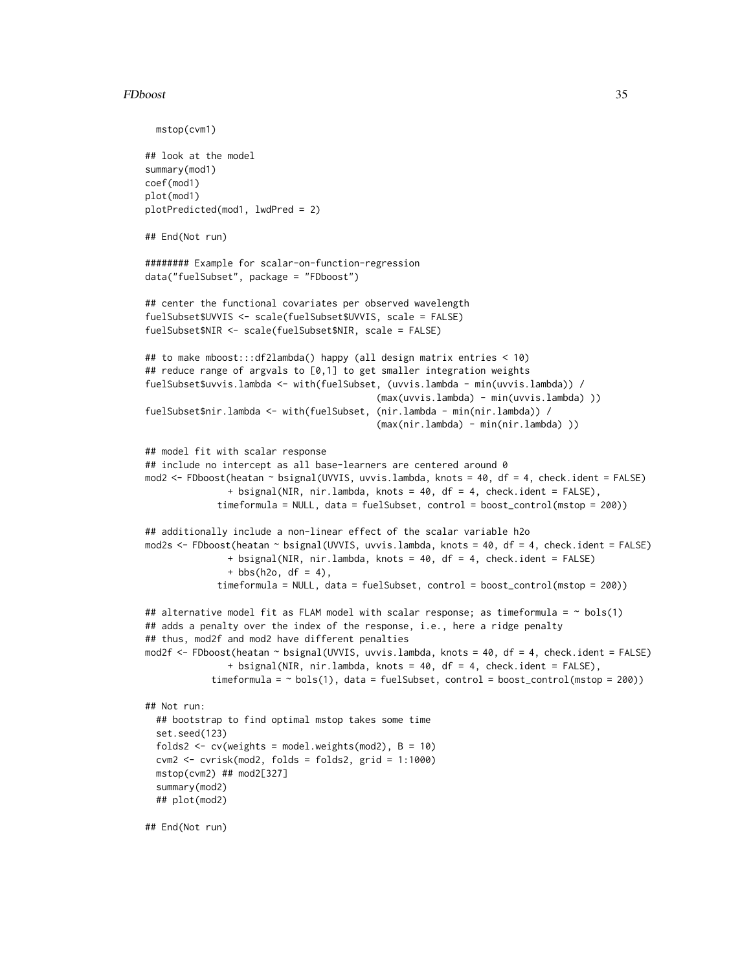#### FDboost 35

```
mstop(cvm1)
## look at the model
summary(mod1)
coef(mod1)
plot(mod1)
plotPredicted(mod1, lwdPred = 2)
## End(Not run)
######## Example for scalar-on-function-regression
data("fuelSubset", package = "FDboost")
## center the functional covariates per observed wavelength
fuelSubset$UVVIS <- scale(fuelSubset$UVVIS, scale = FALSE)
fuelSubset$NIR <- scale(fuelSubset$NIR, scale = FALSE)
## to make mboost:::df2lambda() happy (all design matrix entries < 10)
## reduce range of argvals to [0,1] to get smaller integration weights
fuelSubset$uvvis.lambda <- with(fuelSubset, (uvvis.lambda - min(uvvis.lambda)) /
                                           (max(uvvis.lambda) - min(uvvis.lambda) ))
fuelSubset$nir.lambda <- with(fuelSubset, (nir.lambda - min(nir.lambda)) /
                                          (max(nir.lambda) - min(nir.lambda) ))
## model fit with scalar response
## include no intercept as all base-learners are centered around 0
mod2 <- FDboost(heatan ~ bsignal(UVVIS, uvvis.lambda, knots = 40, df = 4, check.ident = FALSE)
               + bsignal(NIR, nir.lambda, knots = 40, df = 4, check.ident = FALSE),
             timeformula = NULL, data = fuelSubset, control = boost_control(mstop = 200))
## additionally include a non-linear effect of the scalar variable h2o
mod2s <- FDboost(heatan ~ bsignal(UVVIS, uvvis.lambda, knots = 40, df = 4, check.ident = FALSE)
               + bsignal(NIR, nir.lambda, knots = 40, df = 4, check.ident = FALSE)
               + bbs(h2o, df = 4),
             timeformula = NULL, data = fuelSubset, control = boost_control(mstop = 200))
## alternative model fit as FLAM model with scalar response; as timeformula = \sim bols(1)
## adds a penalty over the index of the response, i.e., here a ridge penalty
## thus, mod2f and mod2 have different penalties
mod2f <- FDboost(heatan ~ bsignal(UVVIS, uvvis.lambda, knots = 40, df = 4, check.ident = FALSE)
               + bsignal(NIR, nir.lambda, knots = 40, df = 4, check.ident = FALSE),
            timeformula = \sim bols(1), data = fuelSubset, control = boost_control(mstop = 200))
## Not run:
 ## bootstrap to find optimal mstop takes some time
 set.seed(123)
 folds2 <- cv(weights = model.weights(mod2), B = 10)cvm2 < -cvrisk(mod2, folds = folds2, grid = 1:1000)mstop(cvm2) ## mod2[327]
 summary(mod2)
 ## plot(mod2)
## End(Not run)
```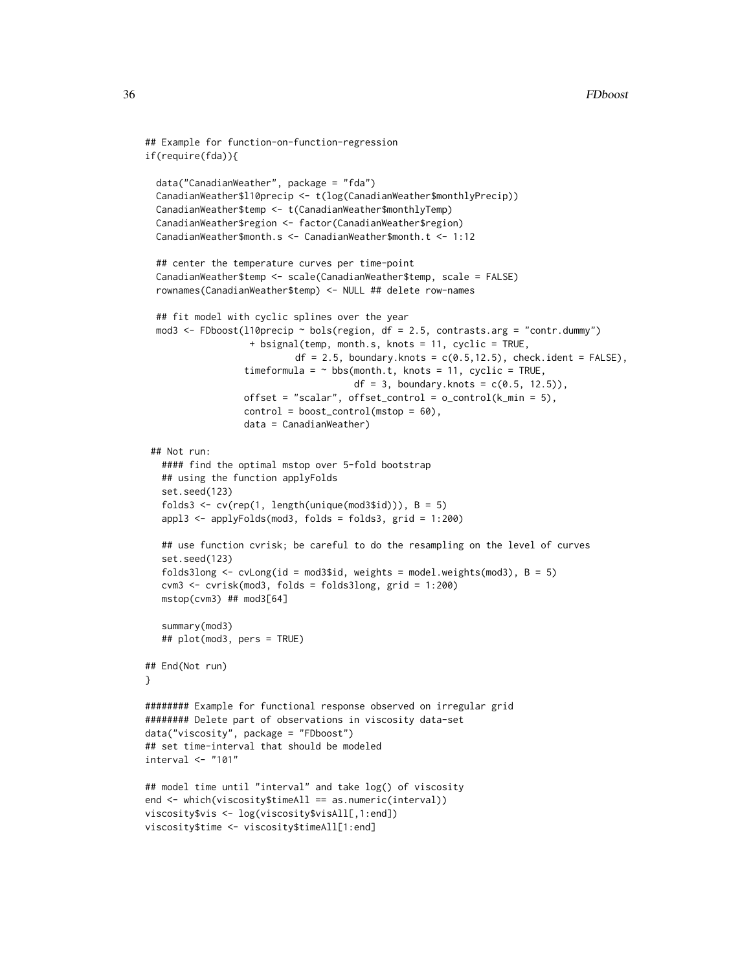```
## Example for function-on-function-regression
if(require(fda)){
 data("CanadianWeather", package = "fda")
 CanadianWeather$l10precip <- t(log(CanadianWeather$monthlyPrecip))
 CanadianWeather$temp <- t(CanadianWeather$monthlyTemp)
 CanadianWeather$region <- factor(CanadianWeather$region)
 CanadianWeather$month.s <- CanadianWeather$month.t <- 1:12
 ## center the temperature curves per time-point
 CanadianWeather$temp <- scale(CanadianWeather$temp, scale = FALSE)
  rownames(CanadianWeather$temp) <- NULL ## delete row-names
 ## fit model with cyclic splines over the year
 mod3 <- FDboost(l10precip ~ bols(region, df = 2.5, contrasts.arg = "contr.dummy")
                   + bsignal(temp, month.s, knots = 11, cyclic = TRUE,
                           df = 2.5, boundary.knots = c(0.5, 12.5), check.ident = FALSE),
                  timeformula = \sim bbs(month.t, knots = 11, cyclic = TRUE,
                                      df = 3, boundary.knots = c(0.5, 12.5),
                  offset = "scalar", offset_control = o_{control(k,min = 5)},
                  control = boost_countcol(mstop = 60),
                  data = CanadianWeather)
 ## Not run:
   #### find the optimal mstop over 5-fold bootstrap
   ## using the function applyFolds
   set.seed(123)
   folds3 <- cv(rep(1, length(unique(mod3$id))), B = 5)appl3 <- applyFolds(mod3, folds = folds3, grid = 1:200)
  ## use function cvrisk; be careful to do the resampling on the level of curves
   set.seed(123)
   folds3long \le cvLong(id = mod3$id, weights = model.weights(mod3), B = 5)
   cvm3 < -cvrisk(mod3, folds = folds3long, grid = 1:200)mstop(cvm3) ## mod3[64]
   summary(mod3)
   ## plot(mod3, pers = TRUE)
## End(Not run)
}
######## Example for functional response observed on irregular grid
######## Delete part of observations in viscosity data-set
data("viscosity", package = "FDboost")
## set time-interval that should be modeled
interval <- "101"
## model time until "interval" and take log() of viscosity
end <- which(viscosity$timeAll == as.numeric(interval))
viscosity$vis <- log(viscosity$visAll[,1:end])
viscosity$time <- viscosity$timeAll[1:end]
```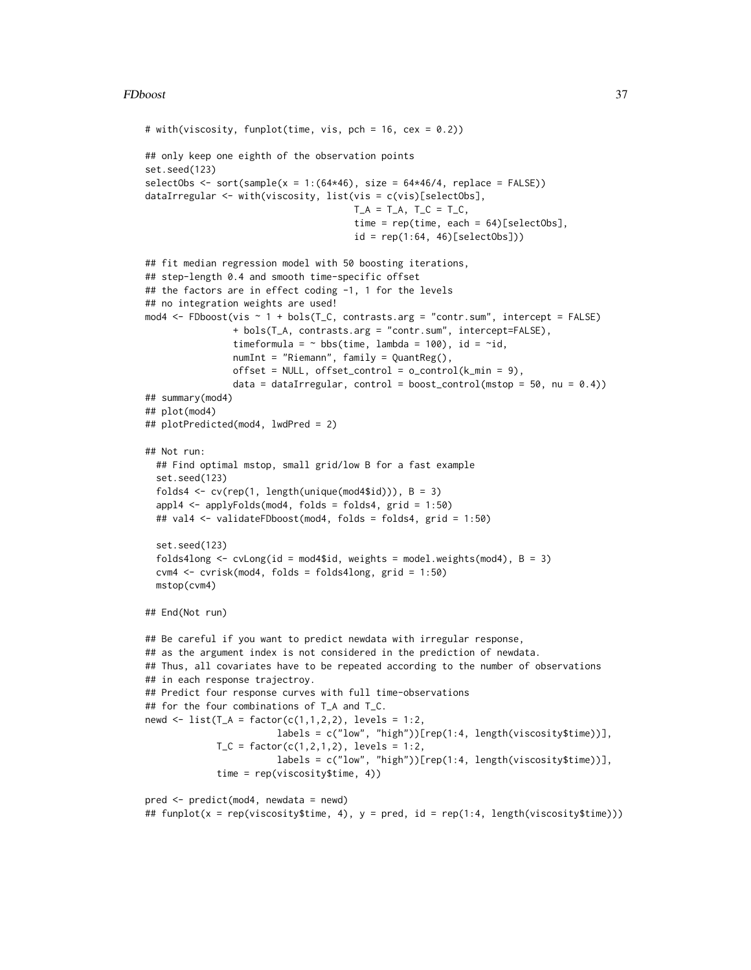### FDboost 37

```
# with(viscosity, funplot(time, vis, pch = 16, cex = 0.2))
## only keep one eighth of the observation points
set.seed(123)
selectObs \le sort(sample(x = 1:(64*46), size = 64*46/4, replace = FALSE))
dataIrregular <- with(viscosity, list(vis = c(vis)[selectObs],
                                      T_A = T_A, T_C = T_C,
                                      time = rep(time, each = 64)[selectObs],id = rep(1:64, 46) [selectObs])## fit median regression model with 50 boosting iterations,
## step-length 0.4 and smooth time-specific offset
## the factors are in effect coding -1, 1 for the levels
## no integration weights are used!
mod4 <- FDboost(vis \sim 1 + bols(T_C, contrasts.arg = "contr.sum", intercept = FALSE)
                + bols(T_A, contrasts.arg = "contr.sum", intercept=FALSE),
                timeformula = \sim bbs(time, lambda = 100), id = \simid,
                numInt = "Riemann", family = QuantReg(),
                offset = NULL, offset_control = o_control(k_min = 9),
                data = dataIrregular, control = boost_countol(mstop = 50, nu = 0.4))## summary(mod4)
## plot(mod4)
## plotPredicted(mod4, lwdPred = 2)
## Not run:
  ## Find optimal mstop, small grid/low B for a fast example
  set.seed(123)
  folds4 <- cv(rep(1, length(unique(mod4$id))), B = 3)
  appl4 <- applyFolds(mod4, folds = folds4, grid = 1:50)
  ## val4 <- validateFDboost(mod4, folds = folds4, grid = 1:50)
  set.seed(123)
  folds4long \le cvLong(id = mod4$id, weights = model.weights(mod4), B = 3)
  cvm4 <- cvrisk(mod4, folds = folds4long, grid = 1:50)
  mstop(cvm4)
## End(Not run)
## Be careful if you want to predict newdata with irregular response,
## as the argument index is not considered in the prediction of newdata.
## Thus, all covariates have to be repeated according to the number of observations
## in each response trajectroy.
## Predict four response curves with full time-observations
## for the four combinations of T_A and T_C.
newd \le list(T_A = factor(c(1,1,2,2), levels = 1:2,
                        labels = c("low", "high"))[rep(1:4, length(viscosity$time))],
             T_C = factor(c(1, 2, 1, 2), levels = 1:2,labels = c("low", "high"))[rep(1:4, length(viscosity$time))],
             time = rep(viscosity$time, 4))
pred <- predict(mod4, newdata = newd)
```

```
## funplot(x = rep(viscosity$time, 4), y = pred, id = rep(1:4, length(viscosity$time)))
```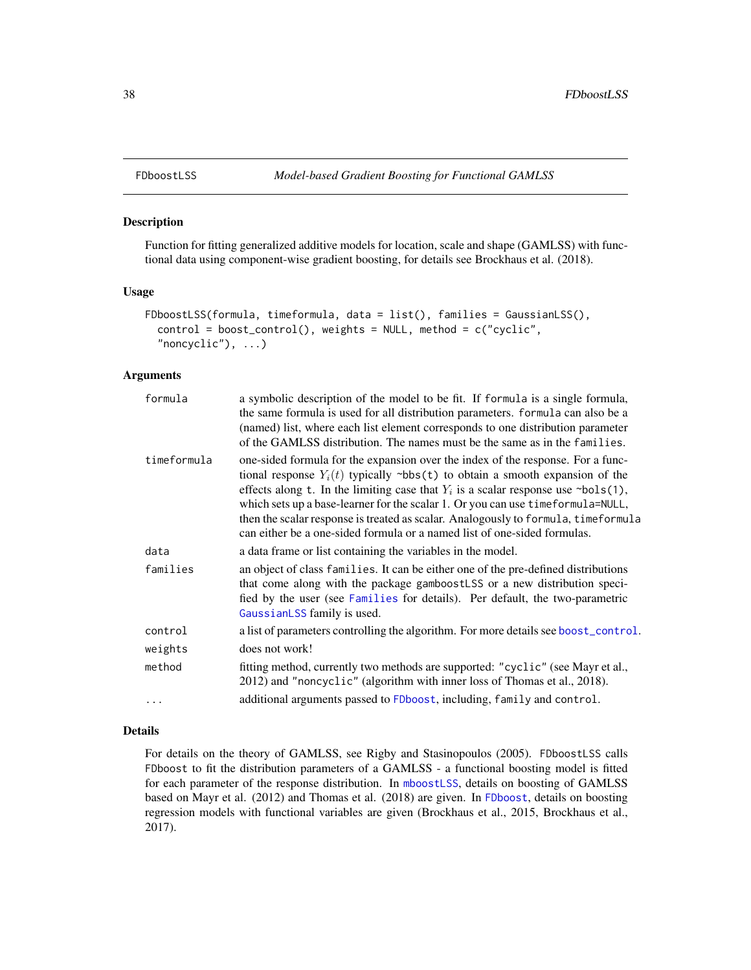# Description

Function for fitting generalized additive models for location, scale and shape (GAMLSS) with functional data using component-wise gradient boosting, for details see Brockhaus et al. (2018).

#### Usage

```
FDboostLSS(formula, timeformula, data = list(), families = GaussianLSS(),
  control = boost_control(), weights = NULL, method = c("cyclic",
  "noncyclic"), ...)
```
### Arguments

| formula     | a symbolic description of the model to be fit. If formula is a single formula,<br>the same formula is used for all distribution parameters. formula can also be a<br>(named) list, where each list element corresponds to one distribution parameter<br>of the GAMLSS distribution. The names must be the same as in the families.                                                                                                                                                                            |
|-------------|---------------------------------------------------------------------------------------------------------------------------------------------------------------------------------------------------------------------------------------------------------------------------------------------------------------------------------------------------------------------------------------------------------------------------------------------------------------------------------------------------------------|
| timeformula | one-sided formula for the expansion over the index of the response. For a func-<br>tional response $Y_i(t)$ typically ~bbs(t) to obtain a smooth expansion of the<br>effects along t. In the limiting case that $Y_i$ is a scalar response use ~bo1s(1),<br>which sets up a base-learner for the scalar 1. Or you can use timeformula=NULL,<br>then the scalar response is treated as scalar. Analogously to formula, timeformula<br>can either be a one-sided formula or a named list of one-sided formulas. |
| data        | a data frame or list containing the variables in the model.                                                                                                                                                                                                                                                                                                                                                                                                                                                   |
| families    | an object of class families. It can be either one of the pre-defined distributions<br>that come along with the package gamboostLSS or a new distribution speci-<br>fied by the user (see Families for details). Per default, the two-parametric<br>GaussianLSS family is used.                                                                                                                                                                                                                                |
| control     | a list of parameters controlling the algorithm. For more details see boost_control.                                                                                                                                                                                                                                                                                                                                                                                                                           |
| weights     | does not work!                                                                                                                                                                                                                                                                                                                                                                                                                                                                                                |
| method      | fitting method, currently two methods are supported: "cyclic" (see Mayr et al.,<br>2012) and "noncyclic" (algorithm with inner loss of Thomas et al., 2018).                                                                                                                                                                                                                                                                                                                                                  |
| $\cdots$    | additional arguments passed to FDboost, including, family and control.                                                                                                                                                                                                                                                                                                                                                                                                                                        |

#### Details

For details on the theory of GAMLSS, see Rigby and Stasinopoulos (2005). FDboostLSS calls FDboost to fit the distribution parameters of a GAMLSS - a functional boosting model is fitted for each parameter of the response distribution. In [mboostLSS](#page-0-0), details on boosting of GAMLSS based on Mayr et al. (2012) and Thomas et al. (2018) are given. In [FDboost](#page-28-0), details on boosting regression models with functional variables are given (Brockhaus et al., 2015, Brockhaus et al., 2017).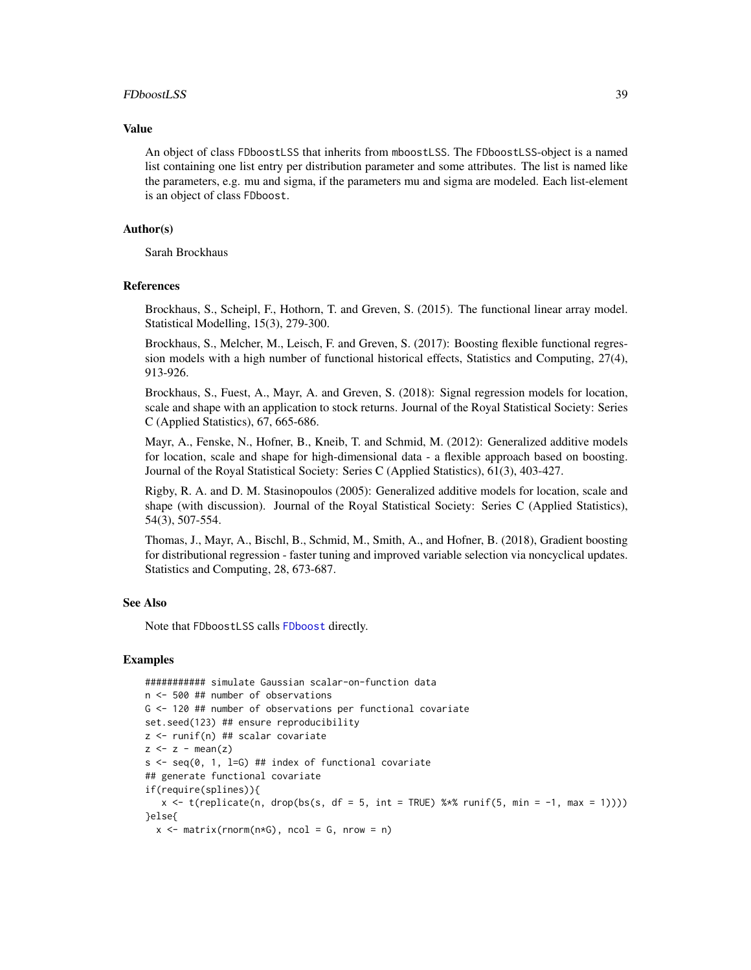### FDboostLSS 39

#### Value

An object of class FDboostLSS that inherits from mboostLSS. The FDboostLSS-object is a named list containing one list entry per distribution parameter and some attributes. The list is named like the parameters, e.g. mu and sigma, if the parameters mu and sigma are modeled. Each list-element is an object of class FDboost.

## Author(s)

Sarah Brockhaus

### **References**

Brockhaus, S., Scheipl, F., Hothorn, T. and Greven, S. (2015). The functional linear array model. Statistical Modelling, 15(3), 279-300.

Brockhaus, S., Melcher, M., Leisch, F. and Greven, S. (2017): Boosting flexible functional regression models with a high number of functional historical effects, Statistics and Computing, 27(4), 913-926.

Brockhaus, S., Fuest, A., Mayr, A. and Greven, S. (2018): Signal regression models for location, scale and shape with an application to stock returns. Journal of the Royal Statistical Society: Series C (Applied Statistics), 67, 665-686.

Mayr, A., Fenske, N., Hofner, B., Kneib, T. and Schmid, M. (2012): Generalized additive models for location, scale and shape for high-dimensional data - a flexible approach based on boosting. Journal of the Royal Statistical Society: Series C (Applied Statistics), 61(3), 403-427.

Rigby, R. A. and D. M. Stasinopoulos (2005): Generalized additive models for location, scale and shape (with discussion). Journal of the Royal Statistical Society: Series C (Applied Statistics), 54(3), 507-554.

Thomas, J., Mayr, A., Bischl, B., Schmid, M., Smith, A., and Hofner, B. (2018), Gradient boosting for distributional regression - faster tuning and improved variable selection via noncyclical updates. Statistics and Computing, 28, 673-687.

## See Also

Note that FDboostLSS calls [FDboost](#page-28-0) directly.

```
########### simulate Gaussian scalar-on-function data
n <- 500 ## number of observations
G <- 120 ## number of observations per functional covariate
set.seed(123) ## ensure reproducibility
z <- runif(n) ## scalar covariate
z \leq z - \text{mean}(z)s \leq -seq(0, 1, 1=G) ## index of functional covariate
## generate functional covariate
if(require(splines)){
   x \leq t(replicate(n, drop(bs(s, df = 5, int = TRUE) %*% runif(5, min = -1, max = 1))))
}else{
  x \le - matrix(rnorm(n \times G), ncol = G, nrow = n)
```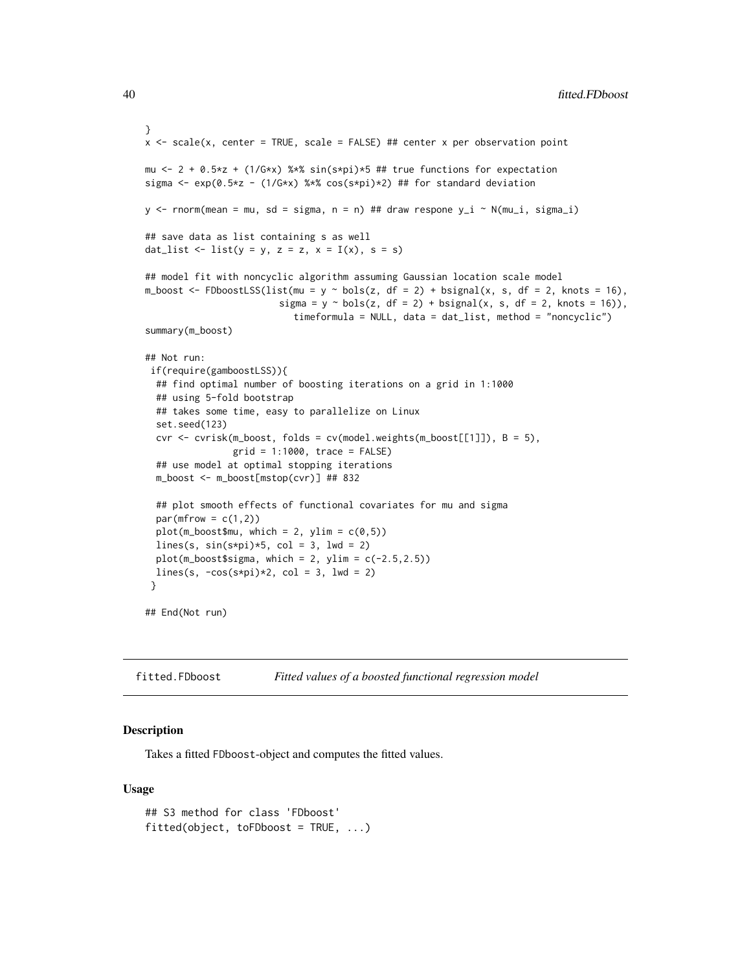```
}
x <- scale(x, center = TRUE, scale = FALSE) ## center x per observation point
mu <- 2 + 0.5*z + (1/G*x) %*% sin(s*pi)*5 ## true functions for expectation
sigma <- exp(0.5*z - (1/G*x) %*% cos(s*pi)*2) ## for standard deviation
y \le rnorm(mean = mu, sd = sigma, n = n) ## draw respone y_i \sim N(m_{i,i}, s_{i,j})## save data as list containing s as well
dat_list <- list(y = y, z = z, x = I(x), s = s)
## model fit with noncyclic algorithm assuming Gaussian location scale model
m_boost <- FDboostLSS(list(mu = y ~ bols(z, df = 2) + bsignal(x, s, df = 2, knots = 16),
                         sigma = y \sim \text{bols}(z, df = 2) + \text{bsignal}(x, s, df = 2, knots = 16),
                           timeformula = NULL, data = dat_list, method = "noncyclic")
summary(m_boost)
## Not run:
 if(require(gamboostLSS)){
  ## find optimal number of boosting iterations on a grid in 1:1000
  ## using 5-fold bootstrap
  ## takes some time, easy to parallelize on Linux
  set.seed(123)
  cvr \le cvrisk(m_boost, folds = cv(model.weights(m_boost[[1]]), B = 5),
                grid = 1:1000, trace = FALSE)
  ## use model at optimal stopping iterations
  m_boost <- m_boost[mstop(cvr)] ## 832
  ## plot smooth effects of functional covariates for mu and sigma
  par(mfrow = c(1,2))plot(m_boost$mu, which = 2, ylim = c(0,5))lines(s, sin(s*pi)*5, col = 3, lwd = 2)
  plot(m_boost$sigma, which = 2, ylim = c(-2.5, 2.5))lines(s, -cos(s*pi)*2, col = 3, lwd = 2)
 }
## End(Not run)
```
fitted.FDboost *Fitted values of a boosted functional regression model*

## Description

Takes a fitted FDboost-object and computes the fitted values.

```
## S3 method for class 'FDboost'
fitted(object, toFDboost = TRUE, ...)
```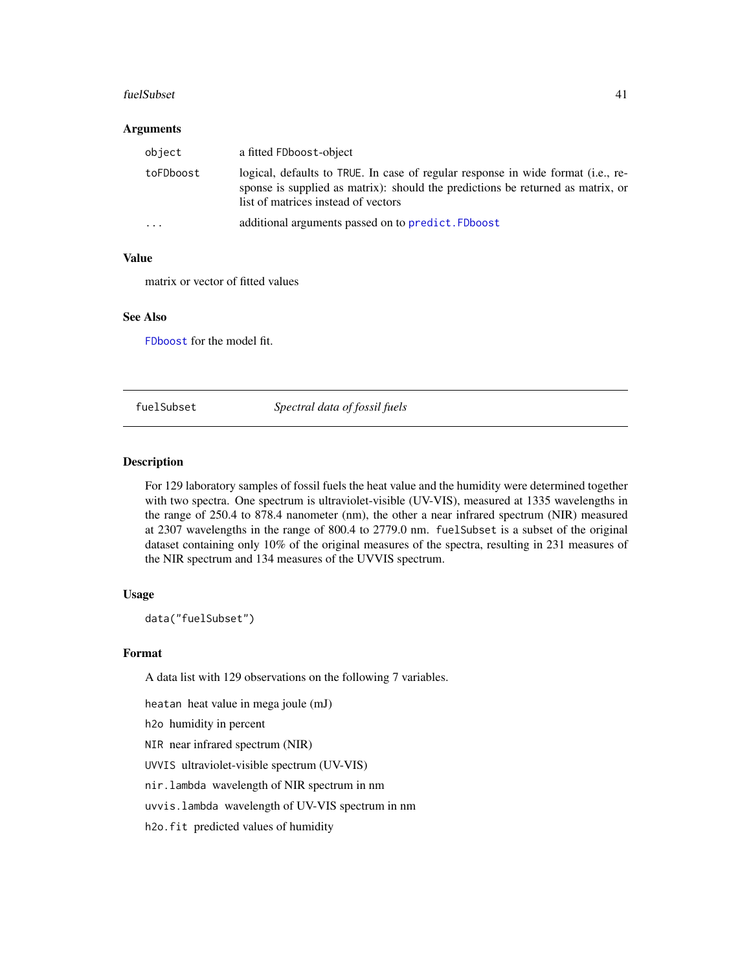#### fuelSubset 41

#### Arguments

| object    | a fitted FDboost-object                                                                                                                                                                                    |
|-----------|------------------------------------------------------------------------------------------------------------------------------------------------------------------------------------------------------------|
| toFDboost | logical, defaults to TRUE. In case of regular response in wide format (i.e., re-<br>sponse is supplied as matrix): should the predictions be returned as matrix, or<br>list of matrices instead of vectors |
| $\cdot$   | additional arguments passed on to predict. FDboost                                                                                                                                                         |

### Value

matrix or vector of fitted values

# See Also

[FDboost](#page-28-0) for the model fit.

fuelSubset *Spectral data of fossil fuels*

### Description

For 129 laboratory samples of fossil fuels the heat value and the humidity were determined together with two spectra. One spectrum is ultraviolet-visible (UV-VIS), measured at 1335 wavelengths in the range of 250.4 to 878.4 nanometer (nm), the other a near infrared spectrum (NIR) measured at 2307 wavelengths in the range of 800.4 to 2779.0 nm. fuelSubset is a subset of the original dataset containing only 10% of the original measures of the spectra, resulting in 231 measures of the NIR spectrum and 134 measures of the UVVIS spectrum.

### Usage

data("fuelSubset")

# Format

A data list with 129 observations on the following 7 variables.

heatan heat value in mega joule (mJ)

h2o humidity in percent

NIR near infrared spectrum (NIR)

UVVIS ultraviolet-visible spectrum (UV-VIS)

nir.lambda wavelength of NIR spectrum in nm

uvvis.lambda wavelength of UV-VIS spectrum in nm

h2o.fit predicted values of humidity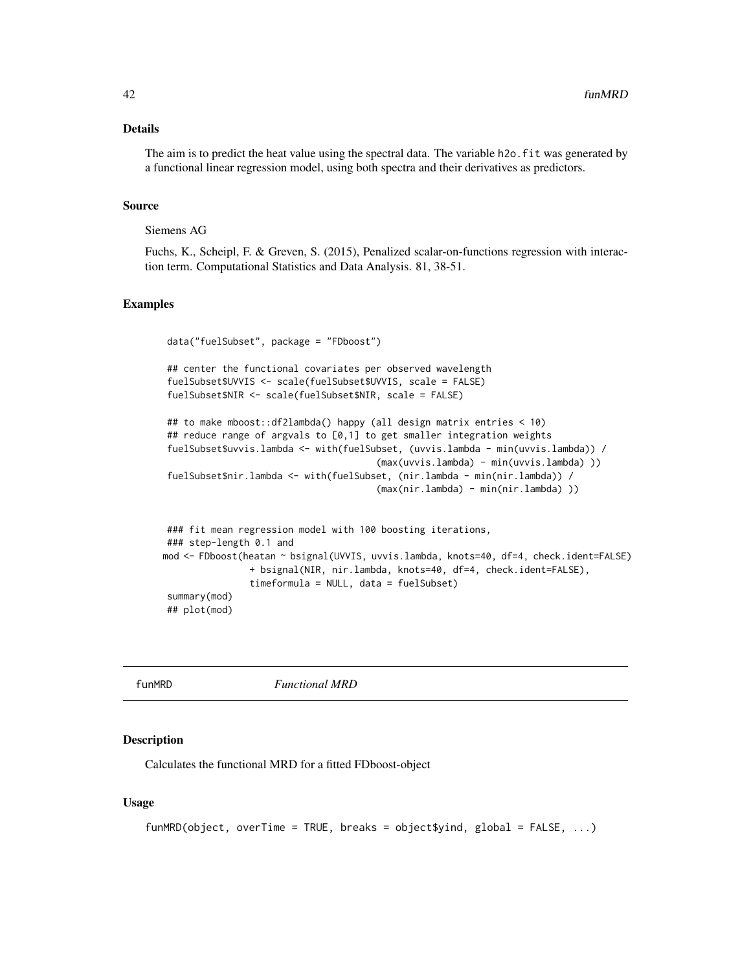## Details

The aim is to predict the heat value using the spectral data. The variable h2o. fit was generated by a functional linear regression model, using both spectra and their derivatives as predictors.

#### Source

# Siemens AG

Fuchs, K., Scheipl, F. & Greven, S. (2015), Penalized scalar-on-functions regression with interaction term. Computational Statistics and Data Analysis. 81, 38-51.

## Examples

```
data("fuelSubset", package = "FDboost")
## center the functional covariates per observed wavelength
fuelSubset$UVVIS <- scale(fuelSubset$UVVIS, scale = FALSE)
fuelSubset$NIR <- scale(fuelSubset$NIR, scale = FALSE)
## to make mboost::df2lambda() happy (all design matrix entries < 10)
## reduce range of argvals to [0,1] to get smaller integration weights
fuelSubset$uvvis.lambda <- with(fuelSubset, (uvvis.lambda - min(uvvis.lambda)) /
                                       (max(uvvis.lambda) - min(uvvis.lambda) ))
fuelSubset$nir.lambda <- with(fuelSubset, (nir.lambda - min(nir.lambda)) /
                                       (max(nir.lambda) - min(nir.lambda) ))
### fit mean regression model with 100 boosting iterations,
### step-length 0.1 and
mod <- FDboost(heatan ~ bsignal(UVVIS, uvvis.lambda, knots=40, df=4, check.ident=FALSE)
               + bsignal(NIR, nir.lambda, knots=40, df=4, check.ident=FALSE),
               timeformula = NULL, data = fuelSubset)
summary(mod)
## plot(mod)
```
funMRD *Functional MRD*

### **Description**

Calculates the functional MRD for a fitted FDboost-object

```
funMRD(object, overTime = TRUE, breaks = object$yind, global = FALSE, ...)
```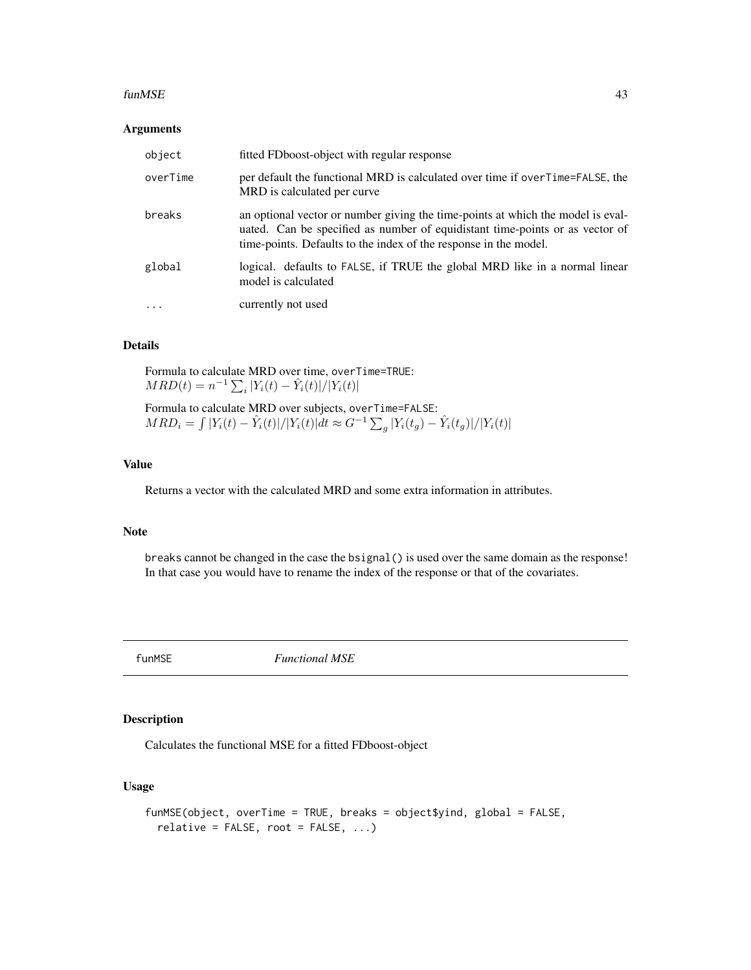#### funMSE 43

### Arguments

| object   | fitted FDboost-object with regular response                                                                                                                                                                                         |
|----------|-------------------------------------------------------------------------------------------------------------------------------------------------------------------------------------------------------------------------------------|
| overTime | per default the functional MRD is calculated over time if overTime=FALSE, the<br>MRD is calculated per curve.                                                                                                                       |
| breaks   | an optional vector or number giving the time-points at which the model is eval-<br>uated. Can be specified as number of equidistant time-points or as vector of<br>time-points. Defaults to the index of the response in the model. |
| global   | logical. defaults to FALSE, if TRUE the global MRD like in a normal linear<br>model is calculated                                                                                                                                   |
|          | currently not used                                                                                                                                                                                                                  |

# Details

Formula to calculate MRD over time, overTime=TRUE:  $MRD(t) = n^{-1} \sum_{i} |Y_i(t) - \hat{Y}_i(t)| / |Y_i(t)|$ 

Formula to calculate MRD over subjects, overTime=FALSE:  $MRD_i = \int |Y_i(t) - \hat{Y}_i(t)|/|Y_i(t)|dt \approx G^{-1} \sum_g |Y_i(t_g) - \hat{Y}_i(t_g)|/|Y_i(t)|$ 

## Value

Returns a vector with the calculated MRD and some extra information in attributes.

### Note

breaks cannot be changed in the case the bsignal() is used over the same domain as the response! In that case you would have to rename the index of the response or that of the covariates.

funMSE *Functional MSE*

# Description

Calculates the functional MSE for a fitted FDboost-object

```
funMSE(object, overTime = TRUE, breaks = object$yind, global = FALSE,
 relative = FALSE, root = FALSE, ...)
```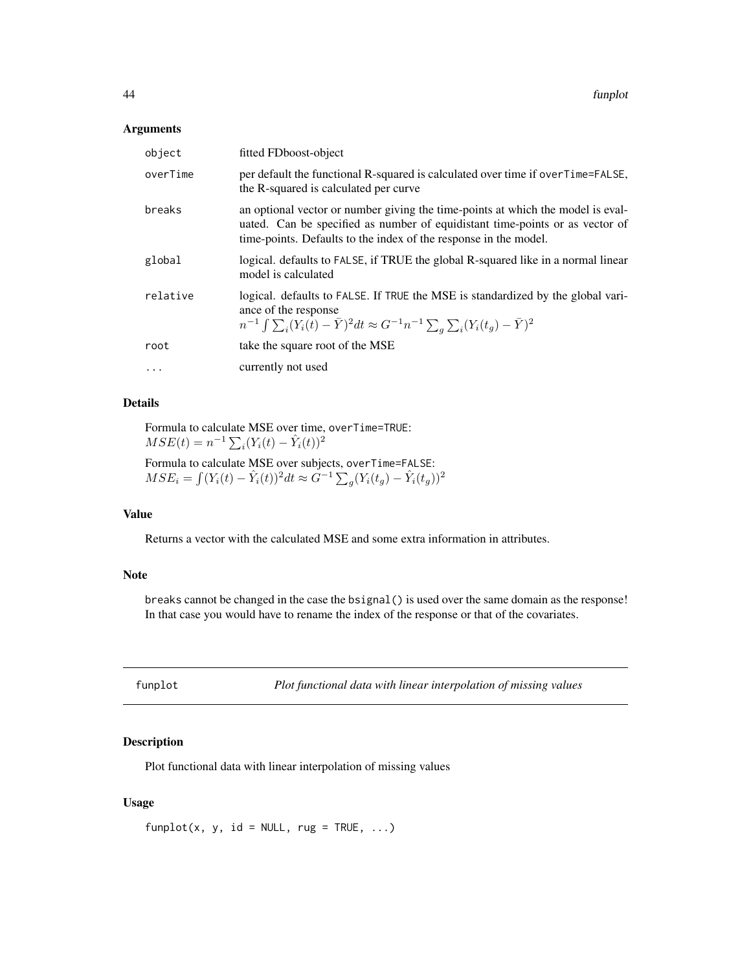### Arguments

| object    | fitted FDboost-object                                                                                                                                                                                                               |
|-----------|-------------------------------------------------------------------------------------------------------------------------------------------------------------------------------------------------------------------------------------|
| overTime  | per default the functional R-squared is calculated over time if overTime=FALSE,<br>the R-squared is calculated per curve.                                                                                                           |
| breaks    | an optional vector or number giving the time-points at which the model is eval-<br>uated. Can be specified as number of equidistant time-points or as vector of<br>time-points. Defaults to the index of the response in the model. |
| global    | logical. defaults to FALSE, if TRUE the global R-squared like in a normal linear<br>model is calculated                                                                                                                             |
| relative  | logical. defaults to FALSE. If TRUE the MSE is standardized by the global vari-<br>ance of the response<br>$n^{-1} \int \sum_i (Y_i(t) - \bar{Y})^2 dt \approx G^{-1} n^{-1} \sum_a \sum_i (Y_i(t_a) - \bar{Y})^2$                  |
| root      | take the square root of the MSE                                                                                                                                                                                                     |
| $\ddotsc$ | currently not used                                                                                                                                                                                                                  |

# Details

Formula to calculate MSE over time, overTime=TRUE:  $MSE(t) = n^{-1} \sum_{i} (Y_i(t) - \hat{Y}_i(t))^2$ 

Formula to calculate MSE over subjects, overTime=FALSE:  $MSE_i = \int (Y_i(t) - \hat{Y}_i(t))^2 dt \approx \tilde{G}^{-1} \sum_g (Y_i(t_g) - \hat{Y}_i(t_g))^2$ 

# Value

Returns a vector with the calculated MSE and some extra information in attributes.

#### Note

breaks cannot be changed in the case the bsignal() is used over the same domain as the response! In that case you would have to rename the index of the response or that of the covariates.

|  |  | funplot |  |
|--|--|---------|--|
|  |  |         |  |

*Plot functional data with linear interpolation of missing values* 

## Description

Plot functional data with linear interpolation of missing values

## Usage

 $funplot(x, y, id = NULL, rug = TRUE, ...)$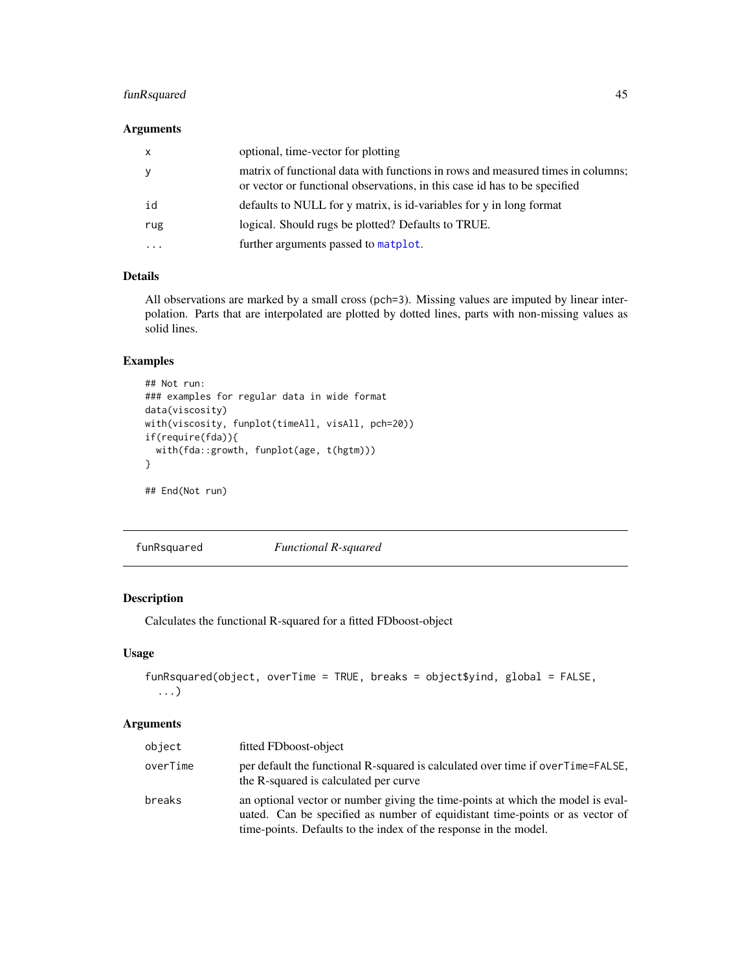# funRsquared 45

## Arguments

| $\mathsf{x}$            | optional, time-vector for plotting                                                                                                                           |
|-------------------------|--------------------------------------------------------------------------------------------------------------------------------------------------------------|
| y                       | matrix of functional data with functions in rows and measured times in columns;<br>or vector or functional observations, in this case id has to be specified |
| id                      | defaults to NULL for y matrix, is id-variables for y in long format                                                                                          |
| rug                     | logical. Should rugs be plotted? Defaults to TRUE.                                                                                                           |
| $\cdot$ $\cdot$ $\cdot$ | further arguments passed to matplot.                                                                                                                         |

# Details

All observations are marked by a small cross (pch=3). Missing values are imputed by linear interpolation. Parts that are interpolated are plotted by dotted lines, parts with non-missing values as solid lines.

# Examples

```
## Not run:
### examples for regular data in wide format
data(viscosity)
with(viscosity, funplot(timeAll, visAll, pch=20))
if(require(fda)){
  with(fda::growth, funplot(age, t(hgtm)))
}
```
## End(Not run)

funRsquared *Functional R-squared*

# Description

Calculates the functional R-squared for a fitted FDboost-object

# Usage

```
funRsquared(object, overTime = TRUE, breaks = object$yind, global = FALSE,
  ...)
```

| object   | fitted FDboost-object                                                                                                                                                                                                               |
|----------|-------------------------------------------------------------------------------------------------------------------------------------------------------------------------------------------------------------------------------------|
| overTime | per default the functional R-squared is calculated over time if over Time=FALSE,<br>the R-squared is calculated per curve                                                                                                           |
| breaks   | an optional vector or number giving the time-points at which the model is eval-<br>uated. Can be specified as number of equidistant time-points or as vector of<br>time-points. Defaults to the index of the response in the model. |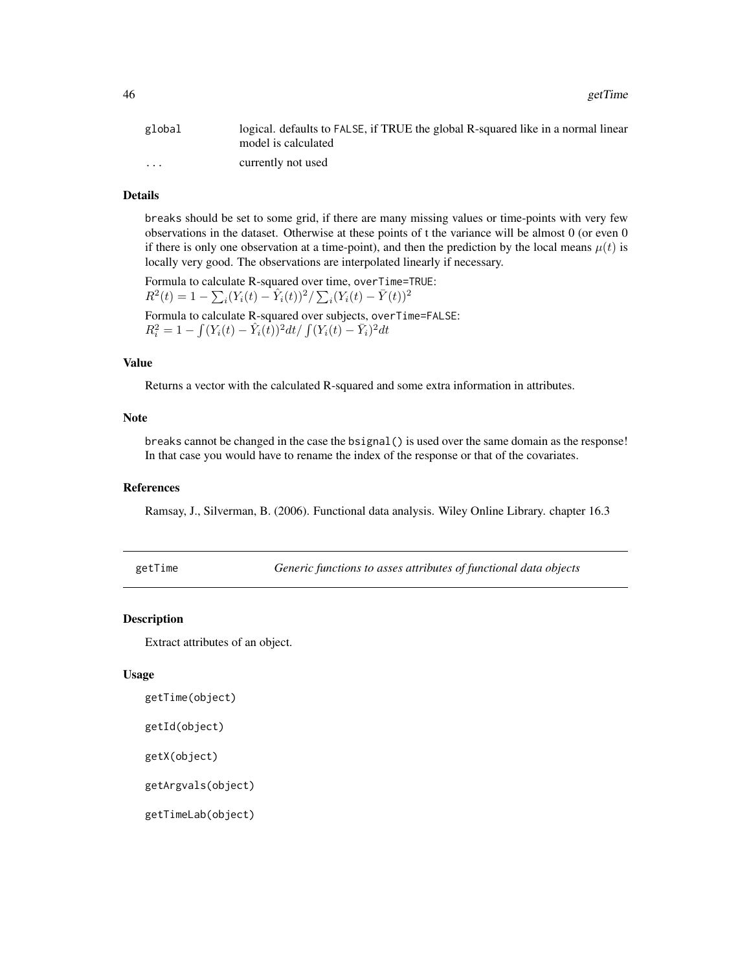| global               | logical. defaults to FALSE, if TRUE the global R-squared like in a normal linear<br>model is calculated |
|----------------------|---------------------------------------------------------------------------------------------------------|
| $\ddot{\phantom{0}}$ | currently not used                                                                                      |

# Details

breaks should be set to some grid, if there are many missing values or time-points with very few observations in the dataset. Otherwise at these points of t the variance will be almost 0 (or even 0 if there is only one observation at a time-point), and then the prediction by the local means  $\mu(t)$  is locally very good. The observations are interpolated linearly if necessary.

Formula to calculate R-squared over time, overTime=TRUE:  $R^2(t) = 1 - \sum_i (Y_i(t) - \hat{Y}_i(t))^2 / \sum_i (Y_i(t) - \bar{Y}(t))^2$ Formula to calculate R-squared over subjects, overTime=FALSE:

 $R_i^2 = 1 - \int (Y_i(t) - \hat{Y}_i(t))^2 dt / \int (Y_i(t) - \bar{Y}_i)^2 dt$ 

### Value

Returns a vector with the calculated R-squared and some extra information in attributes.

## Note

breaks cannot be changed in the case the bsignal() is used over the same domain as the response! In that case you would have to rename the index of the response or that of the covariates.

#### References

Ramsay, J., Silverman, B. (2006). Functional data analysis. Wiley Online Library. chapter 16.3

getTime *Generic functions to asses attributes of functional data objects*

## Description

Extract attributes of an object.

### Usage

```
getTime(object)
```

```
getId(object)
```
getX(object)

getArgvals(object)

getTimeLab(object)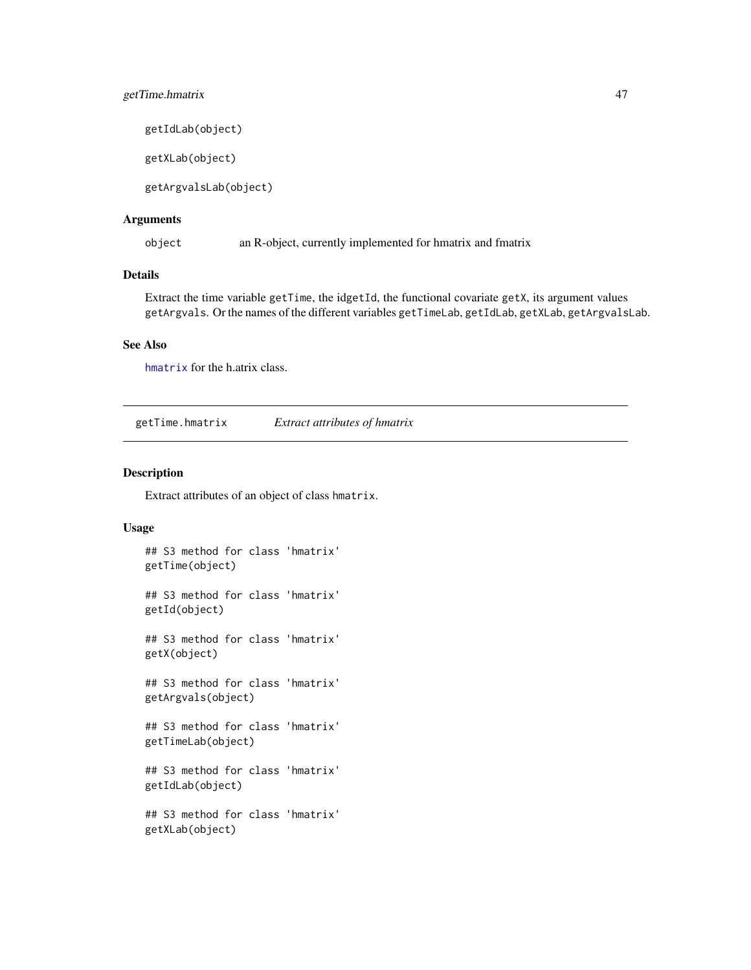# getTime.hmatrix 47

getIdLab(object)

getXLab(object)

getArgvalsLab(object)

### Arguments

object an R-object, currently implemented for hmatrix and fmatrix

### Details

Extract the time variable getTime, the idgetId, the functional covariate getX, its argument values getArgvals. Or the names of the different variables getTimeLab, getIdLab, getXLab, getArgvalsLab.

## See Also

[hmatrix](#page-47-0) for the h.atrix class.

<span id="page-46-0"></span>getTime.hmatrix *Extract attributes of hmatrix*

## Description

Extract attributes of an object of class hmatrix.

```
## S3 method for class 'hmatrix'
getTime(object)
## S3 method for class 'hmatrix'
getId(object)
## S3 method for class 'hmatrix'
getX(object)
## S3 method for class 'hmatrix'
getArgvals(object)
## S3 method for class 'hmatrix'
getTimeLab(object)
## S3 method for class 'hmatrix'
getIdLab(object)
## S3 method for class 'hmatrix'
getXLab(object)
```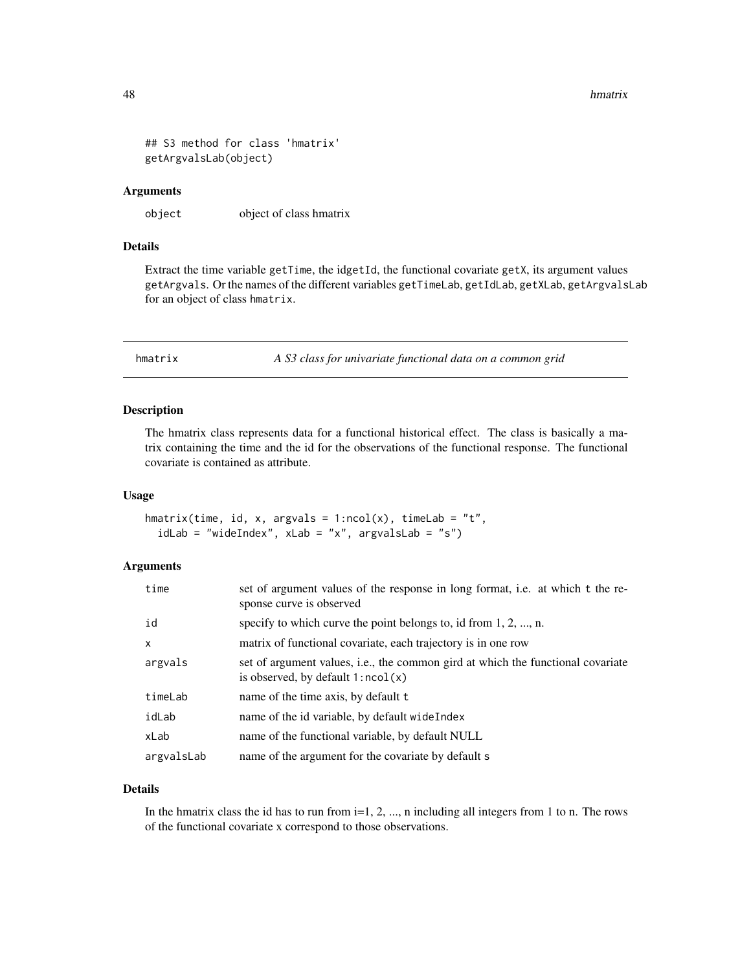```
## S3 method for class 'hmatrix'
getArgvalsLab(object)
```
#### Arguments

object object of class hmatrix

## Details

Extract the time variable getTime, the idgetId, the functional covariate getX, its argument values getArgvals. Or the names of the different variables getTimeLab, getIdLab, getXLab, getArgvalsLab for an object of class hmatrix.

<span id="page-47-0"></span>hmatrix *A S3 class for univariate functional data on a common grid*

## Description

The hmatrix class represents data for a functional historical effect. The class is basically a matrix containing the time and the id for the observations of the functional response. The functional covariate is contained as attribute.

### Usage

```
hmatrix(time, id, x, argvals = 1:ncol(x), timeLab = "t",
  idLab = "wideIndex", xLab = "x", argvalsLab = "s")
```
# Arguments

| time         | set of argument values of the response in long format, i.e. at which t the re-<br>sponse curve is observed                     |  |
|--------------|--------------------------------------------------------------------------------------------------------------------------------|--|
| id           | specify to which curve the point belongs to, id from $1, 2, , n$ .                                                             |  |
| $\mathsf{x}$ | matrix of functional covariate, each trajectory is in one row                                                                  |  |
| argvals      | set of argument values, <i>i.e.</i> , the common gird at which the functional covariate<br>is observed, by default $1:ncol(x)$ |  |
| timeLab      | name of the time axis, by default t                                                                                            |  |
| idLab        | name of the id variable, by default wide Index                                                                                 |  |
| xLab         | name of the functional variable, by default NULL                                                                               |  |
| argvalsLab   | name of the argument for the covariate by default s                                                                            |  |

# Details

In the hmatrix class the id has to run from  $i=1, 2, \ldots$ , n including all integers from 1 to n. The rows of the functional covariate x correspond to those observations.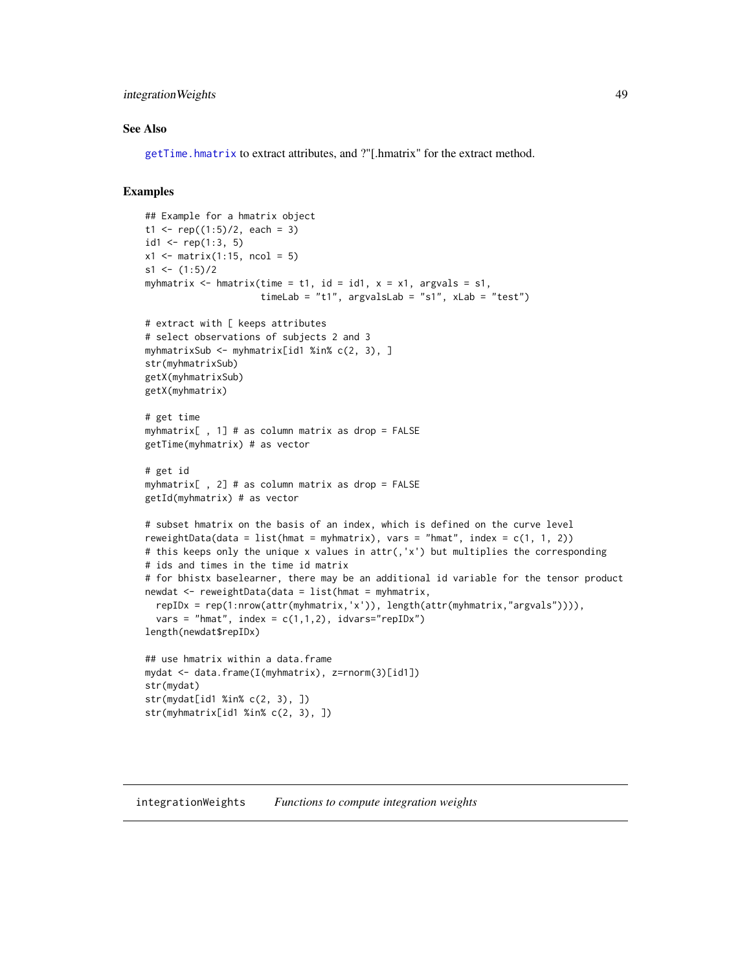## integrationWeights 49

### See Also

[getTime.hmatrix](#page-46-0) to extract attributes, and ?"[.hmatrix" for the extract method.

```
## Example for a hmatrix object
t1 <- rep((1:5)/2, each = 3)id1 <- rep(1:3, 5)x1 \leftarrow matrix(1:15, ncol = 5)s1 \leftarrow (1:5)/2myhmatrix \leq hmatrix(time = t1, id = id1, x = x1, argvals = s1,
                     timeLab = "t1", argvalsLab = "s1", xLab = "test")
# extract with [ keeps attributes
# select observations of subjects 2 and 3
myhmatrixSub <- myhmatrix[id1 %in% c(2, 3), ]
str(myhmatrixSub)
getX(myhmatrixSub)
getX(myhmatrix)
# get time
myhmatrix[ , 1] # as column matrix as drop = FALSE
getTime(myhmatrix) # as vector
# get id
myhmatrix[ , 2] # as column matrix as drop = FALSE
getId(myhmatrix) # as vector
# subset hmatrix on the basis of an index, which is defined on the curve level
reweightData(data = list(hmat = myhmatrix), vars = "hmat", index = c(1, 1, 2))
# this keeps only the unique x values in attr(,'x') but multiplies the corresponding
# ids and times in the time id matrix
# for bhistx baselearner, there may be an additional id variable for the tensor product
newdat <- reweightData(data = list(hmat = myhmatrix,
  repIDx = rep(1:nrow(attr(myhmatrix,'x')), length(attr(myhmatrix,"argvals")))),
  vars = "hmat", index = c(1,1,2), idvars="repIDx")
length(newdat$repIDx)
## use hmatrix within a data.frame
mydat <- data.frame(I(myhmatrix), z=rnorm(3)[id1])
str(mydat)
str(mydat[id1 %in% c(2, 3), ])
str(myhmatrix[id1 %in% c(2, 3), ])
```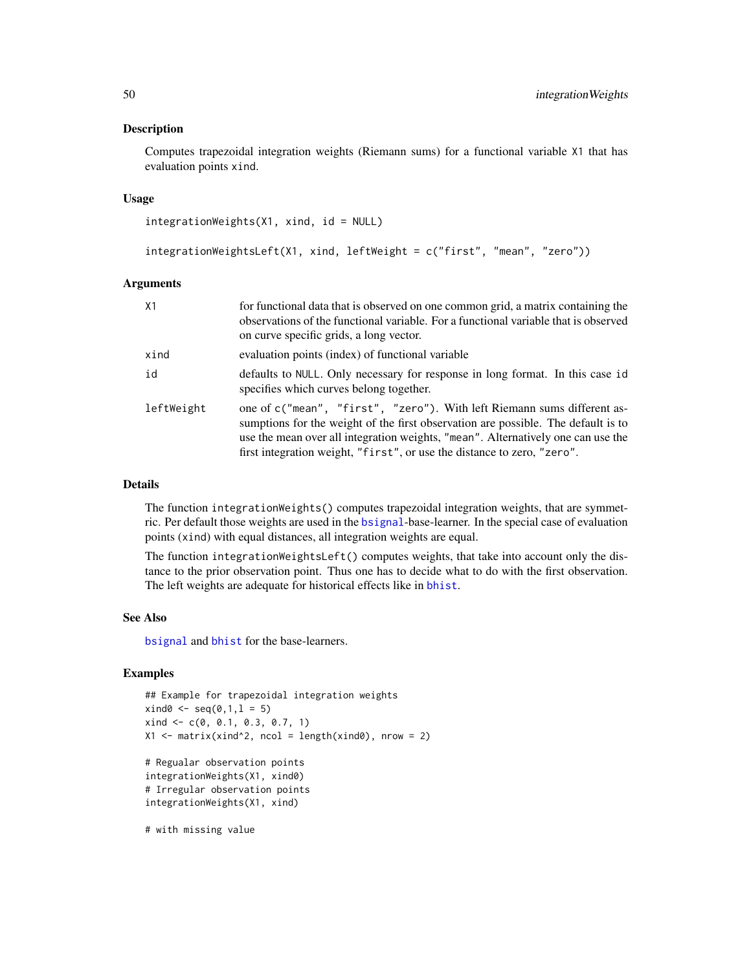#### Description

Computes trapezoidal integration weights (Riemann sums) for a functional variable X1 that has evaluation points xind.

#### Usage

integrationWeights(X1, xind, id = NULL)

```
integrationWeightsLeft(X1, xind, leftWeight = c("first", "mean", "zero"))
```
#### Arguments

| X1         | for functional data that is observed on one common grid, a matrix containing the<br>observations of the functional variable. For a functional variable that is observed<br>on curve specific grids, a long vector.                                                                                                          |
|------------|-----------------------------------------------------------------------------------------------------------------------------------------------------------------------------------------------------------------------------------------------------------------------------------------------------------------------------|
| xind       | evaluation points (index) of functional variable                                                                                                                                                                                                                                                                            |
| id         | defaults to NULL. Only necessary for response in long format. In this case id<br>specifies which curves belong together.                                                                                                                                                                                                    |
| leftWeight | one of c("mean", "first", "zero"). With left Riemann sums different as-<br>sumptions for the weight of the first observation are possible. The default is to<br>use the mean over all integration weights, "mean". Alternatively one can use the<br>first integration weight, "first", or use the distance to zero, "zero". |

#### Details

The function integrationWeights() computes trapezoidal integration weights, that are symmetric. Per default those weights are used in the [bsignal](#page-18-0)-base-learner. In the special case of evaluation points (xind) with equal distances, all integration weights are equal.

The function integrationWeightsLeft() computes weights, that take into account only the distance to the prior observation point. Thus one has to decide what to do with the first observation. The left weights are adequate for historical effects like in [bhist](#page-18-1).

#### See Also

[bsignal](#page-18-0) and [bhist](#page-18-1) for the base-learners.

# Examples

```
## Example for trapezoidal integration weights
xind@ \leftarrow seq(0, 1, 1 = 5)xind \leftarrow c(0, 0.1, 0.3, 0.7, 1)X1 \leftarrow matrix(xind^2, ncol = length(xind0), nrow = 2)
```

```
# Regualar observation points
integrationWeights(X1, xind0)
# Irregular observation points
integrationWeights(X1, xind)
```
# with missing value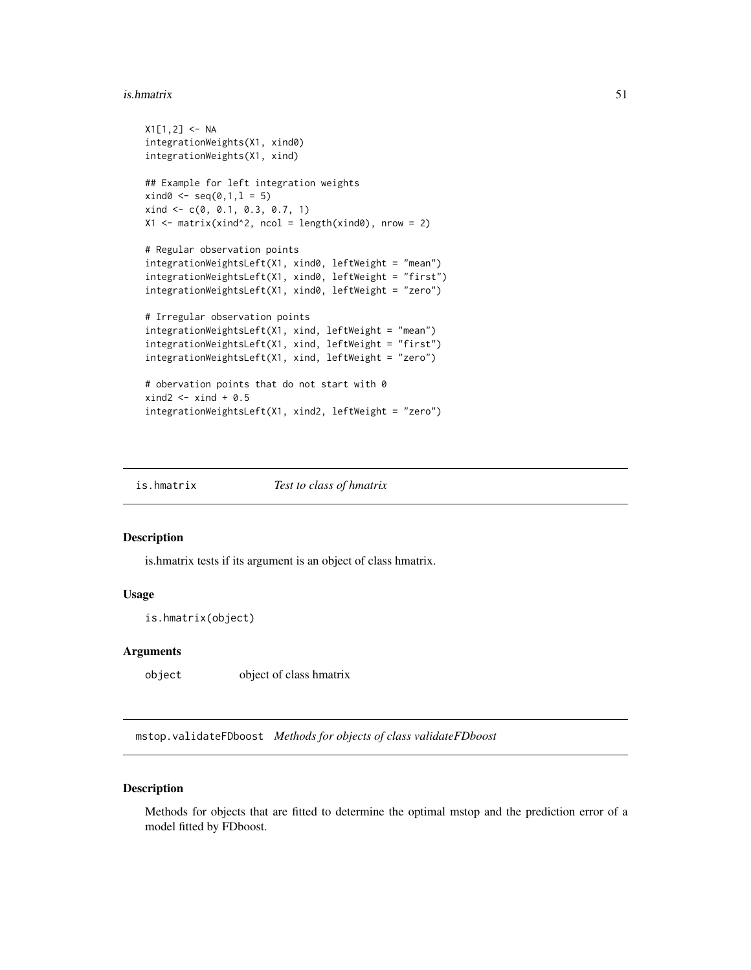#### is.hmatrix 51

```
X1[1,2] < -NAintegrationWeights(X1, xind0)
integrationWeights(X1, xind)
## Example for left integration weights
xind0 \leq -seq(0,1,1 = 5)xind \leftarrow c(0, 0.1, 0.3, 0.7, 1)X1 \leftarrow matrix(xind^2, ncol = length(xind0), nrow = 2)# Regular observation points
integrationWeightsLeft(X1, xind0, leftWeight = "mean")
integrationWeightsLeft(X1, xind0, leftWeight = "first")
integrationWeightsLeft(X1, xind0, leftWeight = "zero")
# Irregular observation points
integrationWeightsLeft(X1, xind, leftWeight = "mean")
integrationWeightsLeft(X1, xind, leftWeight = "first")
integrationWeightsLeft(X1, xind, leftWeight = "zero")
# obervation points that do not start with 0
xind2 \le -xind + 0.5integrationWeightsLeft(X1, xind2, leftWeight = "zero")
```
is.hmatrix *Test to class of hmatrix*

## Description

is.hmatrix tests if its argument is an object of class hmatrix.

### Usage

is.hmatrix(object)

### Arguments

object object of class hmatrix

mstop.validateFDboost *Methods for objects of class validateFDboost*

# **Description**

Methods for objects that are fitted to determine the optimal mstop and the prediction error of a model fitted by FDboost.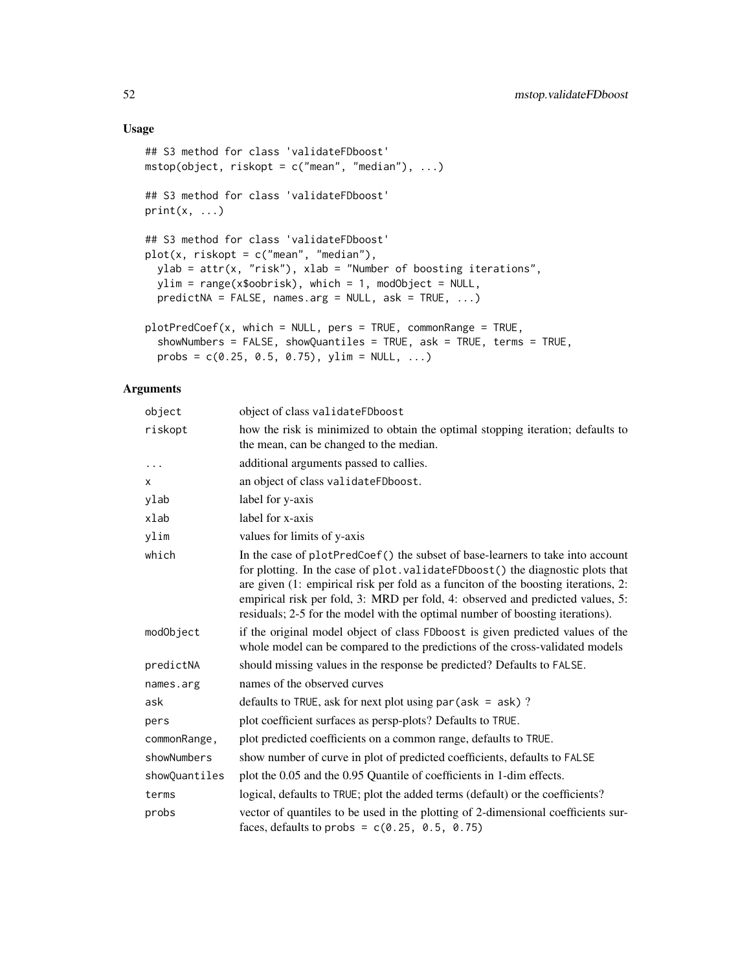# Usage

```
## S3 method for class 'validateFDboost'
mstop(object, riskopt = c("mean", "median"), ...)
## S3 method for class 'validateFDboost'
print(x, \ldots)## S3 method for class 'validateFDboost'
plot(x, riskopt = c("mean", "median"),ylab = attr(x, "risk"), xlab = "Number of boosting iterations",
 ylim = range(x$oobrisk), which = 1, modObject = NULL,
 predictNA = FALSE, names.argv = NULL, ask = TRUE, ...)plotPredCoef(x, which = NULL, pers = TRUE, commonRange = TRUE,showNumbers = FALSE, showQuantiles = TRUE, ask = TRUE, terms = TRUE,
 probs = c(0.25, 0.5, 0.75), ylim = NULL, ...)
```

| object        | object of class validateFDboost                                                                                                                                                                                                                                                                                                                                                                                           |  |
|---------------|---------------------------------------------------------------------------------------------------------------------------------------------------------------------------------------------------------------------------------------------------------------------------------------------------------------------------------------------------------------------------------------------------------------------------|--|
| riskopt       | how the risk is minimized to obtain the optimal stopping iteration; defaults to<br>the mean, can be changed to the median.                                                                                                                                                                                                                                                                                                |  |
| $\cdots$      | additional arguments passed to callies.                                                                                                                                                                                                                                                                                                                                                                                   |  |
| X             | an object of class validateFDboost.                                                                                                                                                                                                                                                                                                                                                                                       |  |
| ylab          | label for y-axis                                                                                                                                                                                                                                                                                                                                                                                                          |  |
| xlab          | label for x-axis                                                                                                                                                                                                                                                                                                                                                                                                          |  |
| ylim          | values for limits of y-axis                                                                                                                                                                                                                                                                                                                                                                                               |  |
| which         | In the case of plotPredCoef() the subset of base-learners to take into account<br>for plotting. In the case of plot. validateFDboost() the diagnostic plots that<br>are given (1: empirical risk per fold as a funciton of the boosting iterations, 2:<br>empirical risk per fold, 3: MRD per fold, 4: observed and predicted values, 5:<br>residuals; 2-5 for the model with the optimal number of boosting iterations). |  |
| modObject     | if the original model object of class FDboost is given predicted values of the<br>whole model can be compared to the predictions of the cross-validated models                                                                                                                                                                                                                                                            |  |
| predictNA     | should missing values in the response be predicted? Defaults to FALSE.                                                                                                                                                                                                                                                                                                                                                    |  |
| names.arg     | names of the observed curves                                                                                                                                                                                                                                                                                                                                                                                              |  |
| ask           | defaults to TRUE, ask for next plot using $par(ask = ask)$ ?                                                                                                                                                                                                                                                                                                                                                              |  |
| pers          | plot coefficient surfaces as persp-plots? Defaults to TRUE.                                                                                                                                                                                                                                                                                                                                                               |  |
| commonRange,  | plot predicted coefficients on a common range, defaults to TRUE.                                                                                                                                                                                                                                                                                                                                                          |  |
| showNumbers   | show number of curve in plot of predicted coefficients, defaults to FALSE                                                                                                                                                                                                                                                                                                                                                 |  |
| showQuantiles | plot the 0.05 and the 0.95 Quantile of coefficients in 1-dim effects.                                                                                                                                                                                                                                                                                                                                                     |  |
| terms         | logical, defaults to TRUE; plot the added terms (default) or the coefficients?                                                                                                                                                                                                                                                                                                                                            |  |
| probs         | vector of quantiles to be used in the plotting of 2-dimensional coefficients sur-<br>faces, defaults to probs = $c(0.25, 0.5, 0.75)$                                                                                                                                                                                                                                                                                      |  |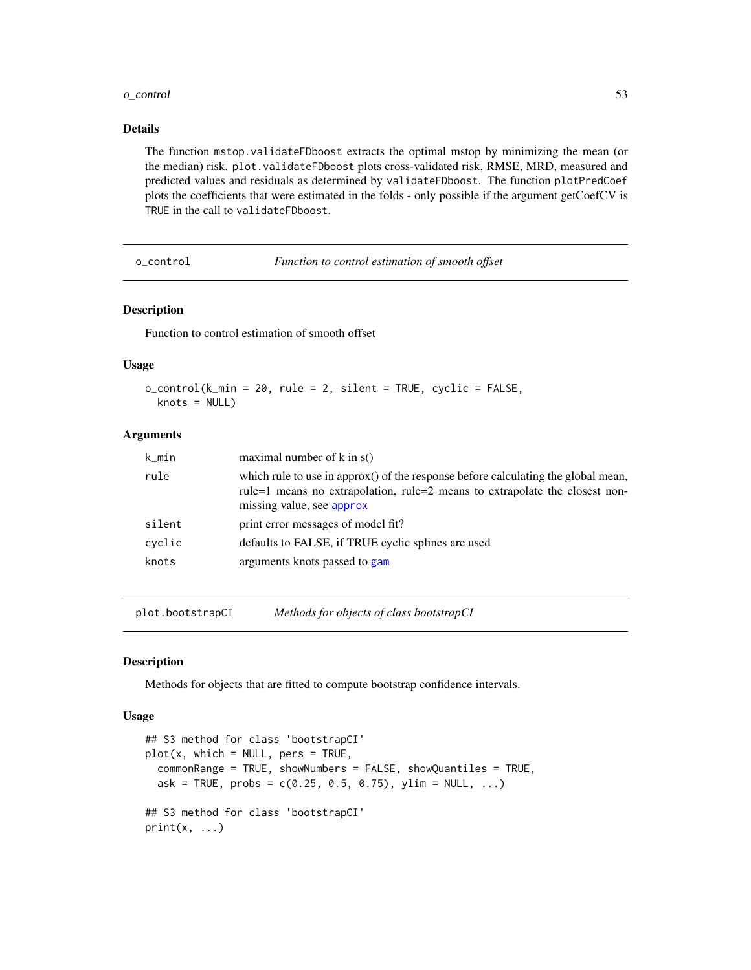#### o\_control 53

## Details

The function mstop.validateFDboost extracts the optimal mstop by minimizing the mean (or the median) risk. plot.validateFDboost plots cross-validated risk, RMSE, MRD, measured and predicted values and residuals as determined by validateFDboost. The function plotPredCoef plots the coefficients that were estimated in the folds - only possible if the argument getCoefCV is TRUE in the call to validateFDboost.

o\_control *Function to control estimation of smooth offset*

### Description

Function to control estimation of smooth offset

### Usage

```
o_control(k_min = 20, rule = 2, silent = TRUE, cyclic = FALSE,
 knots = NULL)
```
## Arguments

| rule<br>missing value, see approx<br>print error messages of model fit?<br>silent<br>defaults to FALSE, if TRUE cyclic splines are used<br>cyclic<br>arguments knots passed to gam<br>knots | k_min | maximal number of $k$ in $s()$                                                                                                                                   |
|---------------------------------------------------------------------------------------------------------------------------------------------------------------------------------------------|-------|------------------------------------------------------------------------------------------------------------------------------------------------------------------|
|                                                                                                                                                                                             |       | which rule to use in approx() of the response before calculating the global mean,<br>rule=1 means no extrapolation, rule=2 means to extrapolate the closest non- |
|                                                                                                                                                                                             |       |                                                                                                                                                                  |
|                                                                                                                                                                                             |       |                                                                                                                                                                  |
|                                                                                                                                                                                             |       |                                                                                                                                                                  |

plot.bootstrapCI *Methods for objects of class bootstrapCI*

# Description

Methods for objects that are fitted to compute bootstrap confidence intervals.

```
## S3 method for class 'bootstrapCI'
plot(x, which = NULL, pers = TRUE,commonRange = TRUE, showNumbers = FALSE, showQuantiles = TRUE,
 ask = TRUE, probs = c(0.25, 0.5, 0.75), ylim = NULL, ...)## S3 method for class 'bootstrapCI'
print(x, \ldots)
```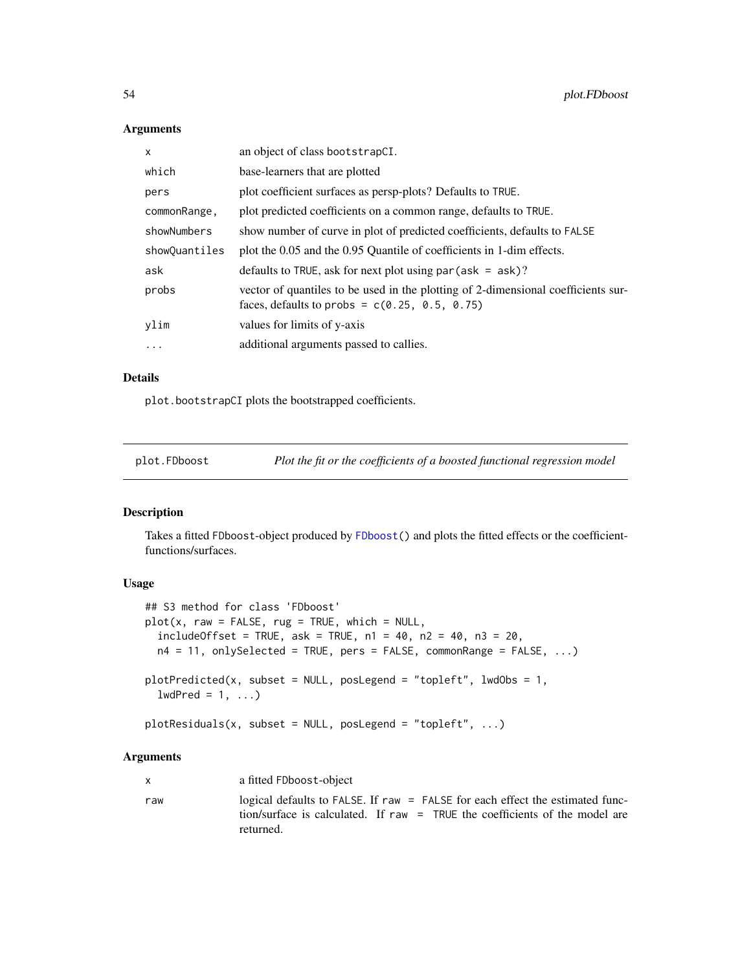### Arguments

| an object of class bootstrapCI.                                                                                                      |
|--------------------------------------------------------------------------------------------------------------------------------------|
| base-learners that are plotted                                                                                                       |
| plot coefficient surfaces as persp-plots? Defaults to TRUE.                                                                          |
| plot predicted coefficients on a common range, defaults to TRUE.                                                                     |
| show number of curve in plot of predicted coefficients, defaults to FALSE                                                            |
| plot the 0.05 and the 0.95 Quantile of coefficients in 1-dim effects.                                                                |
| defaults to TRUE, ask for next plot using $par (ask = ask)$ ?                                                                        |
| vector of quantiles to be used in the plotting of 2-dimensional coefficients sur-<br>faces, defaults to probs = $c(0.25, 0.5, 0.75)$ |
| values for limits of y-axis                                                                                                          |
| additional arguments passed to callies.                                                                                              |
|                                                                                                                                      |

# Details

plot.bootstrapCI plots the bootstrapped coefficients.

plot.FDboost *Plot the fit or the coefficients of a boosted functional regression model*

# <span id="page-53-0"></span>Description

Takes a fitted FDboost-object produced by [FDboost\(](#page-28-0)) and plots the fitted effects or the coefficientfunctions/surfaces.

### Usage

```
## S3 method for class 'FDboost'
plot(x, raw = FALSE, rug = TRUE, which = NULL,includeOffset = TRUE, ask = TRUE, n1 = 40, n2 = 40, n3 = 20,
 n4 = 11, onlySelected = TRUE, pers = FALSE, commonRange = FALSE, ...)
plotPredicted(x, subset = NULL, posLegend = "topleft", ludd0bs = 1,lwdPred = 1, ...plots(x, subset = NULL, posLegend = "topleft", ...)
```

| X   | a fitted FDboost-object                                                                                                                                                   |
|-----|---------------------------------------------------------------------------------------------------------------------------------------------------------------------------|
| raw | logical defaults to FALSE. If raw = FALSE for each effect the estimated func-<br>tion/surface is calculated. If raw = TRUE the coefficients of the model are<br>returned. |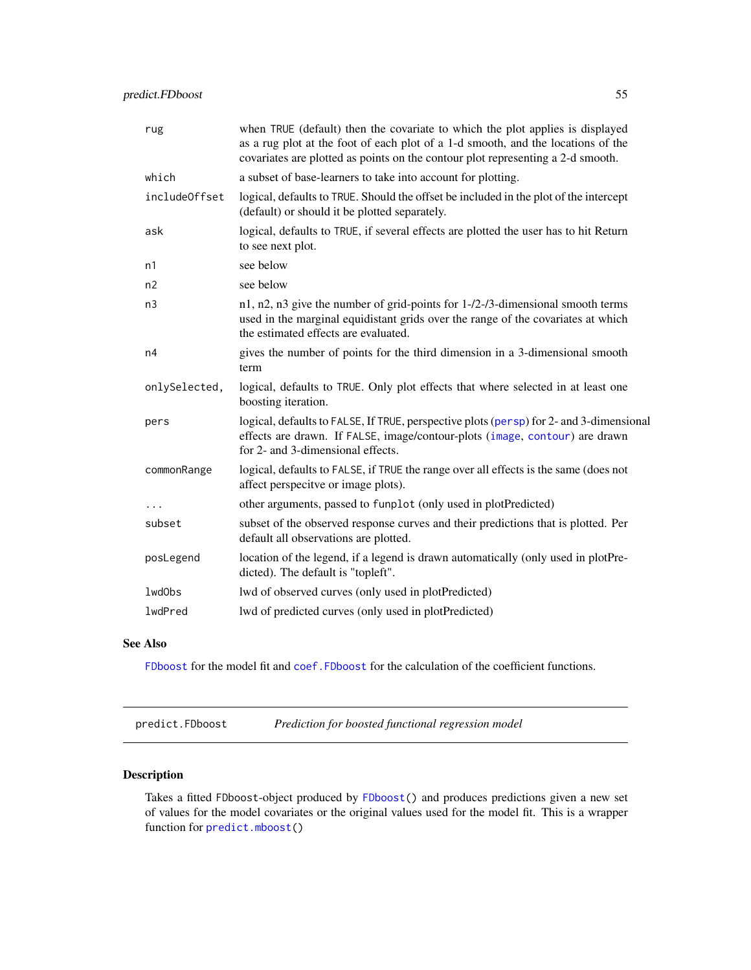| rug           | when TRUE (default) then the covariate to which the plot applies is displayed<br>as a rug plot at the foot of each plot of a 1-d smooth, and the locations of the<br>covariates are plotted as points on the contour plot representing a 2-d smooth. |
|---------------|------------------------------------------------------------------------------------------------------------------------------------------------------------------------------------------------------------------------------------------------------|
| which         | a subset of base-learners to take into account for plotting.                                                                                                                                                                                         |
| includeOffset | logical, defaults to TRUE. Should the offset be included in the plot of the intercept<br>(default) or should it be plotted separately.                                                                                                               |
| ask           | logical, defaults to TRUE, if several effects are plotted the user has to hit Return<br>to see next plot.                                                                                                                                            |
| n1            | see below                                                                                                                                                                                                                                            |
| n2            | see below                                                                                                                                                                                                                                            |
| n3            | n1, n2, n3 give the number of grid-points for 1-/2-/3-dimensional smooth terms<br>used in the marginal equidistant grids over the range of the covariates at which<br>the estimated effects are evaluated.                                           |
| n4            | gives the number of points for the third dimension in a 3-dimensional smooth<br>term                                                                                                                                                                 |
| onlySelected, | logical, defaults to TRUE. Only plot effects that where selected in at least one<br>boosting iteration.                                                                                                                                              |
| pers          | logical, defaults to FALSE, If TRUE, perspective plots (persp) for 2- and 3-dimensional<br>effects are drawn. If FALSE, image/contour-plots (image, contour) are drawn<br>for 2- and 3-dimensional effects.                                          |
| commonRange   | logical, defaults to FALSE, if TRUE the range over all effects is the same (does not<br>affect perspecitve or image plots).                                                                                                                          |
| .             | other arguments, passed to funplot (only used in plotPredicted)                                                                                                                                                                                      |
| subset        | subset of the observed response curves and their predictions that is plotted. Per<br>default all observations are plotted.                                                                                                                           |
| posLegend     | location of the legend, if a legend is drawn automatically (only used in plotPre-<br>dicted). The default is "topleft".                                                                                                                              |
| lwdObs        | lwd of observed curves (only used in plotPredicted)                                                                                                                                                                                                  |
| lwdPred       | lwd of predicted curves (only used in plotPredicted)                                                                                                                                                                                                 |

## See Also

[FDboost](#page-28-0) for the model fit and [coef.FDboost](#page-24-0) for the calculation of the coefficient functions.

<span id="page-54-0"></span>predict.FDboost *Prediction for boosted functional regression model*

# Description

Takes a fitted FDboost-object produced by [FDboost\(](#page-28-0)) and produces predictions given a new set of values for the model covariates or the original values used for the model fit. This is a wrapper function for [predict.mboost\(](#page-0-0))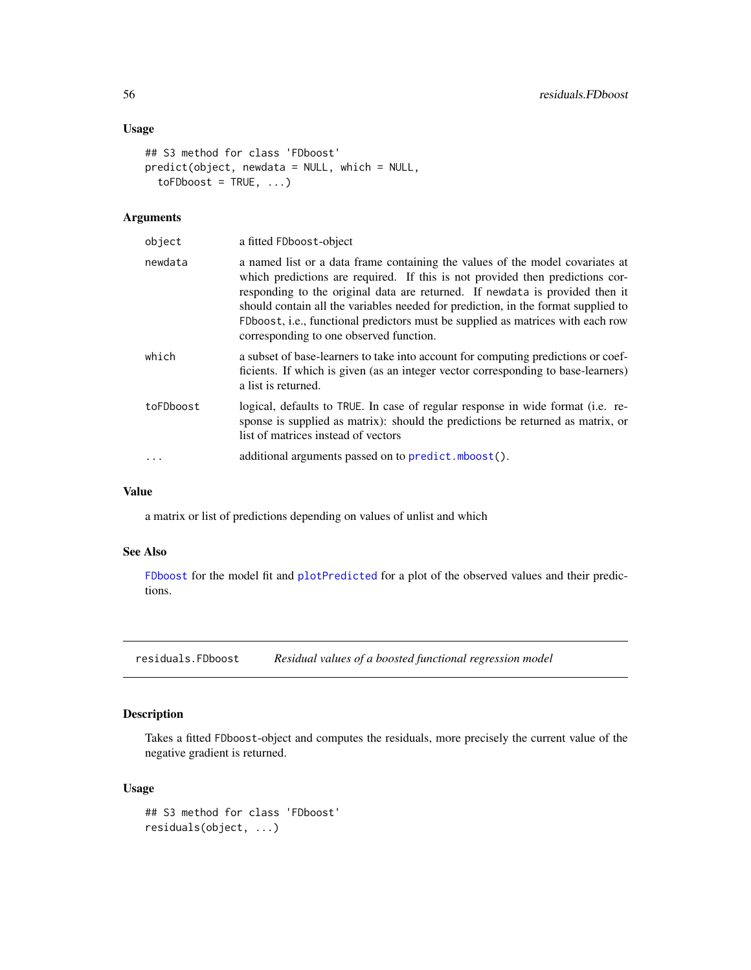# Usage

```
## S3 method for class 'FDboost'
predict(object, newdata = NULL, which = NULL,
  toFDboost = TRUE, ...)
```
## Arguments

| object    | a fitted FDboost-object                                                                                                                                                                                                                                                                                                                                                                                                                                           |
|-----------|-------------------------------------------------------------------------------------------------------------------------------------------------------------------------------------------------------------------------------------------------------------------------------------------------------------------------------------------------------------------------------------------------------------------------------------------------------------------|
| newdata   | a named list or a data frame containing the values of the model covariates at<br>which predictions are required. If this is not provided then predictions cor-<br>responding to the original data are returned. If newdata is provided then it<br>should contain all the variables needed for prediction, in the format supplied to<br>FDboost, i.e., functional predictors must be supplied as matrices with each row<br>corresponding to one observed function. |
| which     | a subset of base-learners to take into account for computing predictions or coef-<br>ficients. If which is given (as an integer vector corresponding to base-learners)<br>a list is returned.                                                                                                                                                                                                                                                                     |
| toFDboost | logical, defaults to TRUE. In case of regular response in wide format (i.e. re-<br>sponse is supplied as matrix): should the predictions be returned as matrix, or<br>list of matrices instead of vectors                                                                                                                                                                                                                                                         |
|           | additional arguments passed on to predict.mboost().                                                                                                                                                                                                                                                                                                                                                                                                               |
|           |                                                                                                                                                                                                                                                                                                                                                                                                                                                                   |

# Value

a matrix or list of predictions depending on values of unlist and which

### See Also

[FDboost](#page-28-0) for the model fit and [plotPredicted](#page-53-0) for a plot of the observed values and their predictions.

residuals.FDboost *Residual values of a boosted functional regression model*

# Description

Takes a fitted FDboost-object and computes the residuals, more precisely the current value of the negative gradient is returned.

```
## S3 method for class 'FDboost'
residuals(object, ...)
```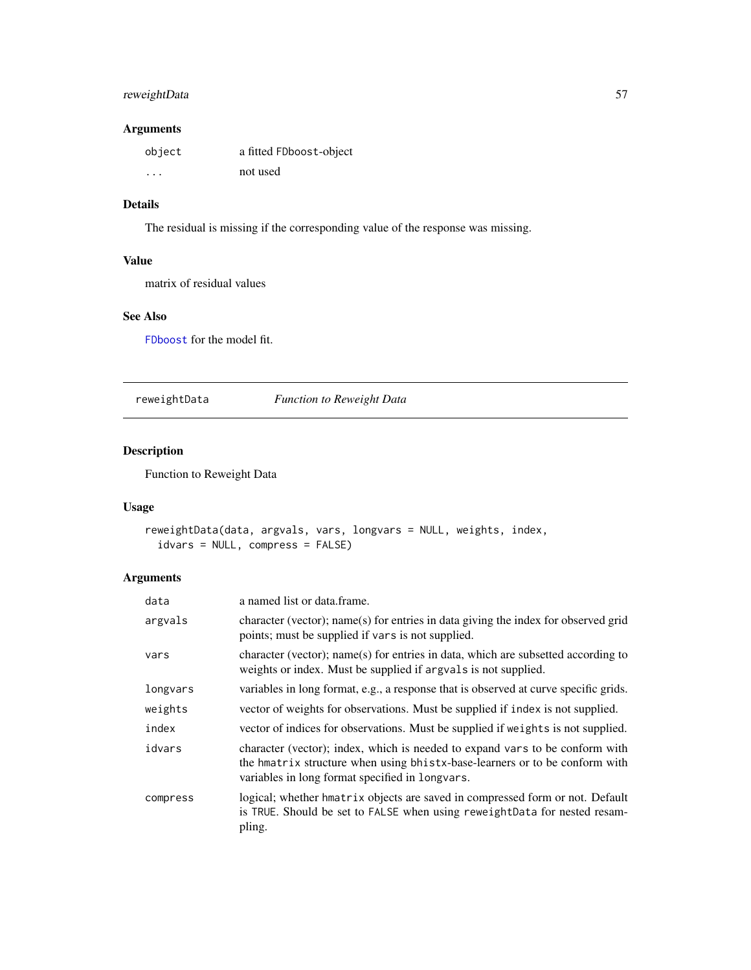# reweightData 57

# Arguments

| object               | a fitted FDboost-object |
|----------------------|-------------------------|
| $\ddot{\phantom{0}}$ | not used                |

# Details

The residual is missing if the corresponding value of the response was missing.

# Value

matrix of residual values

# See Also

[FDboost](#page-28-0) for the model fit.

reweightData *Function to Reweight Data*

# Description

Function to Reweight Data

## Usage

```
reweightData(data, argvals, vars, longvars = NULL, weights, index,
  idvars = NULL, compress = FALSE)
```

| data     | a named list or data frame.                                                                                                                                                                                    |
|----------|----------------------------------------------------------------------------------------------------------------------------------------------------------------------------------------------------------------|
| argvals  | character (vector); name(s) for entries in data giving the index for observed grid<br>points; must be supplied if vars is not supplied.                                                                        |
| vars     | character (vector); name(s) for entries in data, which are subsetted according to<br>weights or index. Must be supplied if arguals is not supplied.                                                            |
| longvars | variables in long format, e.g., a response that is observed at curve specific grids.                                                                                                                           |
| weights  | vector of weights for observations. Must be supplied if index is not supplied.                                                                                                                                 |
| index    | vector of indices for observations. Must be supplied if weights is not supplied.                                                                                                                               |
| idvars   | character (vector); index, which is needed to expand vars to be conform with<br>the hmatrix structure when using bhists-base-learners or to be conform with<br>variables in long format specified in longvars. |
| compress | logical; whether hmatrix objects are saved in compressed form or not. Default<br>is TRUE. Should be set to FALSE when using reweightData for nested resam-<br>pling.                                           |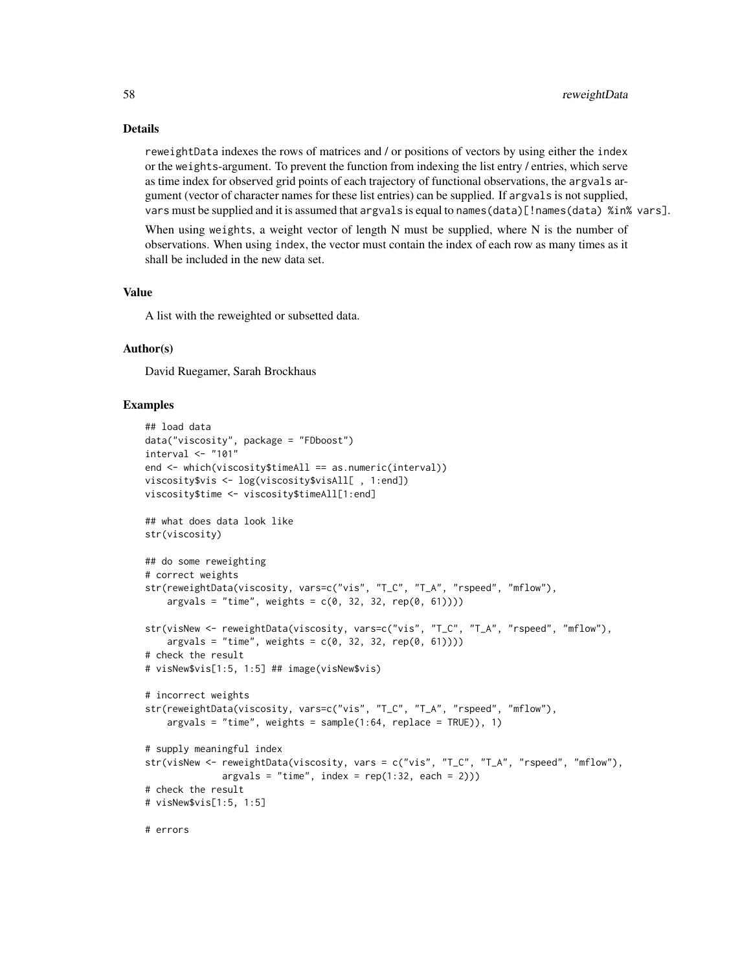## Details

reweightData indexes the rows of matrices and / or positions of vectors by using either the index or the weights-argument. To prevent the function from indexing the list entry / entries, which serve as time index for observed grid points of each trajectory of functional observations, the argvals argument (vector of character names for these list entries) can be supplied. If argvals is not supplied, vars must be supplied and it is assumed that argvals is equal to names(data)[!names(data) %in% vars].

When using weights, a weight vector of length  $N$  must be supplied, where  $N$  is the number of observations. When using index, the vector must contain the index of each row as many times as it shall be included in the new data set.

# Value

A list with the reweighted or subsetted data.

# Author(s)

David Ruegamer, Sarah Brockhaus

```
## load data
data("viscosity", package = "FDboost")
interval < - "101"
end <- which(viscosity$timeAll == as.numeric(interval))
viscosity$vis <- log(viscosity$visAll[ , 1:end])
viscosity$time <- viscosity$timeAll[1:end]
## what does data look like
str(viscosity)
## do some reweighting
# correct weights
str(reweightData(viscosity, vars=c("vis", "T_C", "T_A", "rspeed", "mflow"),
    argvals = "time", weights = c(0, 32, 32, rep(0, 61))))str(visNew <- reweightData(viscosity, vars=c("vis", "T_C", "T_A", "rspeed", "mflow"),
    argvals = "time", weights = c(0, 32, 32, rep(0, 61))))# check the result
# visNew$vis[1:5, 1:5] ## image(visNew$vis)
# incorrect weights
str(reweightData(viscosity, vars=c("vis", "T_C", "T_A", "rspeed", "mflow"),
    args = "time", weights = sample(1:64, replace = TRUE)), 1)# supply meaningful index
str(visNew <- reweightData(viscosity, vars = c("vis", "T_C", "T_A", "rspeed", "mflow"),
             args = "time", index = rep(1:32, each = 2)))# check the result
# visNew$vis[1:5, 1:5]
# errors
```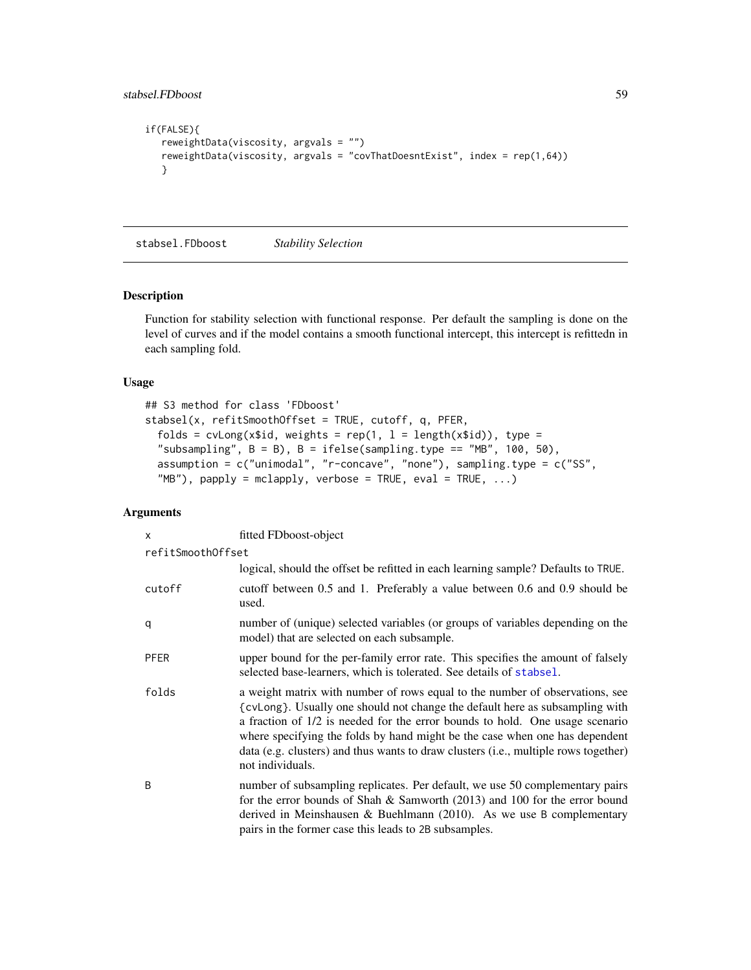```
if(FALSE){
  reweightData(viscosity, argvals = "")
  reweightData(viscosity, argvals = "covThatDoesntExist", index = rep(1,64))
  }
```
stabsel.FDboost *Stability Selection*

## Description

Function for stability selection with functional response. Per default the sampling is done on the level of curves and if the model contains a smooth functional intercept, this intercept is refittedn in each sampling fold.

### Usage

```
## S3 method for class 'FDboost'
stabsel(x, refitSmoothOffset = TRUE, cutoff, q, PFER,
  folds = cvLong(x$id, weights = rep(1, l = length(x$id)), type =
  "subsampling", B = B), B = ifelse(sampling-type == "MB", 100, 50),
  assumption = c("unimodal", "r-concave", "none"), sampling.type = c("SS",
  H''MB"), papply = mclapply, verbose = TRUE, eval = TRUE, ...)
```

| $\mathsf{x}$      | fitted FDboost-object                                                                                                                                                                                                                                                                                                                                                                                                                  |
|-------------------|----------------------------------------------------------------------------------------------------------------------------------------------------------------------------------------------------------------------------------------------------------------------------------------------------------------------------------------------------------------------------------------------------------------------------------------|
| refitSmoothOffset |                                                                                                                                                                                                                                                                                                                                                                                                                                        |
|                   | logical, should the offset be refitted in each learning sample? Defaults to TRUE.                                                                                                                                                                                                                                                                                                                                                      |
| cutoff            | cutoff between 0.5 and 1. Preferably a value between 0.6 and 0.9 should be<br>used.                                                                                                                                                                                                                                                                                                                                                    |
| q                 | number of (unique) selected variables (or groups of variables depending on the<br>model) that are selected on each subsample.                                                                                                                                                                                                                                                                                                          |
| <b>PFER</b>       | upper bound for the per-family error rate. This specifies the amount of falsely<br>selected base-learners, which is tolerated. See details of stabsel.                                                                                                                                                                                                                                                                                 |
| folds             | a weight matrix with number of rows equal to the number of observations, see<br>{cvLong}. Usually one should not change the default here as subsampling with<br>a fraction of 1/2 is needed for the error bounds to hold. One usage scenario<br>where specifying the folds by hand might be the case when one has dependent<br>data (e.g. clusters) and thus wants to draw clusters (i.e., multiple rows together)<br>not individuals. |
| B                 | number of subsampling replicates. Per default, we use 50 complementary pairs<br>for the error bounds of Shah & Samworth $(2013)$ and 100 for the error bound<br>derived in Meinshausen & Buehlmann $(2010)$ . As we use B complementary<br>pairs in the former case this leads to 2B subsamples.                                                                                                                                       |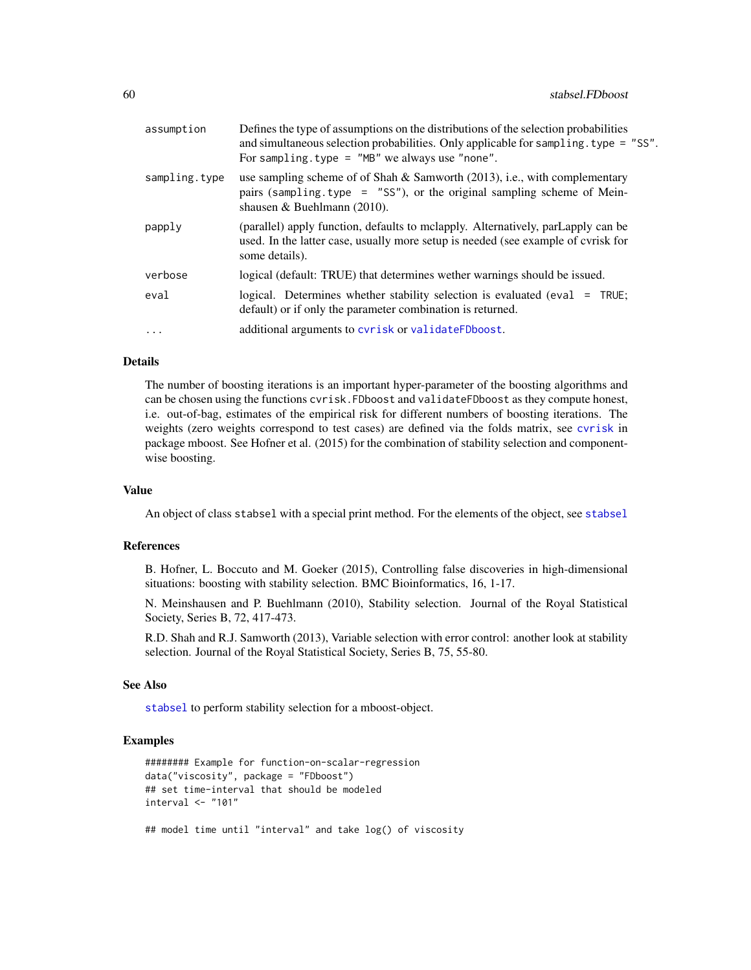| assumption    | Defines the type of assumptions on the distributions of the selection probabilities<br>and simultaneous selection probabilities. Only applicable for sampling type = "SS".<br>For sampling. type = $"MB"$ we always use "none". |
|---------------|---------------------------------------------------------------------------------------------------------------------------------------------------------------------------------------------------------------------------------|
| sampling.type | use sampling scheme of of Shah & Samworth $(2013)$ , i.e., with complementary<br>pairs (sampling.type = $"SS"$ ), or the original sampling scheme of Mein-<br>shausen & Buehlmann $(2010)$ .                                    |
| papply        | (parallel) apply function, defaults to melapply. Alternatively, parLapply can be<br>used. In the latter case, usually more setup is needed (see example of cyrisk for<br>some details).                                         |
| verbose       | logical (default: TRUE) that determines wether warnings should be issued.                                                                                                                                                       |
| eval          | logical. Determines whether stability selection is evaluated (eval $=$ TRUE;<br>default) or if only the parameter combination is returned.                                                                                      |
| $\cdots$      | additional arguments to cyrisk or validateFDboost.                                                                                                                                                                              |

### Details

The number of boosting iterations is an important hyper-parameter of the boosting algorithms and can be chosen using the functions cvrisk.FDboost and validateFDboost as they compute honest, i.e. out-of-bag, estimates of the empirical risk for different numbers of boosting iterations. The weights (zero weights correspond to test cases) are defined via the folds matrix, see [cvrisk](#page-0-0) in package mboost. See Hofner et al. (2015) for the combination of stability selection and componentwise boosting.

#### Value

An object of class stabsel with a special print method. For the elements of the object, see [stabsel](#page-0-0)

### References

B. Hofner, L. Boccuto and M. Goeker (2015), Controlling false discoveries in high-dimensional situations: boosting with stability selection. BMC Bioinformatics, 16, 1-17.

N. Meinshausen and P. Buehlmann (2010), Stability selection. Journal of the Royal Statistical Society, Series B, 72, 417-473.

R.D. Shah and R.J. Samworth (2013), Variable selection with error control: another look at stability selection. Journal of the Royal Statistical Society, Series B, 75, 55-80.

### See Also

[stabsel](#page-0-0) to perform stability selection for a mboost-object.

```
######## Example for function-on-scalar-regression
data("viscosity", package = "FDboost")
## set time-interval that should be modeled
interval <- "101"
## model time until "interval" and take log() of viscosity
```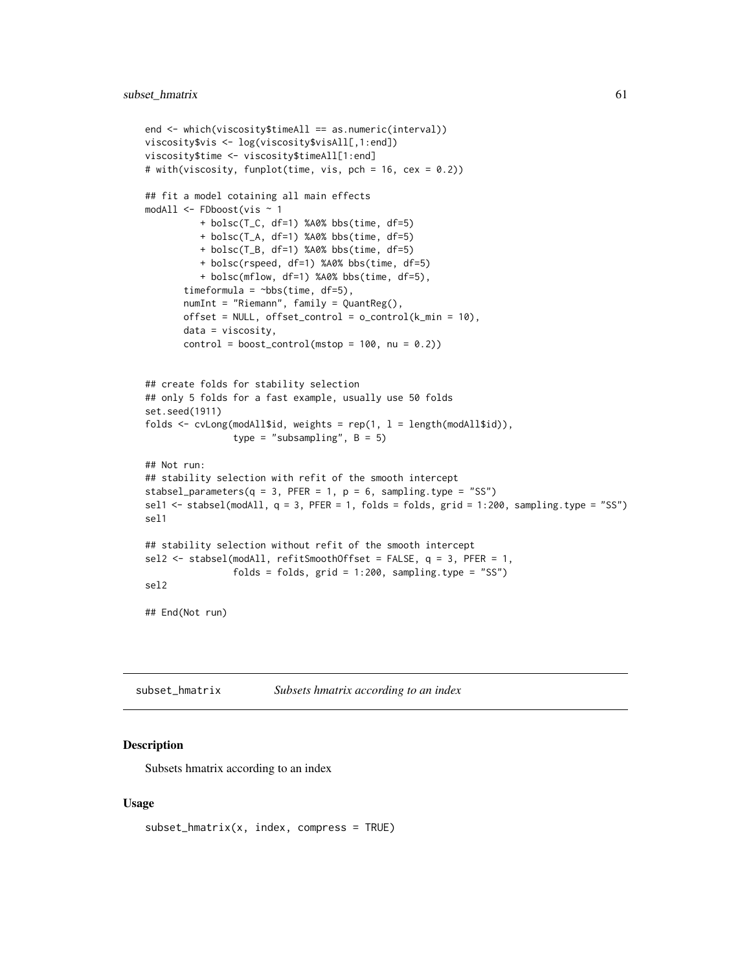```
end <- which(viscosity$timeAll == as.numeric(interval))
viscosity$vis <- log(viscosity$visAll[,1:end])
viscosity$time <- viscosity$timeAll[1:end]
# with(viscosity, funplot(time, vis, pch = 16, cex = 0.2))
## fit a model cotaining all main effects
modAll <- FDboost(vis ~ 1
         + bolsc(T_C, df=1) %A0% bbs(time, df=5)
          + bolsc(T_A, df=1) %A0% bbs(time, df=5)
         + bolsc(T_B, df=1) %A0% bbs(time, df=5)
         + bolsc(rspeed, df=1) %A0% bbs(time, df=5)
          + bolsc(mflow, df=1) %A0% bbs(time, df=5),
       timeformula = \negbbs(time, df=5),
       numInt = "Riemann", family = QuantReg(),
       offset = NULL, offset\_control = o\_control(k\_min = 10),
       data = viscosity,
       control = boost_countrol(mstop = 100, nu = 0.2))## create folds for stability selection
## only 5 folds for a fast example, usually use 50 folds
set.seed(1911)
folds \leq cvLong(modAll$id, weights = rep(1, l = length(modAll$id)),
                type = "subsampling", B = 5)
## Not run:
## stability selection with refit of the smooth intercept
stabsel_parameters(q = 3, PFER = 1, p = 6, sampling.type = "SS")
sel1 \le stabsel(modAll, q = 3, PFER = 1, folds = folds, grid = 1:200, sampling.type = "SS")
sel1
## stability selection without refit of the smooth intercept
sel2 \le stabsel(modAll, refitSmoothOffset = FALSE, q = 3, PFER = 1,
                folds = folds, grid = 1:200, sampling_type = "SS")sel2
## End(Not run)
```
subset\_hmatrix *Subsets hmatrix according to an index*

#### Description

Subsets hmatrix according to an index

```
subset_hmatrix(x, index, compress = TRUE)
```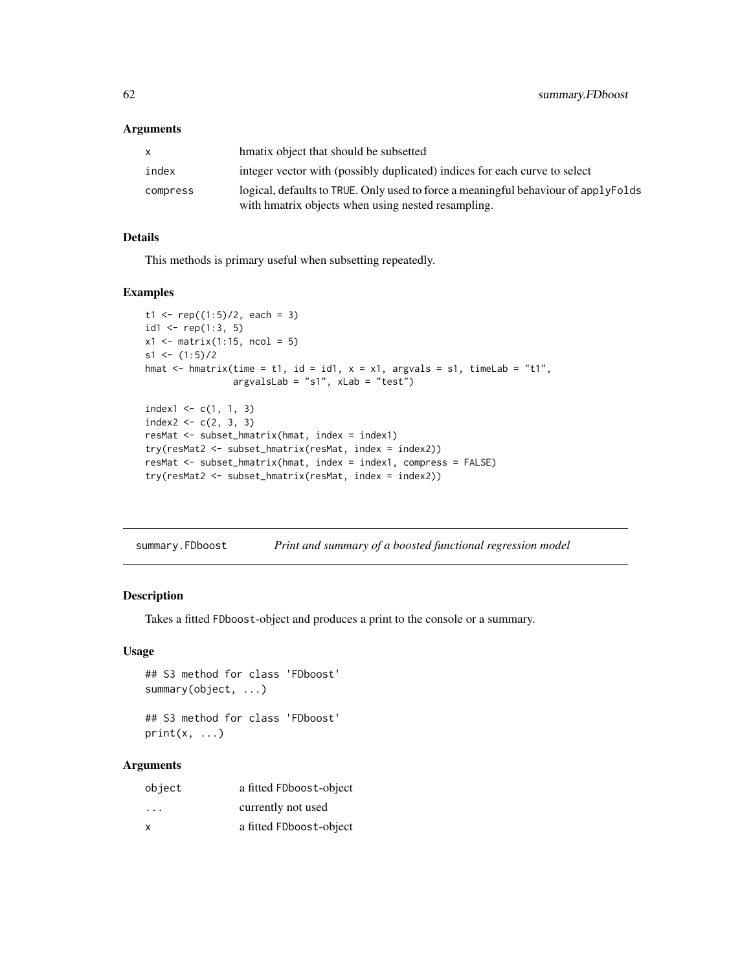### Arguments

| hmatix object that should be subsetted                                                                                                   |
|------------------------------------------------------------------------------------------------------------------------------------------|
| integer vector with (possibly duplicated) indices for each curve to select                                                               |
| logical, defaults to TRUE. Only used to force a meaningful behaviour of applyFolds<br>with hmatrix objects when using nested resampling. |
|                                                                                                                                          |

## Details

This methods is primary useful when subsetting repeatedly.

## Examples

```
t1 <- rep((1:5)/2, each = 3)id1 <- rep(1:3, 5)x1 \leftarrow matrix(1:15, ncol = 5)s1 \leftarrow (1:5)/2hmat \leq hmatrix(time = t1, id = id1, x = x1, argvals = s1, timeLab = "t1",
                argvalsLab = "s1", xLab = "test")
index1 < -c(1, 1, 3)index2 < -c(2, 3, 3)resMat <- subset_hmatrix(hmat, index = index1)
try(resMat2 <- subset_hmatrix(resMat, index = index2))
resMat <- subset_hmatrix(hmat, index = index1, compress = FALSE)
try(resMat2 <- subset_hmatrix(resMat, index = index2))
```
summary.FDboost *Print and summary of a boosted functional regression model*

## Description

Takes a fitted FDboost-object and produces a print to the console or a summary.

### Usage

```
## S3 method for class 'FDboost'
summary(object, ...)
## S3 method for class 'FDboost'
```
 $print(x, \ldots)$ 

| object                  | a fitted FDboost-object |
|-------------------------|-------------------------|
| $\cdot$ $\cdot$ $\cdot$ | currently not used      |
| x                       | a fitted FDboost-object |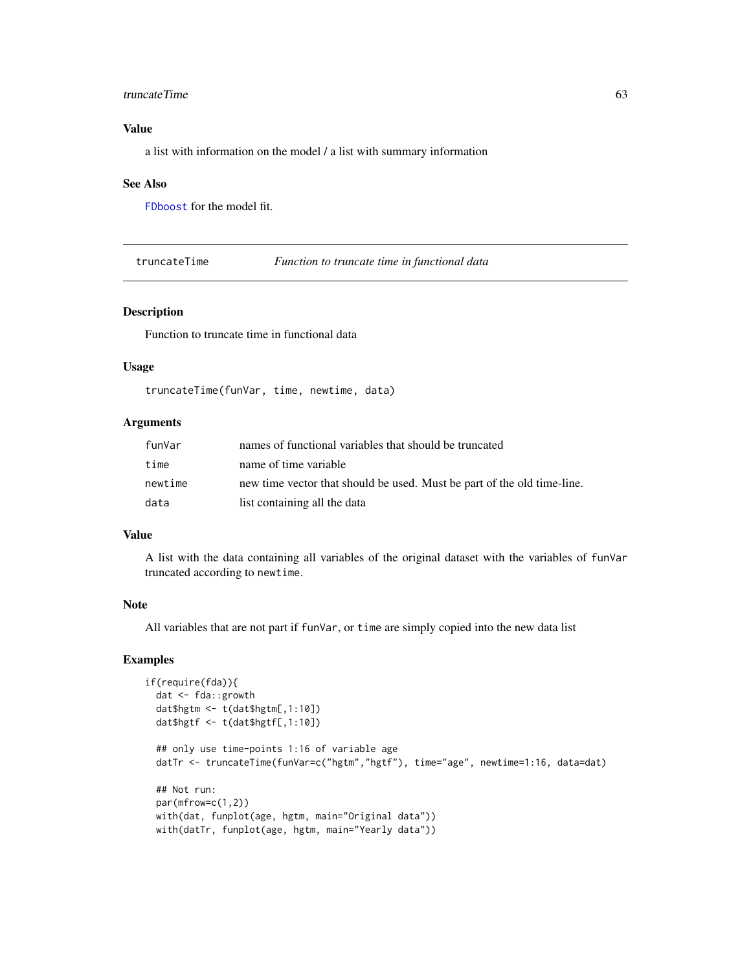#### truncateTime 63

## Value

a list with information on the model / a list with summary information

#### See Also

[FDboost](#page-28-0) for the model fit.

truncateTime *Function to truncate time in functional data*

## Description

Function to truncate time in functional data

### Usage

truncateTime(funVar, time, newtime, data)

## Arguments

| funVar  | names of functional variables that should be truncated                  |
|---------|-------------------------------------------------------------------------|
| time    | name of time variable                                                   |
| newtime | new time vector that should be used. Must be part of the old time-line. |
| data    | list containing all the data                                            |

## Value

A list with the data containing all variables of the original dataset with the variables of funVar truncated according to newtime.

## Note

All variables that are not part if funVar, or time are simply copied into the new data list

```
if(require(fda)){
 dat <- fda::growth
 dat$hgtm <- t(dat$hgtm[,1:10])
 dat$hgtf <- t(dat$hgtf[,1:10])
 ## only use time-points 1:16 of variable age
 datTr <- truncateTime(funVar=c("hgtm","hgtf"), time="age", newtime=1:16, data=dat)
 ## Not run:
 par(mfrow=c(1,2))
 with(dat, funplot(age, hgtm, main="Original data"))
 with(datTr, funplot(age, hgtm, main="Yearly data"))
```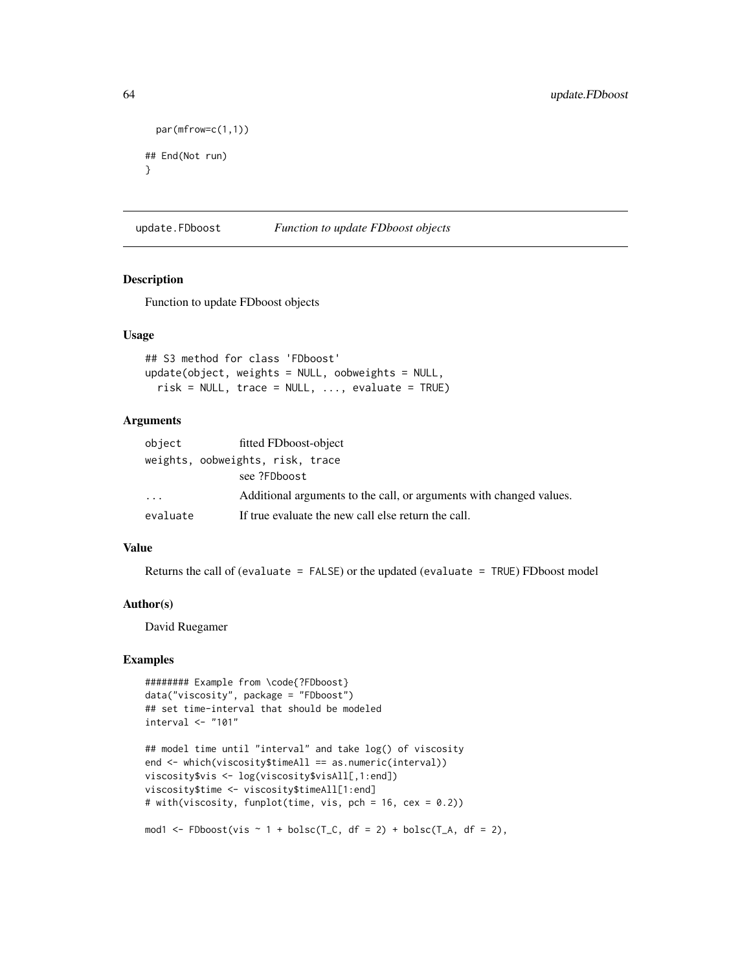```
par(mfrow=c(1,1))
## End(Not run)
}
```
update.FDboost *Function to update FDboost objects*

### Description

Function to update FDboost objects

### Usage

```
## S3 method for class 'FDboost'
update(object, weights = NULL, oobweights = NULL,
 risk = NULL, trace = NULL, ..., evaluate = TRUE)
```
## Arguments

| object   | fitted FDboost-object                                               |
|----------|---------------------------------------------------------------------|
|          | weights, oobweights, risk, trace                                    |
|          | see ?FDboost                                                        |
| $\cdots$ | Additional arguments to the call, or arguments with changed values. |
| evaluate | If true evaluate the new call else return the call.                 |

## Value

Returns the call of (evaluate = FALSE) or the updated (evaluate = TRUE) FDboost model

### Author(s)

David Ruegamer

```
######## Example from \code{?FDboost}
data("viscosity", package = "FDboost")
## set time-interval that should be modeled
interval <- "101"
```

```
## model time until "interval" and take log() of viscosity
end <- which(viscosity$timeAll == as.numeric(interval))
viscosity$vis <- log(viscosity$visAll[,1:end])
viscosity$time <- viscosity$timeAll[1:end]
# with(viscosity, funplot(time, vis, pch = 16, cex = 0.2))
```

```
mod1 <- FDboost(vis \sim 1 + bolsc(T_C, df = 2) + bolsc(T_A, df = 2),
```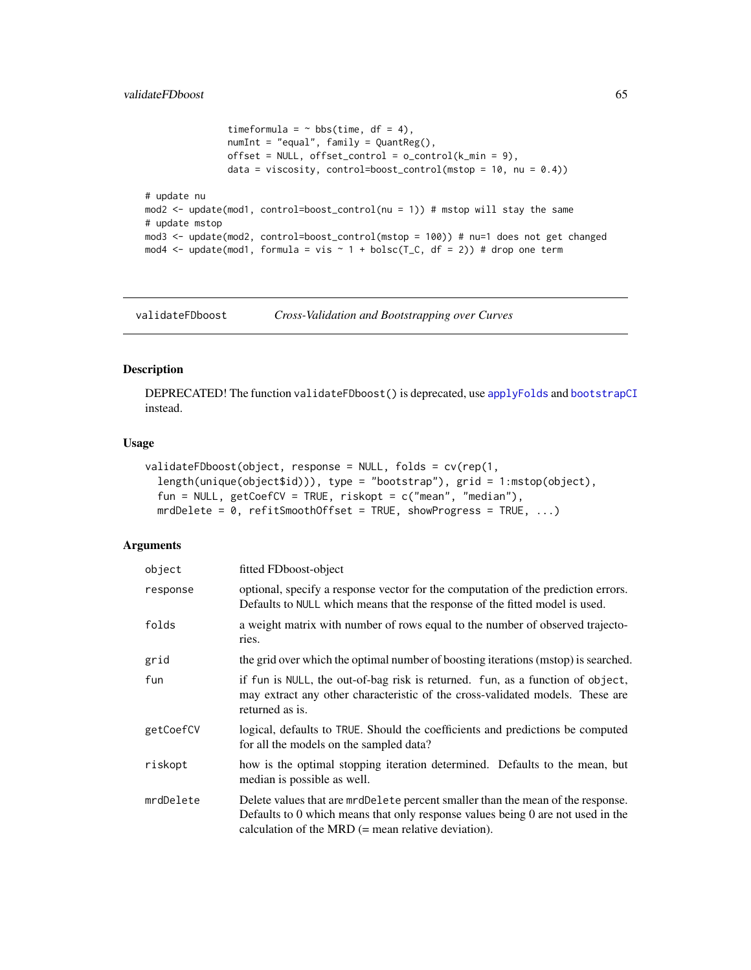```
timeformula = \sim bbs(time, df = 4),
               numInt = "equal", family = QuantReg(),
               offset = NULL, offset\_control = o\_control(k\_min = 9),
               data = viscosity, control=boost_control(mstop = 10, nu = (0.4))
# update nu
mod2 <- update(mod1, control=boost_control(nu = 1)) # mstop will stay the same
# update mstop
mod3 <- update(mod2, control=boost_control(mstop = 100)) # nu=1 does not get changed
mod4 <- update(mod1, formula = vis \sim 1 + bolsc(T_C, df = 2)) # drop one term
```
<span id="page-64-0"></span>validateFDboost *Cross-Validation and Bootstrapping over Curves*

# Description

DEPRECATED! The function validateFDboost() is deprecated, use [applyFolds](#page-6-0) and [bootstrapCI](#page-15-0) instead.

# Usage

```
validateFDboost(object, response = NULL, folds = cv(rep(1,
  length(unique(object$id))), type = "bootstrap"), grid = 1:mstop(object),
  fun = NULL, getCoefCV = TRUE, riskopt = c("mean", "median"),
 mrdDelete = 0, refitSmoothOffset = TRUE, showProgress = TRUE, ...)
```

| object    | fitted FDboost-object                                                                                                                                                                                                       |  |
|-----------|-----------------------------------------------------------------------------------------------------------------------------------------------------------------------------------------------------------------------------|--|
| response  | optional, specify a response vector for the computation of the prediction errors.<br>Defaults to NULL which means that the response of the fitted model is used.                                                            |  |
| folds     | a weight matrix with number of rows equal to the number of observed trajecto-<br>ries.                                                                                                                                      |  |
| grid      | the grid over which the optimal number of boosting iterations (mstop) is searched.                                                                                                                                          |  |
| fun       | if fun is NULL, the out-of-bag risk is returned. fun, as a function of object,<br>may extract any other characteristic of the cross-validated models. These are<br>returned as is.                                          |  |
| getCoefCV | logical, defaults to TRUE. Should the coefficients and predictions be computed<br>for all the models on the sampled data?                                                                                                   |  |
| riskopt   | how is the optimal stopping iteration determined. Defaults to the mean, but<br>median is possible as well.                                                                                                                  |  |
| mrdDelete | Delete values that are mrdDelete percent smaller than the mean of the response.<br>Defaults to 0 which means that only response values being 0 are not used in the<br>calculation of the MRD $(=$ mean relative deviation). |  |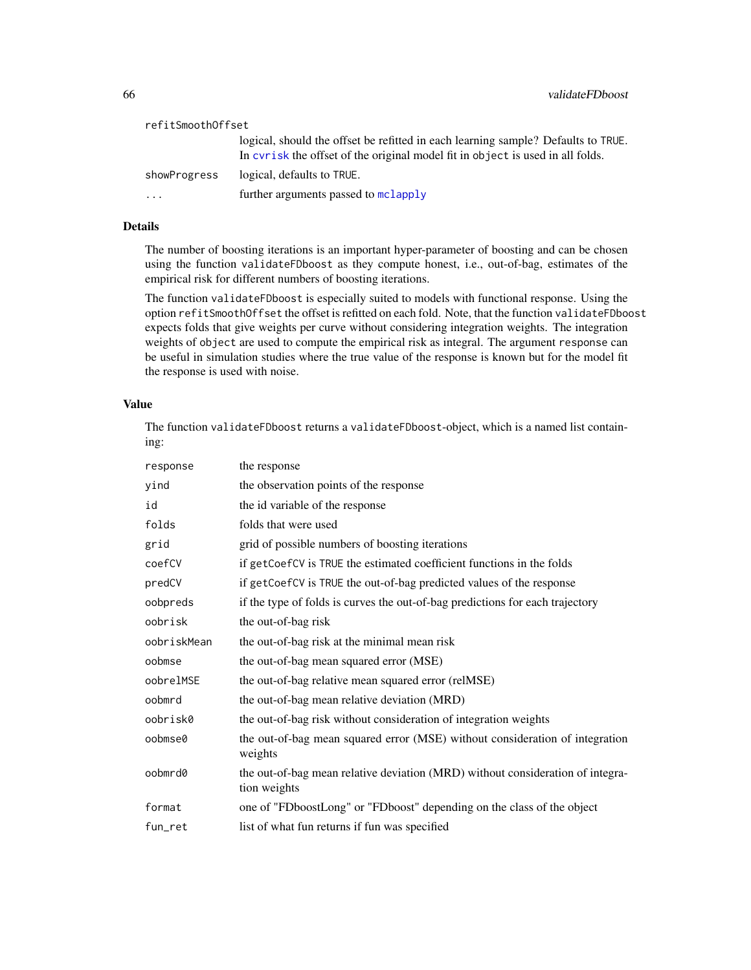| refitSmoothOffset |                                                                                                                                                                     |
|-------------------|---------------------------------------------------------------------------------------------------------------------------------------------------------------------|
|                   | logical, should the offset be refitted in each learning sample? Defaults to TRUE.<br>In cyrisk the offset of the original model fit in object is used in all folds. |
| showProgress      | logical, defaults to TRUE.                                                                                                                                          |
| $\ddotsc$         | further arguments passed to mclapply                                                                                                                                |

## Details

The number of boosting iterations is an important hyper-parameter of boosting and can be chosen using the function validateFDboost as they compute honest, i.e., out-of-bag, estimates of the empirical risk for different numbers of boosting iterations.

The function validateFDboost is especially suited to models with functional response. Using the option refitSmoothOffset the offset is refitted on each fold. Note, that the function validateFDboost expects folds that give weights per curve without considering integration weights. The integration weights of object are used to compute the empirical risk as integral. The argument response can be useful in simulation studies where the true value of the response is known but for the model fit the response is used with noise.

# Value

The function validateFDboost returns a validateFDboost-object, which is a named list containing:

| response    | the response                                                                                   |
|-------------|------------------------------------------------------------------------------------------------|
| yind        | the observation points of the response                                                         |
| id          | the id variable of the response                                                                |
| folds       | folds that were used                                                                           |
| grid        | grid of possible numbers of boosting iterations                                                |
| coefCV      | if getCoefCV is TRUE the estimated coefficient functions in the folds                          |
| predCV      | if getCoefCV is TRUE the out-of-bag predicted values of the response                           |
| oobpreds    | if the type of folds is curves the out-of-bag predictions for each trajectory                  |
| oobrisk     | the out-of-bag risk                                                                            |
| oobriskMean | the out-of-bag risk at the minimal mean risk                                                   |
| oobmse      | the out-of-bag mean squared error (MSE)                                                        |
| oobrelMSE   | the out-of-bag relative mean squared error (relMSE)                                            |
| oobmrd      | the out-of-bag mean relative deviation (MRD)                                                   |
| oobrisk0    | the out-of-bag risk without consideration of integration weights                               |
| oobmse0     | the out-of-bag mean squared error (MSE) without consideration of integration<br>weights        |
| oobmrd0     | the out-of-bag mean relative deviation (MRD) without consideration of integra-<br>tion weights |
| format      | one of "FDboostLong" or "FDboost" depending on the class of the object                         |
| fun_ret     | list of what fun returns if fun was specified                                                  |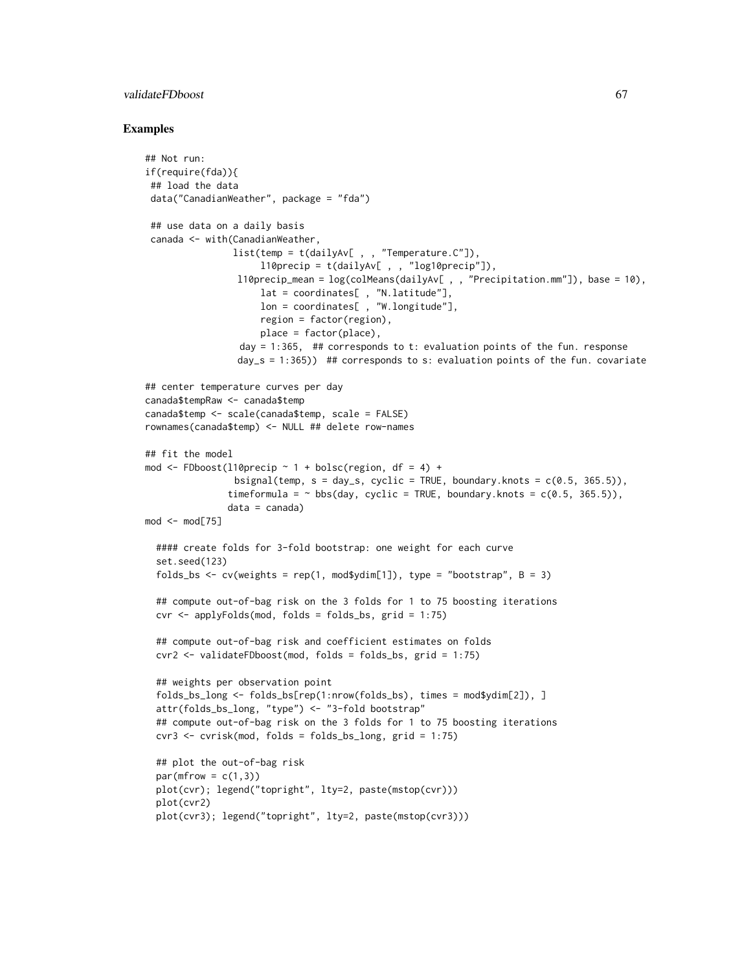### validateFDboost 67

```
## Not run:
if(require(fda)){
## load the data
data("CanadianWeather", package = "fda")
 ## use data on a daily basis
 canada <- with(CanadianWeather,
                list(temp = t(dailyAv[ , , "Temperature.C"]),
                     l10precip = t(dailyAv[ , , "log10precip"]),
                 l10precip_mean = log(colMeans(dailyAv[ , , "Precipitation.mm"]), base = 10),
                     lat = coordinates[ , "N.latitude"],
                     lon = coordinates[ , "W.longitude"],
                     region = factor(region),
                     place = factor(place),
                 day = 1:365, ## corresponds to t: evaluation points of the fun. response
                 day_s = 1:365)) ## corresponds to s: evaluation points of the fun. covariate
## center temperature curves per day
canada$tempRaw <- canada$temp
canada$temp <- scale(canada$temp, scale = FALSE)
rownames(canada$temp) <- NULL ## delete row-names
## fit the model
mod <- FDboost(l10precip \sim 1 + bolsc(region, df = 4) +
                bsignal(temp, s = day_s, cyclic = TRUE, boundary.knots = c(0.5, 365.5)),
               timeformula = \sim bbs(day, cyclic = TRUE, boundary.knots = c(0.5, 365.5)),
               data = canada)
mod < - mod[75]#### create folds for 3-fold bootstrap: one weight for each curve
 set.seed(123)
 folds_bs <- cv(weights = rep(1, mod$ydim[1]), type = "bootstrap", B = 3)
 ## compute out-of-bag risk on the 3 folds for 1 to 75 boosting iterations
 \text{cvr} \leq \text{applyFolds}(\text{mod}, \text{ folds} = \text{folds} \text{, s}, \text{grid} = 1:75)## compute out-of-bag risk and coefficient estimates on folds
 cvr2 <- validateFDboost(mod, folds = folds_bs, grid = 1:75)
 ## weights per observation point
 folds_bs_long <- folds_bs[rep(1:nrow(folds_bs), times = mod$ydim[2]), ]
 attr(folds_bs_long, "type") <- "3-fold bootstrap"
 ## compute out-of-bag risk on the 3 folds for 1 to 75 boosting iterations
 cvr3 <- cvrisk(mod, folds = folds_bs_long, grid = 1:75)
 ## plot the out-of-bag risk
 par(mfrow = c(1,3))plot(cvr); legend("topright", lty=2, paste(mstop(cvr)))
 plot(cvr2)
 plot(cvr3); legend("topright", lty=2, paste(mstop(cvr3)))
```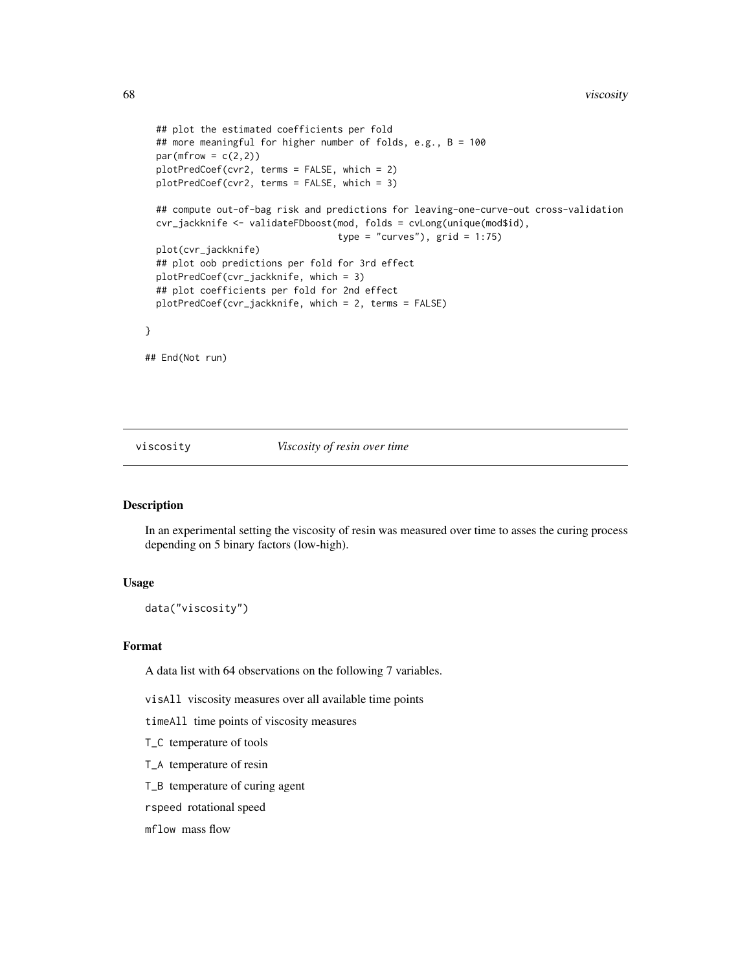```
## plot the estimated coefficients per fold
## more meaningful for higher number of folds, e.g., B = 100
par(mfrow = c(2,2))plotPredCoef(cvr2, terms = FALSE, which = 2)
plotPredCoef(cvr2, terms = FALSE, which = 3)
## compute out-of-bag risk and predictions for leaving-one-curve-out cross-validation
cvr_jackknife <- validateFDboost(mod, folds = cvLong(unique(mod$id),
                                 type = "curves"), grid = 1:75)
plot(cvr_jackknife)
## plot oob predictions per fold for 3rd effect
plotPredCoef(cvr_jackknife, which = 3)
## plot coefficients per fold for 2nd effect
plotPredCoef(cvr_jackknife, which = 2, terms = FALSE)
```
## End(Not run)

}

viscosity *Viscosity of resin over time*

# Description

In an experimental setting the viscosity of resin was measured over time to asses the curing process depending on 5 binary factors (low-high).

## Usage

data("viscosity")

### Format

A data list with 64 observations on the following 7 variables.

visAll viscosity measures over all available time points

timeAll time points of viscosity measures

T\_C temperature of tools

T\_A temperature of resin

T\_B temperature of curing agent

rspeed rotational speed

mflow mass flow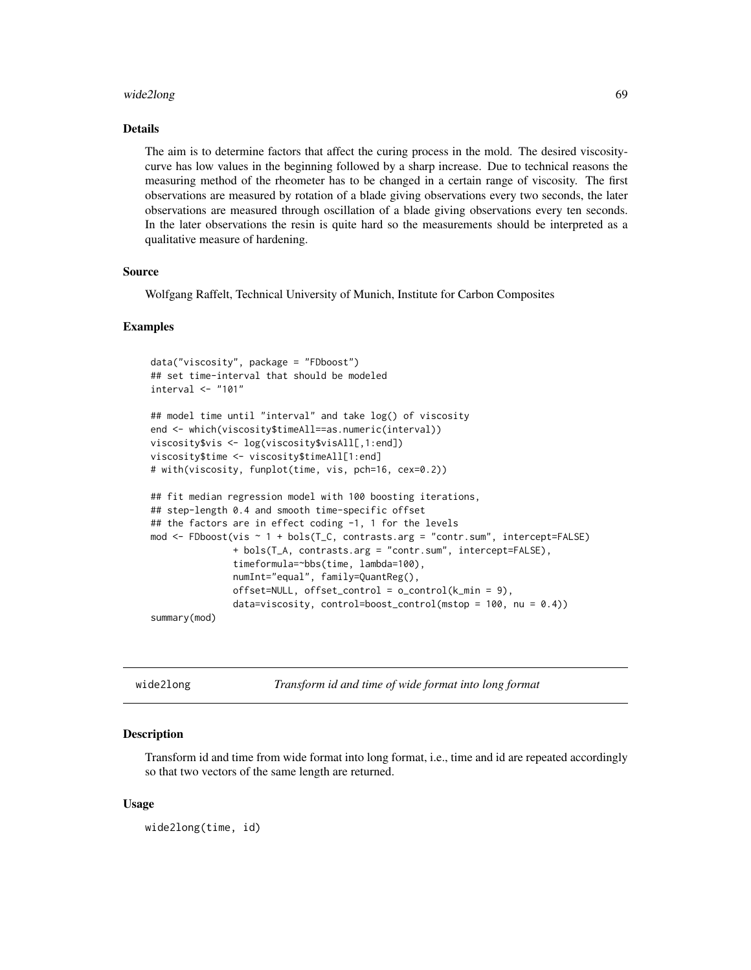#### wide2long 69

#### Details

The aim is to determine factors that affect the curing process in the mold. The desired viscositycurve has low values in the beginning followed by a sharp increase. Due to technical reasons the measuring method of the rheometer has to be changed in a certain range of viscosity. The first observations are measured by rotation of a blade giving observations every two seconds, the later observations are measured through oscillation of a blade giving observations every ten seconds. In the later observations the resin is quite hard so the measurements should be interpreted as a qualitative measure of hardening.

### Source

Wolfgang Raffelt, Technical University of Munich, Institute for Carbon Composites

#### Examples

```
data("viscosity", package = "FDboost")
## set time-interval that should be modeled
interval <- "101"
## model time until "interval" and take log() of viscosity
end <- which(viscosity$timeAll==as.numeric(interval))
viscosity$vis <- log(viscosity$visAll[,1:end])
viscosity$time <- viscosity$timeAll[1:end]
# with(viscosity, funplot(time, vis, pch=16, cex=0.2))
## fit median regression model with 100 boosting iterations,
## step-length 0.4 and smooth time-specific offset
## the factors are in effect coding -1, 1 for the levels
mod <- FDboost(vis ~ 1 + bols(T_C, contrasts.arg = "contr.sum", intercept=FALSE)
               + bols(T_A, contrasts.arg = "contr.sum", intercept=FALSE),
               timeformula=~bbs(time, lambda=100),
               numInt="equal", family=QuantReg(),
               offset=NULL, offset_countcol = o_countcol(k-min = 9),data=viscosity, control=boost_control(mstop = 100, nu = (0.4))
summary(mod)
```
wide2long *Transform id and time of wide format into long format*

### Description

Transform id and time from wide format into long format, i.e., time and id are repeated accordingly so that two vectors of the same length are returned.

#### Usage

wide2long(time, id)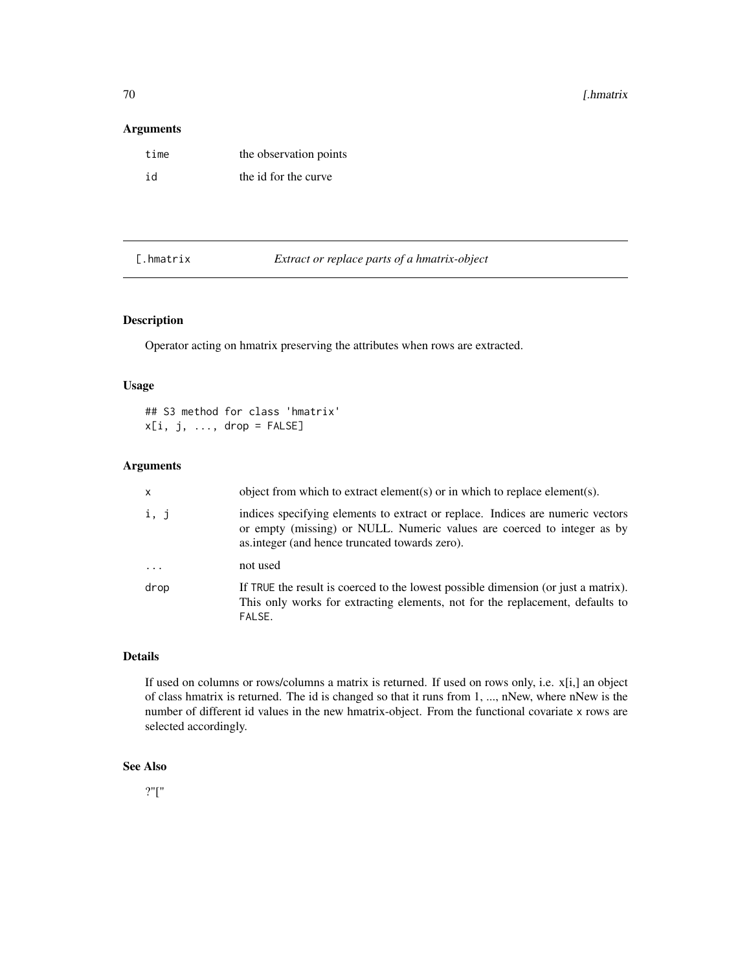## Arguments

| time | the observation points |
|------|------------------------|
| id   | the id for the curve   |

[.hmatrix *Extract or replace parts of a hmatrix-object*

# Description

Operator acting on hmatrix preserving the attributes when rows are extracted.

## Usage

## S3 method for class 'hmatrix'  $x[i, j, ..., drop = FALSE]$ 

## Arguments

| $\mathsf{x}$ | object from which to extract element(s) or in which to replace element(s).                                                                                                                                  |
|--------------|-------------------------------------------------------------------------------------------------------------------------------------------------------------------------------------------------------------|
| i, j         | indices specifying elements to extract or replace. Indices are numeric vectors<br>or empty (missing) or NULL. Numeric values are coerced to integer as by<br>as integer (and hence truncated towards zero). |
| $\cdots$     | not used                                                                                                                                                                                                    |
| drop         | If TRUE the result is coerced to the lowest possible dimension (or just a matrix).<br>This only works for extracting elements, not for the replacement, defaults to<br>FALSE.                               |

# Details

If used on columns or rows/columns a matrix is returned. If used on rows only, i.e. x[i,] an object of class hmatrix is returned. The id is changed so that it runs from 1, ..., nNew, where nNew is the number of different id values in the new hmatrix-object. From the functional covariate x rows are selected accordingly.

# See Also

?"["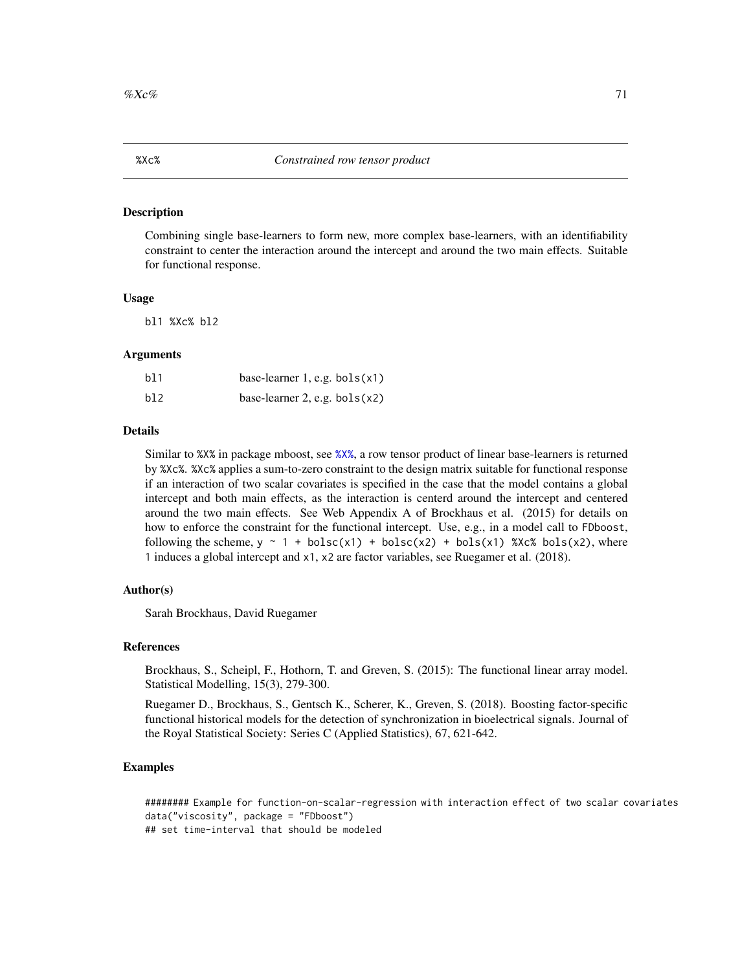#### Description

Combining single base-learners to form new, more complex base-learners, with an identifiability constraint to center the interaction around the intercept and around the two main effects. Suitable for functional response.

### Usage

bl1 %Xc% bl2

### Arguments

| b11 | base-learner 1, e.g. $bols(x1)$ |  |
|-----|---------------------------------|--|
| b12 | base-learner 2, e.g. $bols(x2)$ |  |

### Details

Similar to %X% in package mboost, see [%X%](#page-0-0), a row tensor product of linear base-learners is returned by %Xc%. %Xc% applies a sum-to-zero constraint to the design matrix suitable for functional response if an interaction of two scalar covariates is specified in the case that the model contains a global intercept and both main effects, as the interaction is centerd around the intercept and centered around the two main effects. See Web Appendix A of Brockhaus et al. (2015) for details on how to enforce the constraint for the functional intercept. Use, e.g., in a model call to FDboost, following the scheme,  $y \sim 1 + \text{bols}(x1) + \text{bols}(x2) + \text{bols}(x1)$  %Xc% bols(x2), where 1 induces a global intercept and x1, x2 are factor variables, see Ruegamer et al. (2018).

#### Author(s)

Sarah Brockhaus, David Ruegamer

### References

Brockhaus, S., Scheipl, F., Hothorn, T. and Greven, S. (2015): The functional linear array model. Statistical Modelling, 15(3), 279-300.

Ruegamer D., Brockhaus, S., Gentsch K., Scherer, K., Greven, S. (2018). Boosting factor-specific functional historical models for the detection of synchronization in bioelectrical signals. Journal of the Royal Statistical Society: Series C (Applied Statistics), 67, 621-642.

```
######## Example for function-on-scalar-regression with interaction effect of two scalar covariates
data("viscosity", package = "FDboost")
## set time-interval that should be modeled
```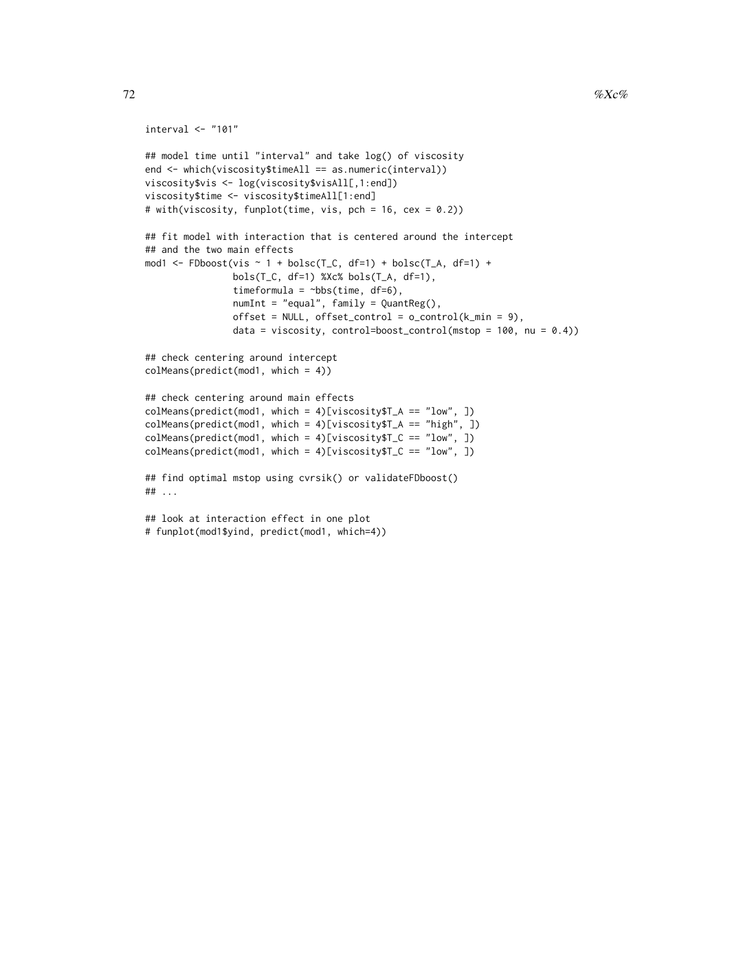```
interval <- "101"
## model time until "interval" and take log() of viscosity
end <- which(viscosity$timeAll == as.numeric(interval))
viscosity$vis <- log(viscosity$visAll[,1:end])
viscosity$time <- viscosity$timeAll[1:end]
# with(viscosity, funplot(time, vis, pch = 16, cex = 0.2))
## fit model with interaction that is centered around the intercept
## and the two main effects
mod1 <- FDboost(vis \sim 1 + bolsc(T_C, df=1) + bolsc(T_A, df=1) +
                bols(T_C, df=1) %Xc% bols(T_A, df=1),
                timeformula = \simbbs(time, df=6),
                numInt = "equal", family = QuantReg(),
                offset = NULL, offset\_control = o\_control(k\_min = 9),data = viscosity, control=boost_control(mstop = 100, nu = 0.4))
## check centering around intercept
colMeans(predict(mod1, which = 4))
## check centering around main effects
colMeans(predict(mod1, which = 4)[viscosity$T_A == "low", ])
colMeans(predict(mod1, which = 4)[viscosity$T_A == "high", ])
colMeans(predict(mod1, which = 4)[viscosity$T_C == "low", ])
colMeans(predict(mod1, which = 4)[viscosity$T_C == "low", ])
## find optimal mstop using cvrsik() or validateFDboost()
## ...
## look at interaction effect in one plot
# funplot(mod1$yind, predict(mod1, which=4))
```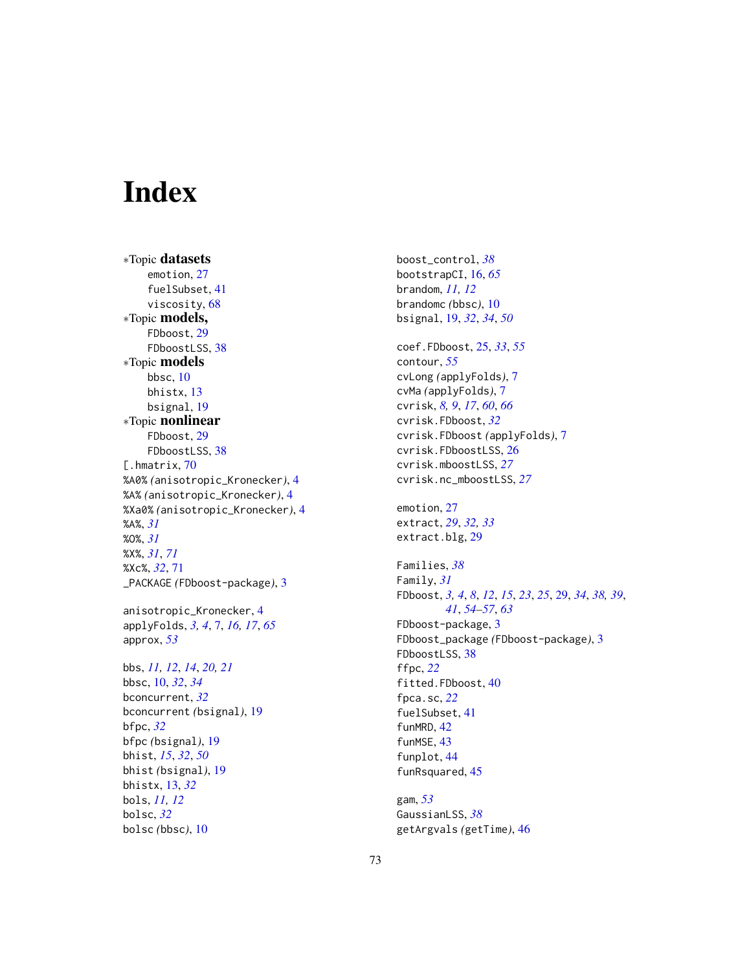## Index

∗Topic datasets emotion, [27](#page-26-0) fuelSubset, [41](#page-40-0) viscosity, [68](#page-67-0) ∗Topic models, FDboost, [29](#page-28-0) FDboostLSS, [38](#page-37-0) ∗Topic models bbsc, [10](#page-9-0) bhistx, [13](#page-12-0) bsignal, [19](#page-18-0) ∗Topic nonlinear FDboost, [29](#page-28-0) FDboostLSS, [38](#page-37-0) [.hmatrix, [70](#page-69-0) %A0% *(*anisotropic\_Kronecker*)*, [4](#page-3-0) %A% *(*anisotropic\_Kronecker*)*, [4](#page-3-0) %Xa0% *(*anisotropic\_Kronecker*)*, [4](#page-3-0) %A%, *[31](#page-30-0)* %O%, *[31](#page-30-0)* %X%, *[31](#page-30-0)*, *[71](#page-70-0)* %Xc%, *[32](#page-31-0)*, [71](#page-70-0) \_PACKAGE *(*FDboost-package*)*, [3](#page-2-0) anisotropic\_Kronecker, [4](#page-3-0) applyFolds, *[3,](#page-2-0) [4](#page-3-0)*, [7,](#page-6-0) *[16,](#page-15-0) [17](#page-16-0)*, *[65](#page-64-0)* approx, *[53](#page-52-0)* bbs, *[11,](#page-10-0) [12](#page-11-0)*, *[14](#page-13-0)*, *[20,](#page-19-0) [21](#page-20-0)* bbsc, [10,](#page-9-0) *[32](#page-31-0)*, *[34](#page-33-0)* bconcurrent, *[32](#page-31-0)* bconcurrent *(*bsignal*)*, [19](#page-18-0) bfpc, *[32](#page-31-0)* bfpc *(*bsignal*)*, [19](#page-18-0) bhist, *[15](#page-14-0)*, *[32](#page-31-0)*, *[50](#page-49-0)* bhist *(*bsignal*)*, [19](#page-18-0) bhistx, [13,](#page-12-0) *[32](#page-31-0)* bols, *[11,](#page-10-0) [12](#page-11-0)* bolsc, *[32](#page-31-0)* bolsc *(*bbsc*)*, [10](#page-9-0)

boost\_control, *[38](#page-37-0)* bootstrapCI, [16,](#page-15-0) *[65](#page-64-0)* brandom, *[11,](#page-10-0) [12](#page-11-0)* brandomc *(*bbsc*)*, [10](#page-9-0) bsignal, [19,](#page-18-0) *[32](#page-31-0)*, *[34](#page-33-0)*, *[50](#page-49-0)*

coef.FDboost, [25,](#page-24-0) *[33](#page-32-0)*, *[55](#page-54-0)* contour, *[55](#page-54-0)* cvLong *(*applyFolds*)*, [7](#page-6-0) cvMa *(*applyFolds*)*, [7](#page-6-0) cvrisk, *[8,](#page-7-0) [9](#page-8-0)*, *[17](#page-16-0)*, *[60](#page-59-0)*, *[66](#page-65-0)* cvrisk.FDboost, *[32](#page-31-0)* cvrisk.FDboost *(*applyFolds*)*, [7](#page-6-0) cvrisk.FDboostLSS, [26](#page-25-0) cvrisk.mboostLSS, *[27](#page-26-0)* cvrisk.nc\_mboostLSS, *[27](#page-26-0)*

emotion, [27](#page-26-0) extract, *[29](#page-28-0)*, *[32,](#page-31-0) [33](#page-32-0)* extract.blg, [29](#page-28-0)

Families, *[38](#page-37-0)* Family, *[31](#page-30-0)* FDboost, *[3,](#page-2-0) [4](#page-3-0)*, *[8](#page-7-0)*, *[12](#page-11-0)*, *[15](#page-14-0)*, *[23](#page-22-0)*, *[25](#page-24-0)*, [29,](#page-28-0) *[34](#page-33-0)*, *[38,](#page-37-0) [39](#page-38-0)*, *[41](#page-40-0)*, *[54](#page-53-0)[–57](#page-56-0)*, *[63](#page-62-0)* FDboost-package, [3](#page-2-0) FDboost\_package *(*FDboost-package*)*, [3](#page-2-0) FDboostLSS, [38](#page-37-0) ffpc, *[22](#page-21-0)* fitted.FDboost, [40](#page-39-0) fpca.sc, *[22](#page-21-0)* fuelSubset, [41](#page-40-0) funMRD, [42](#page-41-0) funMSE, [43](#page-42-0) funplot, [44](#page-43-0) funRsquared, [45](#page-44-0)

gam, *[53](#page-52-0)* GaussianLSS, *[38](#page-37-0)* getArgvals *(*getTime*)*, [46](#page-45-0)